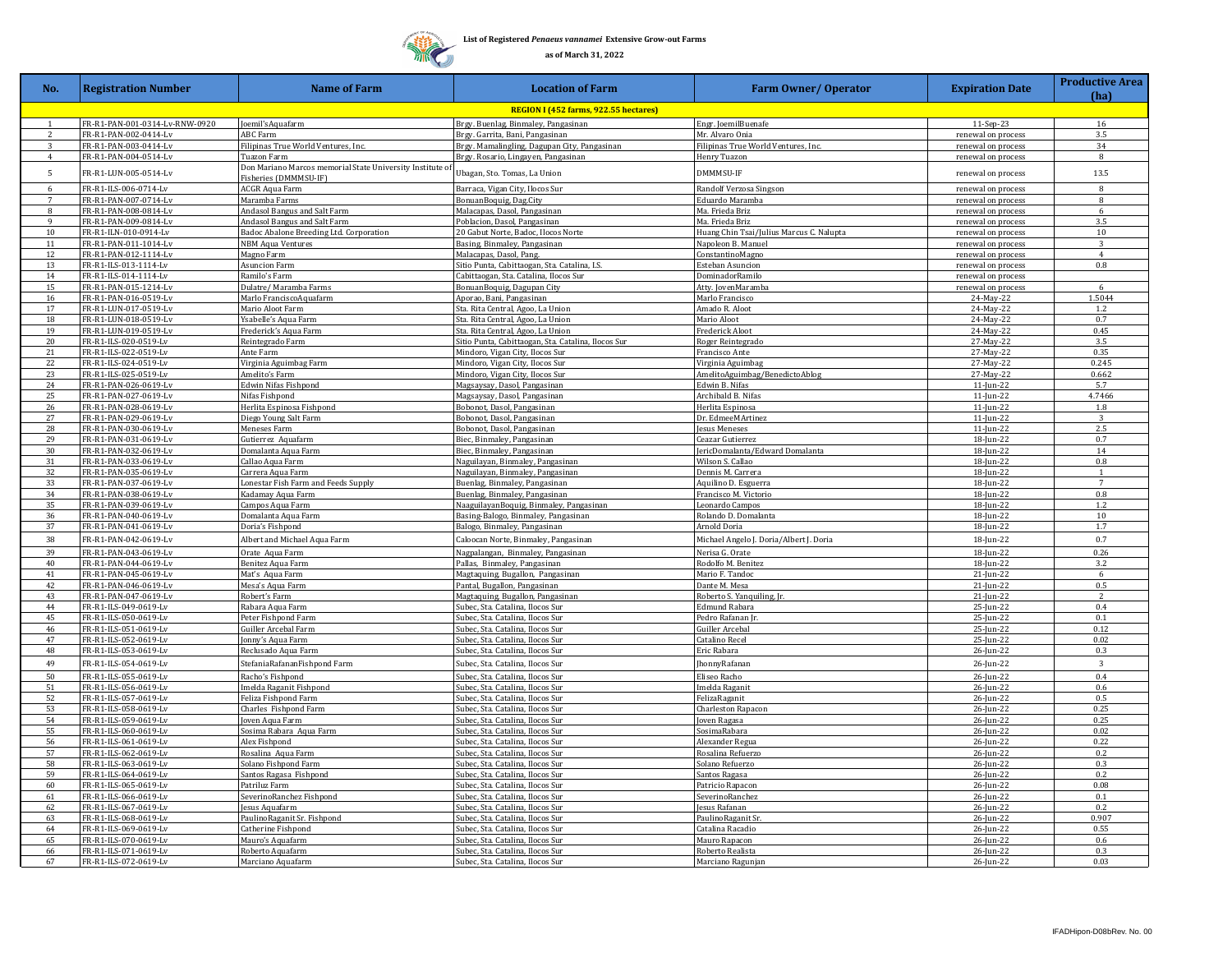## **List of Registered** *Penaeus vannamei* **Extensive Grow-out Farms**

**as of March 31, 2022**

**ARTIC THING** Ж

| No.            | <b>Registration Number</b>                     | <b>Name of Farm</b>                                                            | <b>Location of Farm</b>                                                        | <b>Farm Owner/ Operator</b>                                    | <b>Expiration Date</b>                   | <b>Productive Area</b><br>(ha) |
|----------------|------------------------------------------------|--------------------------------------------------------------------------------|--------------------------------------------------------------------------------|----------------------------------------------------------------|------------------------------------------|--------------------------------|
|                |                                                |                                                                                | REGION I (452 farms, 922.55 hectares)                                          |                                                                |                                          |                                |
| $\mathbf{1}$   | FR-R1-PAN-001-0314-Lv-RNW-0920                 | Joemil's Aquafarm                                                              | Brgy. Buenlag, Binmaley, Pangasinan                                            | Engr. JoemilBuenafe                                            | 11-Sep-23                                | 16                             |
| 2              | FR-R1-PAN-002-0414-Lv                          | <b>ABC Farm</b>                                                                | Brgy. Garrita, Bani, Pangasinan                                                | Mr. Alvaro Onia                                                | renewal on process                       | 3.5                            |
| 3              | FR-R1-PAN-003-0414-Lv                          | Filipinas True World Ventures, Inc.                                            | Brgy. Mamalingling, Dagupan City, Pangasinan                                   | Filipinas True World Ventures, Inc.                            | renewal on process                       | 34                             |
| $\overline{4}$ | FR-R1-PAN-004-0514-Lv                          | <b>Tuazon Farm</b><br>Don Mariano Marcos memorial State University Institute o | Brgy. Rosario, Lingayen, Pangasinan                                            | Henry Tuazon                                                   | renewal on process                       | 8                              |
| 5              | FR-R1-LUN-005-0514-Lv                          | Fisheries (DMMMSU-IF)                                                          | Ubagan, Sto. Tomas, La Union                                                   | DMMMSU-IF                                                      | renewal on process                       | 13.5                           |
| 6              | FR-R1-ILS-006-0714-Lv                          | ACGR Aqua Farm                                                                 | Barraca, Vigan City, Ilocos Sur                                                | Randolf Verzosa Singson                                        | renewal on process                       | 8                              |
| 7              | FR-R1-PAN-007-0714-Lv                          | Maramba Farms                                                                  | BonuanBoquig, Dag.City                                                         | Eduardo Maramba                                                | renewal on process                       | 8                              |
| 8              | FR-R1-PAN-008-0814-Lv                          | Andasol Bangus and Salt Farm                                                   | Malacapas, Dasol, Pangasinan                                                   | Ma. Frieda Briz                                                | renewal on process                       | 6                              |
| $\mathbf{q}$   | FR-R1-PAN-009-0814-Lv                          | Andasol Bangus and Salt Farm                                                   | Poblacion, Dasol, Pangasinan                                                   | Ma. Frieda Briz                                                | renewal on process                       | 35                             |
| 10<br>11       | FR-R1-ILN-010-0914-Lv<br>FR-R1-PAN-011-1014-Lv | Badoc Abalone Breeding Ltd. Corporation<br><b>JBM Aqua Ventures</b>            | 20 Gabut Norte, Badoc, Ilocos Norte<br>Basing, Binmaley, Pangasinan            | Huang Chin Tsai/Julius Marcus C. Nalupta<br>Vapoleon B. Manuel | renewal on process                       | 10                             |
| 12             | FR-R1-PAN-012-1114-Lv                          | Magno Farm                                                                     | Malacapas, Dasol, Pang.                                                        | onstantinoMagno                                                | renewal on process<br>renewal on process | $\overline{4}$                 |
| 13             | FR-R1-ILS-013-1114-Lv                          | <b>Asuncion Farm</b>                                                           | Sitio Punta, Cabittaogan, Sta. Catalina, I.S.                                  | Esteban Asuncion                                               | renewal on process                       | 0.8                            |
| 14             | FR-R1-ILS-014-1114-Lv                          | Ramilo's Farm                                                                  | Cabittaogan, Sta. Catalina, Ilocos Sur                                         | <b>DominadorRamilo</b>                                         | renewal on process                       |                                |
| 15             | FR-R1-PAN-015-1214-Lv                          | Dulatre/ Maramba Farms                                                         | BonuanBoquig, Dagupan City                                                     | Atty. JovenMaramba                                             | renewal on process                       | -6                             |
| 16             | FR-R1-PAN-016-0519-Lv                          | Marlo FranciscoAquafarm                                                        | Aporao, Bani, Pangasinan                                                       | Marlo Francisco                                                | 24-May-22                                | 1.5044                         |
| 17             | FR-R1-LUN-017-0519-Lv                          | Mario Aloot Farm                                                               | Sta. Rita Central, Agoo, La Union                                              | Amado R. Aloot                                                 | 24-May-22                                | 1.2                            |
| 18<br>19       | FR-R1-LUN-018-0519-Lv<br>FR-R1-LUN-019-0519-Lv | Sabelle's Aqua Farm<br>Frederick's Aqua Farm                                   | Sta. Rita Central, Agoo, La Union<br>Sta. Rita Central, Agoo, La Union         | Mario Aloot<br>Frederick Aloot                                 | 24-May-22<br>24-May-22                   | 0.7<br>0.45                    |
| 20             | FR-R1-ILS-020-0519-Lv                          | Reintegrado Farm                                                               | Sitio Punta, Cabittaogan, Sta. Catalina, Ilocos Sur                            | Roger Reintegrado                                              | 27-May-22                                | $3.5\,$                        |
| 21             | FR-R1-ILS-022-0519-Lv                          | Ante Farm                                                                      | Mindoro, Vigan City, Ilocos Sur                                                | Francisco Ante                                                 | 27-May-22                                | 0.35                           |
| 22             | FR-R1-ILS-024-0519-Lv                          | Virginia Aguimbag Farm                                                         | Mindoro, Vigan City, Ilocos Sur                                                | Virginia Aguimbag                                              | 27-May-22                                | 0.245                          |
| 23             | FR-R1-ILS-025-0519-Lv                          | Amelito's Farm                                                                 | Mindoro, Vigan City, Ilocos Sur                                                | AmelitoAguimbag/BenedictoAblog                                 | 27-May-22                                | 0.662                          |
| 24             | FR-R1-PAN-026-0619-Lv                          | Edwin Nifas Fishpond                                                           | Magsaysay, Dasol, Pangasinan                                                   | Edwin B. Nifas                                                 | 11-Jun-22                                | 5.7                            |
| 25             | FR-R1-PAN-027-0619-Lv                          | Nifas Fishpond                                                                 | Magsaysay, Dasol, Pangasinan                                                   | Archibald B. Nifas                                             | 11-Jun-22                                | 4.7466                         |
| 26<br>27       | FR-R1-PAN-028-0619-Lv<br>FR-R1-PAN-029-0619-Lv | Herlita Espinosa Fishpond<br>Diego Young Salt Farm                             | Bobonot, Dasol, Pangasinan<br>Bobonot, Dasol, Pangasinan                       | Herlita Espinosa<br>Dr. EdmeeMArtinez                          | $11$ -Jun-22<br>$11$ -Jun-22             | 1.8<br>$\overline{z}$          |
| 28             | FR-R1-PAN-030-0619-Lv                          | Meneses Farm                                                                   | Bobonot, Dasol, Pangasinan                                                     | esus Meneses                                                   | $11$ -Jun-22                             | 2.5                            |
| 29             | FR-R1-PAN-031-0619-Lv                          | Jutierrez Aquafarm                                                             | Biec, Binmaley, Pangasinan                                                     | eazar Gutierrez                                                | 18-Jun-22                                | 0.7                            |
| 30             | FR-R1-PAN-032-0619-Lv                          | Domalanta Aqua Farm                                                            | Biec, Binmaley, Pangasinan                                                     | ericDomalanta/Edward Domalanta                                 | 18-Jun-22                                | 14                             |
| 31             | FR-R1-PAN-033-0619-Lv                          | Callao Aqua Farm                                                               | Naguilayan, Binmaley, Pangasinan                                               | Wilson S. Callao                                               | 18-Jun-22                                | 0.8                            |
| 32             | FR-R1-PAN-035-0619-Lv                          | Carrera Aqua Farm                                                              | Naguilayan, Binmaley, Pangasinan                                               | Dennis M. Carrera                                              | 18-Jun-22                                |                                |
| 33             | FR-R1-PAN-037-0619-Lv                          | Lonestar Fish Farm and Feeds Supply                                            | Buenlag, Binmaley, Pangasinan                                                  | Aquilino D. Esguerra                                           | 18-Jun-22                                | 7                              |
| 34<br>35       | FR-R1-PAN-038-0619-Lv<br>FR-R1-PAN-039-0619-Lv | Kadamay Aqua Farm                                                              | Buenlag, Binmaley, Pangasinan                                                  | Francisco M. Victorio<br>Leonardo Campos                       | 18-Jun-22                                | 0.8<br>1.2                     |
| 36             | FR-R1-PAN-040-0619-Lv                          | Campos Aqua Farm<br>Domalanta Aqua Farm                                        | NaaguilayanBoquig, Binmaley, Pangasinan<br>Basing-Balogo, Binmaley, Pangasinan | Rolando D. Domalanta                                           | 18-Jun-22<br>18-Jun-22                   | 10                             |
| 37             | FR-R1-PAN-041-0619-Lv                          | Doria's Fishpond                                                               | Balogo, Binmaley, Pangasinan                                                   | Arnold Doria                                                   | 18-Jun-22                                | 1.7                            |
| 38             | FR-R1-PAN-042-0619-Lv                          | Albert and Michael Aqua Farm                                                   | Caloocan Norte, Binmaley, Pangasinan                                           | Michael Angelo J. Doria/Albert J. Doria                        | 18-Jun-22                                | 0.7                            |
| 39             | FR-R1-PAN-043-0619-Lv                          | Orate Aqua Farm                                                                | Nagpalangan, Binmaley, Pangasinan                                              | Nerisa G. Orate                                                | 18-Jun-22                                | 0.26                           |
| 40             | FR-R1-PAN-044-0619-Lv                          | Benitez Aqua Farm                                                              | Pallas, Binmaley, Pangasinan                                                   | Rodolfo M. Benitez                                             | 18-Jun-22                                | 3.2                            |
| 41             | FR-R1-PAN-045-0619-Lv                          | Mat's Aqua Farm                                                                | Magtaquing, Bugallon, Pangasinan                                               | Mario F. Tandoc                                                | 21-Jun-22                                | 6                              |
| 42             | FR-R1-PAN-046-0619-Lv                          | Mesa's Aqua Farm                                                               | Pantal, Bugallon, Pangasinan                                                   | Dante M. Mesa                                                  | 21-Jun-22                                | 0.5                            |
| 43             | FR-R1-PAN-047-0619-Lv                          | Robert's Farm                                                                  | Magtaquing, Bugallon, Pangasinan                                               | Roberto S. Yanquiling, Jr.                                     | 21-Jun-22                                | 2                              |
| 44             | FR-R1-ILS-049-0619-Lv                          | Rabara Aqua Farm                                                               | Subec, Sta. Catalina, Ilocos Sur                                               | Edmund Rabara                                                  | 25-Jun-22                                | 0.4                            |
| 45<br>46       | FR-R1-ILS-050-0619-Lv<br>FR-R1-ILS-051-0619-Lv | Peter Fishpond Farm<br><b>Guiller Arcebal Farm</b>                             | Subec, Sta. Catalina, Ilocos Sur<br>Subec, Sta, Catalina, Ilocos Sur           | Pedro Rafanan Jr.<br><b>Guiller Arcebal</b>                    | 25-Jun-22<br>25-Jun-22                   | 0.1<br>0.12                    |
| 47             | FR-R1-ILS-052-0619-Lv                          | onny's Aqua Farm                                                               | Subec, Sta. Catalina, Ilocos Sur                                               | Catalino Rece                                                  | 25-Jun-22                                | 0.02                           |
| 48             | FR-R1-ILS-053-0619-Lv                          | Reclusado Aqua Farm                                                            | Subec, Sta. Catalina, Ilocos Sur                                               | Eric Rabara                                                    | 26-Jun-22                                | 0.3                            |
| 49             | FR-R1-ILS-054-0619-Lv                          | StefaniaRafananFishpond Farm                                                   | Subec, Sta. Catalina, Ilocos Sur                                               | honnyRafanan                                                   | 26-Jun-22                                | $\overline{3}$                 |
| 50             | FR-R1-ILS-055-0619-Lv                          | Racho's Fishpond                                                               | Subec, Sta. Catalina, Ilocos Sur                                               | Eliseo Racho                                                   | 26-Jun-22                                | 0.4                            |
| 51             | FR-R1-ILS-056-0619-Lv                          | melda Raganit Fishpond                                                         | Subec, Sta. Catalina, Ilocos Sur                                               | melda Raganit                                                  | 26-Jun-22                                | 0.6                            |
| 52             | FR-R1-ILS-057-0619-Lv                          | Feliza Fishpond Farm                                                           | Subec, Sta. Catalina, Ilocos Sur                                               | <sup>2</sup> elizaRaganit                                      | 26-Jun-22                                | 0.5                            |
| 53             | FR-R1-ILS-058-0619-Lv                          | Charles Fishpond Farm                                                          | Subec, Sta. Catalina, Ilocos Sur                                               | Charleston Rapacon                                             | 26-Jun-22                                | 0.25                           |
| 54             | FR-R1-ILS-059-0619-Lv                          | oven Aqua Farm                                                                 | Subec, Sta. Catalina, Ilocos Sur                                               | oven Ragasa                                                    | 26-Jun-22                                | 0.25                           |
| 55             | FR-R1-ILS-060-0619-Lv                          | Sosima Rabara Aqua Farm                                                        | Subec, Sta. Catalina, Ilocos Sur                                               | SosimaRabar                                                    | 26-Jun-22                                | 0.02                           |
| 56<br>57       | FR-R1-ILS-061-0619-Lv<br>FR-R1-ILS-062-0619-Lv | Alex Fishpond<br>Rosalina Aqua Farm                                            | Subec, Sta. Catalina, Ilocos Sur<br>Subec, Sta. Catalina, Ilocos Sur           | Alexander Regua<br>Rosalina Refuerzo                           | 26-Jun-22<br>26-Jun-22                   | 0.22<br>0.2                    |
| 58             | FR-R1-ILS-063-0619-Lv                          | Solano Fishpond Farm                                                           | Subec, Sta. Catalina, Ilocos Sur                                               | Solano Refuerzo                                                | 26-Jun-22                                | 0.3                            |
| 59             | FR-R1-ILS-064-0619-Lv                          | Santos Ragasa Fishpond                                                         | Subec, Sta. Catalina, Ilocos Sur                                               | Santos Ragasa                                                  | 26-Jun-22                                | 0.2                            |
| 60             | FR-R1-ILS-065-0619-Lv                          | Patriluz Farm                                                                  | Subec, Sta. Catalina, Ilocos Sur                                               | Patricio Rapacon                                               | 26-Jun-22                                | 0.08                           |
| 61             | FR-R1-ILS-066-0619-Lv                          | SeverinoRanchez Fishpond                                                       | Subec, Sta. Catalina, Ilocos Sur                                               | SeverinoRanchez                                                | 26-Jun-22                                | 0.1                            |
| 62             | FR-R1-ILS-067-0619-Lv                          | esus Aquafarm                                                                  | Subec, Sta. Catalina, Ilocos Sur                                               | esus Rafanan                                                   | 26-Jun-22                                | 0.2                            |
| 63             | FR-R1-ILS-068-0619-Lv                          | PaulinoRaganit Sr. Fishpond                                                    | Subec, Sta. Catalina, Ilocos Sur                                               | PaulinoRaganit Sr.                                             | 26-Jun-22                                | 0.907                          |
| 64<br>65       | FR-R1-ILS-069-0619-Lv<br>FR-R1-ILS-070-0619-Lv | Catherine Fishpond<br>Mauro's Aquafarm                                         | Subec, Sta. Catalina, Ilocos Sur<br>Subec, Sta, Catalina, Ilocos Sur           | Catalina Racadio<br>Mauro Rapacon                              | 26-Jun-22<br>26-Jun-22                   | 0.55<br>0.6                    |
| 66             | FR-R1-ILS-071-0619-Lv                          | Roberto Aquafarm                                                               | Subec, Sta. Catalina, Ilocos Sur                                               | Roberto Realista                                               | 26-Jun-22                                | 0.3                            |
| 67             | FR-R1-ILS-072-0619-Lv                          | Marciano Aquafarm                                                              | Subec, Sta. Catalina, Ilocos Sur                                               | Marciano Ragunjar                                              | 26-Jun-22                                | 0.03                           |
|                |                                                |                                                                                |                                                                                |                                                                |                                          |                                |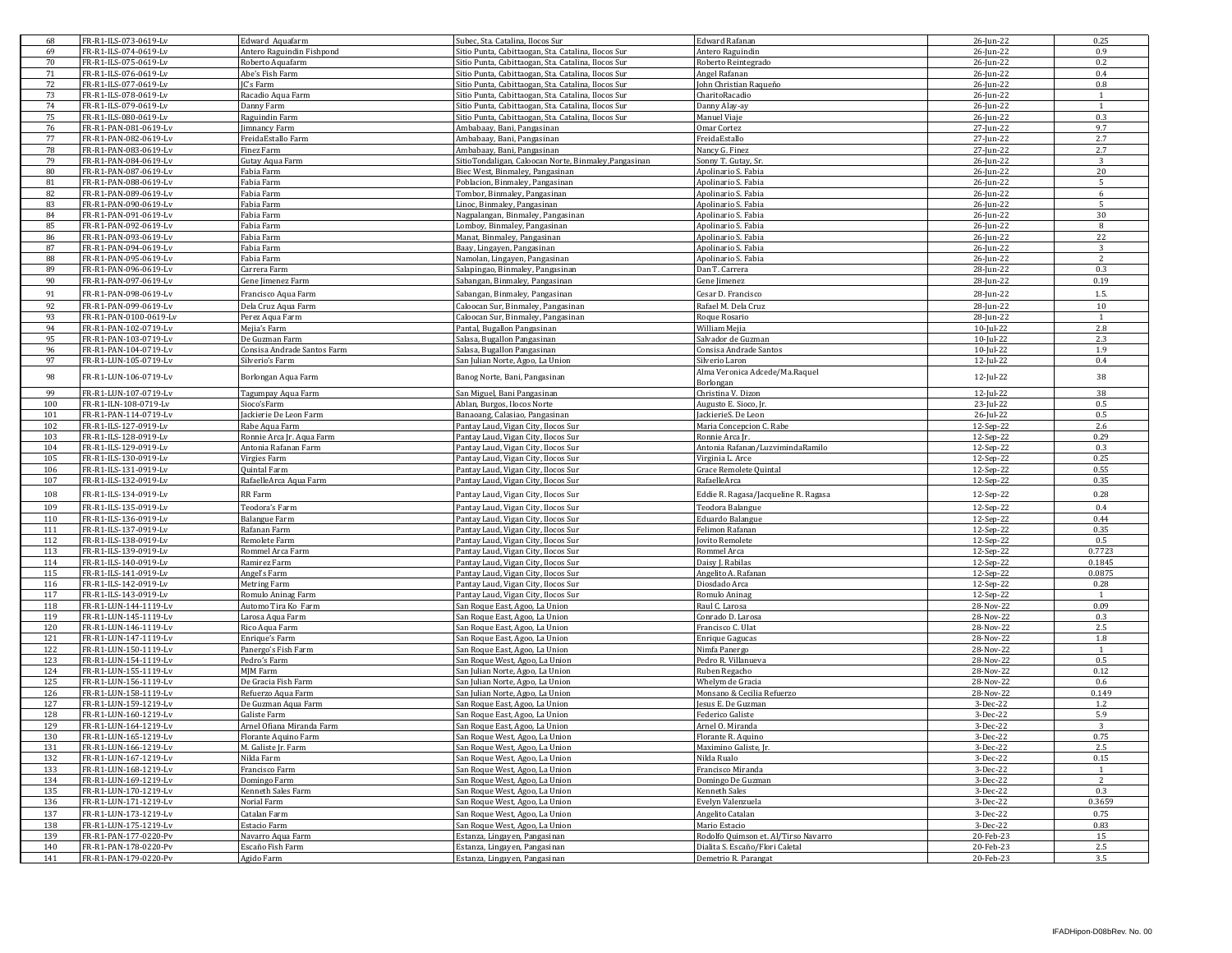| 68  | FR-R1-ILS-073-0619-Lv  | Edward Aquafarm             | Subec, Sta. Catalina, Ilocos Sur                      | <b>Edward Rafanan</b>                | 26-Jun-22    | 0.25           |
|-----|------------------------|-----------------------------|-------------------------------------------------------|--------------------------------------|--------------|----------------|
| 69  | FR-R1-ILS-074-0619-Lv  | Antero Raguindin Fishpond   | Sitio Punta, Cabittaogan, Sta. Catalina, Ilocos Sur   | Antero Raguindin                     | 26-Jun-22    | 0.9            |
| 70  | FR-R1-ILS-075-0619-Lv  | Roberto Aquafarm            | Sitio Punta, Cabittaogan, Sta. Catalina, Ilocos Sur   | Roberto Reintegrado                  | 26-Jun-22    | 0.2            |
| 71  | FR-R1-ILS-076-0619-Lv  | Abe's Fish Farm             | Sitio Punta, Cabittaogan, Sta. Catalina, Ilocos Sur   | Angel Rafanan                        | 26-Jun-22    | 0.4            |
| 72  | FR-R1-ILS-077-0619-Lv  | C's Farm                    |                                                       | Ohn Christian Raqueňo                |              | 0.8            |
|     |                        |                             | Sitio Punta, Cabittaogan, Sta. Catalina, Ilocos Sur   |                                      | 26-Jun-22    |                |
| 73  | FR-R1-ILS-078-0619-Lv  | Racadio Aqua Farm           | Sitio Punta, Cabittaogan, Sta. Catalina, Ilocos Sur   | CharitoRacadio                       | 26-Jun-22    | 1              |
| 74  | FR-R1-ILS-079-0619-Lv  | Danny Farm                  | Sitio Punta, Cabittaogan, Sta. Catalina, Ilocos Sur   | Danny Alay-ay                        | 26-Jun-22    | $\mathbf{1}$   |
| 75  | FR-R1-ILS-080-0619-Lv  | Raguindin Farm              | Sitio Punta, Cabittaogan, Sta. Catalina, Ilocos Sur   | Manuel Viaje                         | 26-Jun-22    | 0.3            |
| 76  | FR-R1-PAN-081-0619-Lv  | imnancy Farm                | Ambabaay, Bani, Pangasinan                            | Omar Cortez                          | 27-Jun-22    | 9.7            |
| 77  | FR-R1-PAN-082-0619-Lv  | FreidaEstallo Farm          | Ambabaay, Bani, Pangasinan                            | FreidaEstallo                        | 27-Jun-22    | 2.7            |
| 78  | FR-R1-PAN-083-0619-Lv  | Finez Farm                  | Ambabaay, Bani, Pangasinan                            | Nancy G. Finez                       | 27-Jun-22    | 2.7            |
| 79  | FR-R1-PAN-084-0619-Lv  | Gutay Aqua Farm             | SitioTondaligan, Caloocan Norte, Binmaley, Pangasinan | Sonny T. Gutay, Sr.                  | 26-Jun-22    | 3              |
| 80  | FR-R1-PAN-087-0619-Lv  | Fabia Farm                  | Biec West, Binmaley, Pangasinan                       | Apolinario S. Fabia                  | 26-Jun-22    | 20             |
| 81  | FR-R1-PAN-088-0619-Lv  | Fabia Farm                  | Poblacion, Binmaley, Pangasinan                       | Apolinario S. Fabia                  | 26-Jun-22    | 5              |
|     | FR-R1-PAN-089-0619-Lv  |                             |                                                       |                                      |              | 6              |
| 82  |                        | Fabia Farm                  | Tombor, Binmaley, Pangasinan                          | Apolinario S. Fabia                  | 26-Jun-22    |                |
| 83  | FR-R1-PAN-090-0619-Lv  | Fabia Farm                  | Linoc, Binmaley, Pangasinan                           | Apolinario S. Fabia                  | 26-Jun-22    | 5              |
| 84  | FR-R1-PAN-091-0619-Lv  | Fabia Farm                  | Nagpalangan, Binmaley, Pangasinan                     | Apolinario S. Fabia                  | 26-Jun-22    | 30             |
| 85  | FR-R1-PAN-092-0619-Lv  | Fabia Farm                  | Lomboy, Binmaley, Pangasinan                          | Apolinario S. Fabia                  | 26-Jun-22    | 8              |
| 86  | FR-R1-PAN-093-0619-Lv  | Fabia Farm                  | Manat, Binmaley, Pangasinan                           | Apolinario S. Fabia                  | 26-Jun-22    | 22             |
| 87  | FR-R1-PAN-094-0619-Lv  | Fabia Farm                  | Baay, Lingayen, Pangasinan                            | Apolinario S. Fabia                  | 26-Jun-22    | 3              |
| 88  | FR-R1-PAN-095-0619-Lv  | Fabia Farm                  | Namolan, Lingayen, Pangasinan                         | Apolinario S. Fabia                  | 26-Jun-22    | $\overline{2}$ |
| 89  | FR-R1-PAN-096-0619-Lv  | Carrera Farm                | Salapingao, Binmaley, Pangasinan                      | Dan T. Carrera                       | 28-Jun-22    | 0.3            |
| 90  | FR-R1-PAN-097-0619-Lv  | Gene Jimenez Farm           | Sabangan, Binmaley, Pangasinan                        | Gene Jimenez                         | 28-Jun-22    | 0.19           |
|     |                        |                             |                                                       |                                      |              |                |
| 91  | FR-R1-PAN-098-0619-Lv  | Francisco Aqua Farm         | Sabangan, Binmaley, Pangasinan                        | Cesar D. Francisco                   | 28-Jun-22    | 1.5.           |
| 92  | FR-R1-PAN-099-0619-Lv  | Dela Cruz Aqua Farm         | Caloocan Sur, Binmaley, Pangasinan                    | Rafael M. Dela Cruz                  | 28-Jun-22    | 10             |
| 93  | FR-R1-PAN-0100-0619-Lv | Perez Aqua Farm             | Caloocan Sur, Binmaley, Pangasinan                    | Roque Rosario                        | 28-Jun-22    | $\overline{1}$ |
| 94  | FR-R1-PAN-102-0719-Lv  | Mejia's Farm                | Pantal, Bugallon Pangasinan                           | William Mejia                        | $10$ -Jul-22 | 2.8            |
| 95  | FR-R1-PAN-103-0719-Lv  | De Guzman Farm              | Salasa, Bugallon Pangasinan                           | Salvador de Guzman                   | $10$ -Jul-22 | 2.3            |
| 96  | FR-R1-PAN-104-0719-Lv  | Consisa Andrade Santos Farm | Salasa, Bugallon Pangasinan                           | Consisa Andrade Santos               | $10$ -Jul-22 | 1.9            |
|     |                        |                             |                                                       |                                      |              |                |
| 97  | FR-R1-LUN-105-0719-Lv  | Silverio's Farm             | San Julian Norte, Agoo, La Union                      | Silverio Laron                       | 12-Jul-22    | 0.4            |
| 98  | FR-R1-LUN-106-0719-Lv  | Borlongan Aqua Farm         | Banog Norte, Bani, Pangasinan                         | Alma Veronica Adcede/Ma.Raquel       | 12-Jul-22    | 38             |
|     |                        |                             |                                                       | Borlongan                            |              |                |
| 99  | FR-R1-LUN-107-0719-Lv  | Tagumpay Aqua Farm          | San Miguel, Bani Pangasinan                           | Christina V. Dizon                   | 12-Jul-22    | 38             |
| 100 | FR-R1-ILN-108-0719-Lv  | Sioco's Farm                | Ablan, Burgos, Ilocos Norte                           | Augusto E. Sioco, Jr.                | 23-Jul-22    | 0.5            |
| 101 | FR-R1-PAN-114-0719-Lv  | ackierie De Leon Farm       | Banaoang, Calasiao, Pangasinan                        | JackierieS. De Leon                  | 26-Jul-22    | 0.5            |
| 102 | FR-R1-ILS-127-0919-Lv  | Rabe Aqua Farm              | Pantay Laud, Vigan City, Ilocos Sur                   | Maria Concepcion C. Rabe             | 12-Sep-22    | 2.6            |
| 103 | FR-R1-ILS-128-0919-Lv  | Ronnie Arca Jr. Aqua Farm   | Pantay Laud, Vigan City, Ilocos Sur                   | Ronnie Arca Jr.                      | 12-Sep-22    | 0.29           |
| 104 | FR-R1-ILS-129-0919-Lv  | Antonia Rafanan Farm        | Pantay Laud, Vigan City, Ilocos Sur                   | Antonia Rafanan/LuzvimindaRamilo     | 12-Sep-22    | 0.3            |
|     |                        |                             |                                                       |                                      |              | 0.25           |
| 105 | FR-R1-ILS-130-0919-Lv  | Virgies Farm                | Pantay Laud, Vigan City, Ilocos Sur                   | Virginia L. Arce                     | 12-Sep-22    |                |
| 106 | FR-R1-ILS-131-0919-Lv  | Quintal Farm                | Pantay Laud, Vigan City, Ilocos Sur                   | Grace Remolete Quintal               | 12-Sep-22    | 0.55           |
| 107 | FR-R1-ILS-132-0919-Lv  | RafaelleArca Aqua Farm      | Pantay Laud, Vigan City, Ilocos Sur                   | RafaelleArca                         | 12-Sep-22    | 0.35           |
| 108 | FR-R1-ILS-134-0919-Lv  | RR Farm                     | Pantay Laud, Vigan City, Ilocos Sur                   | Eddie R. Ragasa/Jacqueline R. Ragasa | 12-Sep-22    | 0.28           |
| 109 | FR-R1-ILS-135-0919-Lv  |                             |                                                       |                                      |              | 0.4            |
|     |                        | Teodora's Farm              | Pantay Laud, Vigan City, Ilocos Sur                   | Teodora Balangue                     | 12-Sep-22    |                |
| 110 | FR-R1-ILS-136-0919-Lv  | <b>Balangue Farm</b>        | Pantay Laud, Vigan City, Ilocos Sur                   | Eduardo Balangue                     | 12-Sep-22    | 0.44           |
| 111 | FR-R1-ILS-137-0919-Lv  | Rafanan Farm                | Pantay Laud, Vigan City, Ilocos Sur                   | Felimon Rafanan                      | 12-Sep-22    | 0.35           |
| 112 | FR-R1-ILS-138-0919-Lv  | Remolete Farm               | Pantay Laud, Vigan City, Ilocos Sur                   | ovito Remolete                       | 12-Sep-22    | 0.5            |
| 113 | FR-R1-ILS-139-0919-Lv  | Rommel Arca Farm            | Pantay Laud, Vigan City, Ilocos Sur                   | Rommel Arca                          | 12-Sep-22    | 0.7723         |
| 114 | FR-R1-ILS-140-0919-Lv  | Ramirez Farm                | Pantay Laud, Vigan City, Ilocos Sur                   | Daisy J. Rabilas                     | 12-Sep-22    | 0.1845         |
| 115 | FR-R1-ILS-141-0919-Lv  | Angel's Farm                | Pantay Laud, Vigan City, Ilocos Sur                   | Angelito A. Rafanan                  | 12-Sep-22    | 0.0875         |
| 116 | FR-R1-ILS-142-0919-Lv  | Metring Farm                | Pantay Laud, Vigan City, Ilocos Sur                   | Diosdado Arca                        | 12-Sep-22    | 0.28           |
| 117 | FR-R1-ILS-143-0919-Lv  | Romulo Aninag Farm          | Pantay Laud, Vigan City, Ilocos Sur                   | Romulo Aninag                        | 12-Sep-22    | -1             |
|     |                        |                             |                                                       |                                      |              |                |
| 118 | FR-R1-LUN-144-1119-Lv  | Automo Tira Ko Farm         | San Roque East, Agoo, La Union                        | Raul C. Larosa                       | 28-Nov-22    | 0.09           |
| 119 | FR-R1-LUN-145-1119-Lv  | arosa Aqua Farm             | San Roque East, Agoo, La Union                        | Conrado D. Larosa                    | 28-Nov-22    | 0.3            |
| 120 | FR-R1-LUN-146-1119-Lv  | Rico Aqua Farm              | San Roque East, Agoo, La Union                        | Francisco C. Ulat                    | 28-Nov-22    | 2.5            |
| 121 | FR-R1-LUN-147-1119-Lv  | Enrique's Farm              | San Roque East, Agoo, La Union                        | <b>Enrique Gagucas</b>               | 28-Nov-22    | 1.8            |
| 122 | FR-R1-LUN-150-1119-Lv  | Panergo's Fish Farm         | San Roque East, Agoo, La Union                        | Nimfa Panergo                        | 28-Nov-22    |                |
| 123 | FR-R1-LUN-154-1119-Lv  | Pedro's Farm                | San Roque West, Agoo, La Union                        | Pedro R. Villanueva                  | 28-Nov-22    | 0.5            |
| 124 | FR-R1-LUN-155-1119-Lv  | MJM Farm                    | San Julian Norte, Agoo, La Union                      | Ruben Regacho                        | 28-Nov-22    | 0.12           |
| 125 | FR-R1-LUN-156-1119-Lv  | De Gracia Fish Farm         | San Julian Norte, Agoo, La Union                      | Whelym de Gracia                     | 28-Nov-22    | 0.6            |
| 126 | FR-R1-LUN-158-1119-Lv  | Refuerzo Aqua Farm          | San Julian Norte, Agoo, La Union                      | Monsano & Cecilia Refuerzo           | 28-Nov-22    | 0.149          |
|     |                        |                             |                                                       |                                      |              |                |
| 127 | FR-R1-LUN-159-1219-Lv  | De Guzman Aqua Farm         | San Roque East, Agoo, La Union                        | esus E. De Guzmar                    | 3-Dec-22     | 1.2            |
| 128 | FR-R1-LUN-160-1219-Lv  | ialiste Farm                | San Roque East, Agoo, La Union                        | Federico Galiste                     | 3-Dec-22     | 5.9            |
| 129 | FR-R1-LUN-164-1219-Lv  | Arnel Ofiana Miranda Farm   | San Roque East, Agoo, La Union                        | Arnel O. Miranda                     | 3-Dec-22     | 3              |
| 130 | FR-R1-LUN-165-1219-Lv  | Florante Aquino Farm        | San Roque West, Agoo, La Union                        | Florante R. Aquino                   | 3-Dec-22     | 0.75           |
| 131 | FR-R1-LUN-166-1219-Lv  | M. Galiste Jr. Farm         | San Roque West, Agoo, La Union                        | Maximino Galiste, Jr.                | 3-Dec-22     | 2.5            |
| 132 | FR-R1-LUN-167-1219-Lv  | Nilda Farm                  | San Roque West, Agoo, La Union                        | Nilda Rualo                          | 3-Dec-22     | 0.15           |
| 133 | FR-R1-LUN-168-1219-Lv  | Francisco Farm              | San Roque West, Agoo, La Union                        | Francisco Miranda                    | 3-Dec-22     | <sup>1</sup>   |
| 134 | FR-R1-LUN-169-1219-Lv  | Domingo Farm                | San Roque West, Agoo, La Union                        | Domingo De Guzman                    | 3-Dec-22     | 2              |
| 135 | FR-R1-LUN-170-1219-Lv  | Kenneth Sales Farm          | San Roque West, Agoo, La Union                        | Kenneth Sales                        | 3-Dec-22     | 0.3            |
|     |                        |                             |                                                       |                                      |              |                |
| 136 | FR-R1-LUN-171-1219-Lv  | Norial Farm                 | San Roque West, Agoo, La Union                        | Evelyn Valenzuela                    | 3-Dec-22     | 0.3659         |
| 137 | FR-R1-LUN-173-1219-Lv  | Catalan Farm                | San Roque West, Agoo, La Union                        | Angelito Catalan                     | 3-Dec-22     | 0.75           |
| 138 | FR-R1-LUN-175-1219-Lv  | Estacio Farm                | San Roque West, Agoo, La Union                        | Mario Estacio                        | 3-Dec-22     | 0.83           |
| 139 | FR-R1-PAN-177-0220-Pv  | Navarro Aqua Farm           | Estanza, Lingayen, Pangasinan                         | Rodolfo Quimson et. Al/Tirso Navarro | 20-Feb-23    | 15             |
| 140 | FR-R1-PAN-178-0220-Pv  | Escaño Fish Farm            | Estanza, Lingayen, Pangasinan                         | Dialita S. Escaño/Flori Caletal      | 20-Feb-23    | 2.5            |
| 141 | FR-R1-PAN-179-0220-Pv  | Agido Farm                  | Estanza, Lingayen, Pangasinan                         | Demetrio R. Parangat                 | 20-Feb-23    | 3.5            |
|     |                        |                             |                                                       |                                      |              |                |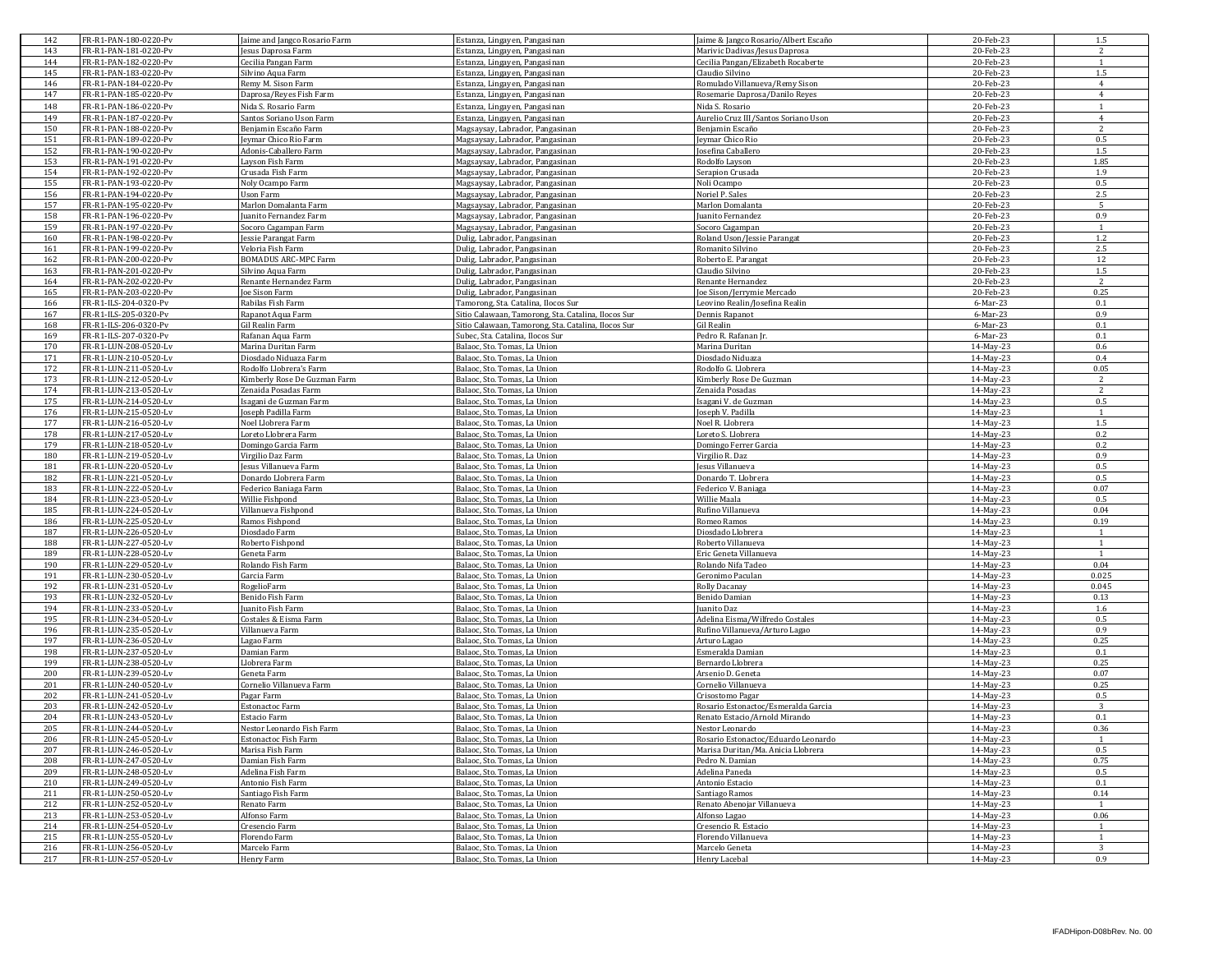| 142        | FR-R1-PAN-180-0220-Pv                          | Jaime and Jangco Rosario Farm                    | Estanza, Lingayen, Pangasinan                                | Jaime & Jangco Rosario/Albert Escaño       | 20-Feb-23              | 1.5                    |
|------------|------------------------------------------------|--------------------------------------------------|--------------------------------------------------------------|--------------------------------------------|------------------------|------------------------|
| 143        | FR-R1-PAN-181-0220-Pv                          | Jesus Daprosa Farm                               | Estanza, Lingayen, Pangasinan                                | Marivic Dadivas/Jesus Daprosa              | 20-Feb-23              | 2                      |
| 144        | FR-R1-PAN-182-0220-Pv                          | lecilia Pangan Farm                              | Estanza, Lingayen, Pangasinan                                | Cecilia Pangan/Elizabeth Rocaberte         | 20-Feb-23              |                        |
| 145        | FR-R1-PAN-183-0220-Pv                          | Silvino Aqua Farm                                | Estanza, Lingayen, Pangasinan                                | Claudio Silvino                            | 20-Feb-23              | $1.5\,$                |
| 146        | FR-R1-PAN-184-0220-Pv                          | Remy M. Sison Farm                               | Estanza, Lingayen, Pangasinan                                | Romulado Villanueva/Remy Sison             | 20-Feb-23              | $\overline{4}$         |
| 147        | FR-R1-PAN-185-0220-Pv                          | Daprosa/Reyes Fish Farm                          | Estanza, Lingayen, Pangasinan                                | Rosemarie Daprosa/Danilo Reyes             | 20-Feb-23              | $\overline{4}$         |
| 148        | FR-R1-PAN-186-0220-Pv                          | Nida S. Rosario Farm                             | Estanza, Lingayen, Pangasinan                                | Nida S. Rosario                            | 20-Feb-23              | 1                      |
| 149        | FR-R1-PAN-187-0220-Pv                          | Santos Soriano Uson Farm                         | Estanza, Lingayen, Pangasinan                                | Aurelio Cruz III/Santos Soriano Uson       | 20-Feb-23              | $\overline{4}$         |
| 150        | FR-R1-PAN-188-0220-Pv                          | Benjamin Escaño Farm                             | Magsaysay, Labrador, Pangasinan                              | Benjamin Escaño                            | 20-Feb-23              | $\overline{2}$         |
| 151        | FR-R1-PAN-189-0220-Pv                          | eymar Chico Rio Farm                             | Magsaysay, Labrador, Pangasinan                              | leymar Chico Rio                           | 20-Feb-23              | 0.5                    |
| 152        | FR-R1-PAN-190-0220-Pv                          | Adonis-Caballero Farm                            | Magsaysay, Labrador, Pangasinan                              | osefina Caballero                          | 20-Feb-23              | 1.5                    |
| 153        | FR-R1-PAN-191-0220-Pv                          | Layson Fish Farm                                 | Magsaysay, Labrador, Pangasinan                              | Rodolfo Layson                             | 20-Feb-23              | 1.85                   |
| 154        | FR-R1-PAN-192-0220-Pv                          | Crusada Fish Farm                                | Magsaysay, Labrador, Pangasinan                              | Serapion Crusada                           | 20-Feb-23              | 1.9                    |
| 155        | FR-R1-PAN-193-0220-Pv                          | Noly Ocampo Farm                                 | Magsaysay, Labrador, Pangasinan                              | Noli Ocampo                                | 20-Feb-23              | 0.5                    |
| 156        | FR-R1-PAN-194-0220-Pv                          | Uson Farm                                        | Magsaysay, Labrador, Pangasinan                              | Noriel P. Sales                            | 20-Feb-23              | 2.5                    |
| 157        | FR-R1-PAN-195-0220-Pv                          | Marlon Domalanta Farm                            | Magsaysay, Labrador, Pangasinan                              | Marlon Domalanta                           | 20-Feb-23              | 5                      |
| 158        | FR-R1-PAN-196-0220-Pv                          | uanito Fernandez Farm                            | Magsaysay, Labrador, Pangasinan                              | uanito Fernandez                           | 20-Feb-23              | 0.9                    |
| 159        | FR-R1-PAN-197-0220-Pv                          | Socoro Cagampan Farm                             | Magsaysay, Labrador, Pangasinan                              | Socoro Cagampan                            | 20-Feb-23              | $\overline{1}$         |
| 160        | FR-R1-PAN-198-0220-Pv                          | Jessie Parangat Farm                             | Dulig, Labrador, Pangasinan                                  | Roland Uson/Jessie Parangat                | 20-Feb-23              | 1.2                    |
| 161        | FR-R1-PAN-199-0220-Pv                          | Veloria Fish Farm                                | Dulig, Labrador, Pangasinan                                  | Romanito Silvino                           | 20-Feb-23              | 2.5                    |
| 162        | FR-R1-PAN-200-0220-Pv                          | BOMADUS ARC-MPC Farm                             | Dulig, Labrador, Pangasinan                                  | Roberto E. Parangat                        | 20-Feb-23              | 12                     |
| 163        | FR-R1-PAN-201-0220-Pv                          | Silvino Aqua Farm                                | Dulig, Labrador, Pangasinan                                  | Claudio Silvino                            | 20-Feb-23              | 1.5                    |
| 164        | FR-R1-PAN-202-0220-Pv                          | Renante Hernandez Farm                           | Dulig, Labrador, Pangasinan                                  | Renante Hernandez                          | 20-Feb-23              | $\overline{2}$         |
| 165        | FR-R1-PAN-203-0220-Pv                          | oe Sison Farm                                    | Dulig, Labrador, Pangasinan                                  | oe Sison/Jerrymie Mercado                  | 20-Feb-23              | 0.25                   |
| 166        | FR-R1-ILS-204-0320-Pv                          | Rabilas Fish Farm                                | Tamorong, Sta. Catalina, Ilocos Sur                          | Leovino Realin/Josefina Realin             | 6-Mar-23               | 0.1                    |
| 167        | FR-R1-ILS-205-0320-Pv                          | Rapanot Aqua Farm                                | Sitio Calawaan, Tamorong, Sta. Catalina, Ilocos Sur          | Dennis Rapanot                             | 6-Mar-23               | 0.9                    |
| 168        | FR-R1-ILS-206-0320-Pv                          | Gil Realin Farm                                  | Sitio Calawaan, Tamorong, Sta. Catalina, Ilocos Sur          | Gil Realin                                 | 6-Mar-23               | 0.1                    |
| 169        | FR-R1-ILS-207-0320-Pv                          | Rafanan Aqua Farm                                | Subec, Sta. Catalina, Ilocos Sur                             | Pedro R. Rafanan Jr                        | 6-Mar-23               | 0.1                    |
| 170        | FR-R1-LUN-208-0520-Lv                          | Marina Duritan Farm                              | Balaoc, Sto, Tomas, La Union                                 | Marina Duritan                             | 14-May-23              | 0.6                    |
| 171        | FR-R1-LUN-210-0520-Lv                          | Diosdado Niduaza Farm<br>Rodolfo Llobrera's Farm | Balaoc, Sto. Tomas, La Union                                 | Diosdado Niduaza                           | 14-May-23              | 0.4                    |
| 172        | FR-R1-LUN-211-0520-Lv                          |                                                  | Balaoc, Sto. Tomas, La Union<br>Balaoc, Sto, Tomas, La Union | Rodolfo G. Llobrera                        | 14-May-23              | 0.05<br>$\overline{2}$ |
| 173<br>174 | FR-R1-LUN-212-0520-Lv<br>FR-R1-LUN-213-0520-Lv | Kimberly Rose De Guzman Farm                     | Balaoc, Sto. Tomas, La Union                                 | Kimberly Rose De Guzman<br>Zenaida Posadas | 14-May-23              |                        |
| 175        | FR-R1-LUN-214-0520-Lv                          | Zenaida Posadas Farm<br>Isagani de Guzman Farm   | Balaoc, Sto. Tomas, La Union                                 | Isagani V, de Guzman                       | 14-May-23<br>14-May-23 | 2<br>0.5               |
| 176        | FR-R1-LUN-215-0520-Lv                          | oseph Padilla Farm                               |                                                              | oseph V. Padilla                           | 14-May-23              |                        |
| 177        |                                                | Noel Llobrera Farm                               | Balaoc, Sto. Tomas, La Union<br>Balaoc, Sto. Tomas, La Union | Noel R. Llobrera                           | 14-May-23              | 1.5                    |
| 178        | FR-R1-LUN-216-0520-Lv<br>FR-R1-LUN-217-0520-Lv | Loreto Llobrera Farm                             | Balaoc, Sto. Tomas, La Union                                 | Loreto S. Llobrera                         | 14-May-23              | 0.2                    |
| 179        | FR-R1-LUN-218-0520-Lv                          | Domingo Garcia Farm                              | Balaoc, Sto, Tomas, La Union                                 | Domingo Ferrer Garcia                      | 14-May-23              | 0.2                    |
| 180        | FR-R1-LUN-219-0520-Lv                          | Virgilio Daz Farm                                | Balaoc, Sto. Tomas, La Union                                 | Virgilio R. Daz                            | 14-May-23              | 0.9                    |
| 181        | FR-R1-LUN-220-0520-Lv                          | Jesus Villanueva Farm                            | Balaoc, Sto. Tomas, La Union                                 | Jesus Villanueva                           | 14-May-23              | 0.5                    |
| 182        | FR-R1-LUN-221-0520-Lv                          | Donardo Llobrera Farm                            | Balaoc, Sto. Tomas, La Union                                 | Donardo T. Llobrera                        | 14-May-23              | 0.5                    |
| 183        | FR-R1-LUN-222-0520-Lv                          | Federico Baniaga Farm                            | Balaoc, Sto. Tomas, La Union                                 | Federico V. Baniaga                        | 14-May-23              | 0.07                   |
| 184        | FR-R1-LUN-223-0520-Lv                          | Willie Fishpond                                  | Balaoc, Sto. Tomas, La Union                                 | Willie Maala                               | 14-May-23              | 0.5                    |
| 185        | FR-R1-LUN-224-0520-Lv                          | Villanueva Fishpond                              | Balaoc, Sto. Tomas, La Union                                 | Rufino Villanueva                          | 14-May-23              | 0.04                   |
| 186        | FR-R1-LUN-225-0520-Lv                          | Ramos Fishpond                                   | Balaoc, Sto. Tomas, La Union                                 | Romeo Ramos                                | 14-May-23              | 0.19                   |
| 187        | FR-R1-LUN-226-0520-Lv                          | Diosdado Farm                                    | Balaoc, Sto. Tomas, La Union                                 | Diosdado Llobrera                          | 14-May-23              | 1                      |
| 188        | FR-R1-LUN-227-0520-Lv                          | Roberto Fishpond                                 | Balaoc, Sto. Tomas, La Union                                 | Roberto Villanueva                         | 14-May-23              | $\overline{1}$         |
| 189        | FR-R1-LUN-228-0520-Lv                          | Geneta Farm                                      | Balaoc, Sto. Tomas, La Union                                 | Eric Geneta Villanueva                     | 14-May-23              | 1                      |
| 190        | FR-R1-LUN-229-0520-Lv                          | Rolando Fish Farm                                | Balaoc, Sto. Tomas, La Union                                 | Rolando Nifa Tadeo                         | 14-May-23              | 0.04                   |
| 191        | FR-R1-LUN-230-0520-Lv                          | Garcia Farm                                      | Balaoc, Sto. Tomas, La Union                                 | Geronimo Paculan                           | 14-May-23              | 0.025                  |
| 192        | FR-R1-LUN-231-0520-Lv                          | RogelioFarm                                      | Balaoc, Sto. Tomas, La Union                                 | Rolly Dacanay                              | 14-May-23              | 0.045                  |
| 193        | FR-R1-LUN-232-0520-Lv                          | Benido Fish Farm                                 | Balaoc, Sto. Tomas, La Union                                 | <b>Benido Damian</b>                       | 14-May-23              | 0.13                   |
| 194        | FR-R1-LUN-233-0520-Lv                          | Juanito Fish Farm                                | Balaoc, Sto. Tomas, La Union                                 | uanito Daz                                 | 14-May-23              | 1.6                    |
| 195        | FR-R1-LUN-234-0520-Lv                          | Costales & Eisma Farm                            | Balaoc, Sto. Tomas, La Union                                 | Adelina Eisma/Wilfredo Costales            | 14-May-23              | 0.5                    |
| 196        | FR-R1-LUN-235-0520-Lv                          | Villanueva Farm                                  | Balaoc, Sto. Tomas, La Union                                 | Rufino Villanueva/Arturo Lagao             | 14-May-23              | 0.9                    |
| 197        | FR-R1-LUN-236-0520-Lv                          | agao Farm                                        | Balaoc, Sto. Tomas, La Union                                 | Arturo Lagao                               | 14-May-23              | 0.25                   |
| 198        | FR-R1-LUN-237-0520-Lv                          | Damian Farm                                      | Balaoc, Sto. Tomas, La Union                                 | Esmeralda Damian                           | 14-May-23              | 0.1                    |
| 199        | FR-R1-LUN-238-0520-Lv                          | Llobrera Farm                                    | Balaoc, Sto. Tomas, La Union                                 | Bernardo Llobrera                          | 14-May-23              | 0.25                   |
| 200        | FR-R1-LUN-239-0520-Lv                          | Geneta Farm                                      | Balaoc, Sto. Tomas, La Union                                 | Arsenio D. Geneta                          | 14-May-23              | 0.07                   |
| 201        | FR-R1-LUN-240-0520-Lv                          | Cornelio Villanueva Farm                         | Balaoc, Sto. Tomas, La Union                                 | Cornelio Villanueva                        | 14-May-23              | 0.25                   |
| 202        | FR-R1-LUN-241-0520-Lv                          | Pagar Farm                                       | Balaoc, Sto. Tomas, La Union                                 | Crisostomo Pagar                           | 14-May-23              | 0.5                    |
| 203        | FR-R1-LUN-242-0520-Lv                          | Estonactoc Farm                                  | Balaoc, Sto. Tomas, La Union                                 | Rosario Estonactoc/Esmeralda Garcia        | 14-May-23              |                        |
| 204        | FR-R1-LUN-243-0520-Lv                          | Estacio Farm                                     | Balaoc, Sto, Tomas, La Union                                 | Renato Estacio/Arnold Mirando              | 14-May-23              | 0.1                    |
| 205        | FR-R1-LUN-244-0520-Lv                          | Nestor Leonardo Fish Farm                        | Balaoc, Sto. Tomas, La Union                                 | Nestor Leonardo                            | 14-May-23              | 0.36                   |
| 206        | FR-R1-LUN-245-0520-Lv                          | Estonactoc Fish Farm                             | Balaoc, Sto. Tomas, La Union                                 | Rosario Estonactoc/Eduardo Leonardo        | 14-May-23              |                        |
| 207        | FR-R1-LUN-246-0520-Lv                          | Marisa Fish Farm                                 | Balaoc, Sto. Tomas, La Union                                 | Marisa Duritan/Ma. Anicia Llobrera         | 14-May-23              | 0.5                    |
| 208        | FR-R1-LUN-247-0520-Lv                          | Damian Fish Farm                                 | Balaoc, Sto. Tomas, La Union                                 | Pedro N. Damian                            | 14-May-23              | 0.75                   |
| 209        | FR-R1-LUN-248-0520-Lv                          | Adelina Fish Farm                                | Balaoc, Sto. Tomas, La Union                                 | Adelina Paneda                             | 14-May-23              | 0.5                    |
| 210        | FR-R1-LUN-249-0520-Lv                          | Antonio Fish Farm                                | Balaoc, Sto. Tomas, La Union                                 | Antonio Estacio                            | 14-May-23              | 0.1                    |
| 211        | FR-R1-LUN-250-0520-Lv                          | Santiago Fish Farm                               | Balaoc, Sto. Tomas, La Union                                 | Santiago Ramos                             | 14-May-23              | 0.14                   |
| 212        | FR-R1-LUN-252-0520-Lv                          | Renato Farm                                      | Balaoc, Sto, Tomas, La Union                                 | Renato Abenojar Villanueva                 | 14-May-23              |                        |
| 213        | FR-R1-LUN-253-0520-Lv                          | Alfonso Farm                                     | Balaoc, Sto. Tomas, La Union                                 | Alfonso Lagao                              | 14-May-23              | 0.06                   |
| 214        | FR-R1-LUN-254-0520-Lv                          | Cresencio Farm                                   | Balaoc, Sto. Tomas, La Union                                 | Cresencio R. Estacio                       | 14-May-23              | 1                      |
| 215        | FR-R1-LUN-255-0520-Lv                          | Florendo Farm                                    | Balaoc, Sto, Tomas, La Union                                 | Florendo Villanueva                        | 14-May-23              |                        |
| 216        | FR-R1-LUN-256-0520-Lv                          | Marcelo Farm                                     | Balaoc, Sto. Tomas, La Union                                 | Marcelo Geneta                             | 14-May-23              | 3                      |
| 217        | FR-R1-LUN-257-0520-Lv                          | Henry Farm                                       | Balaoc, Sto. Tomas, La Union                                 | Henry Lacebal                              | 14-May-23              | 0.9                    |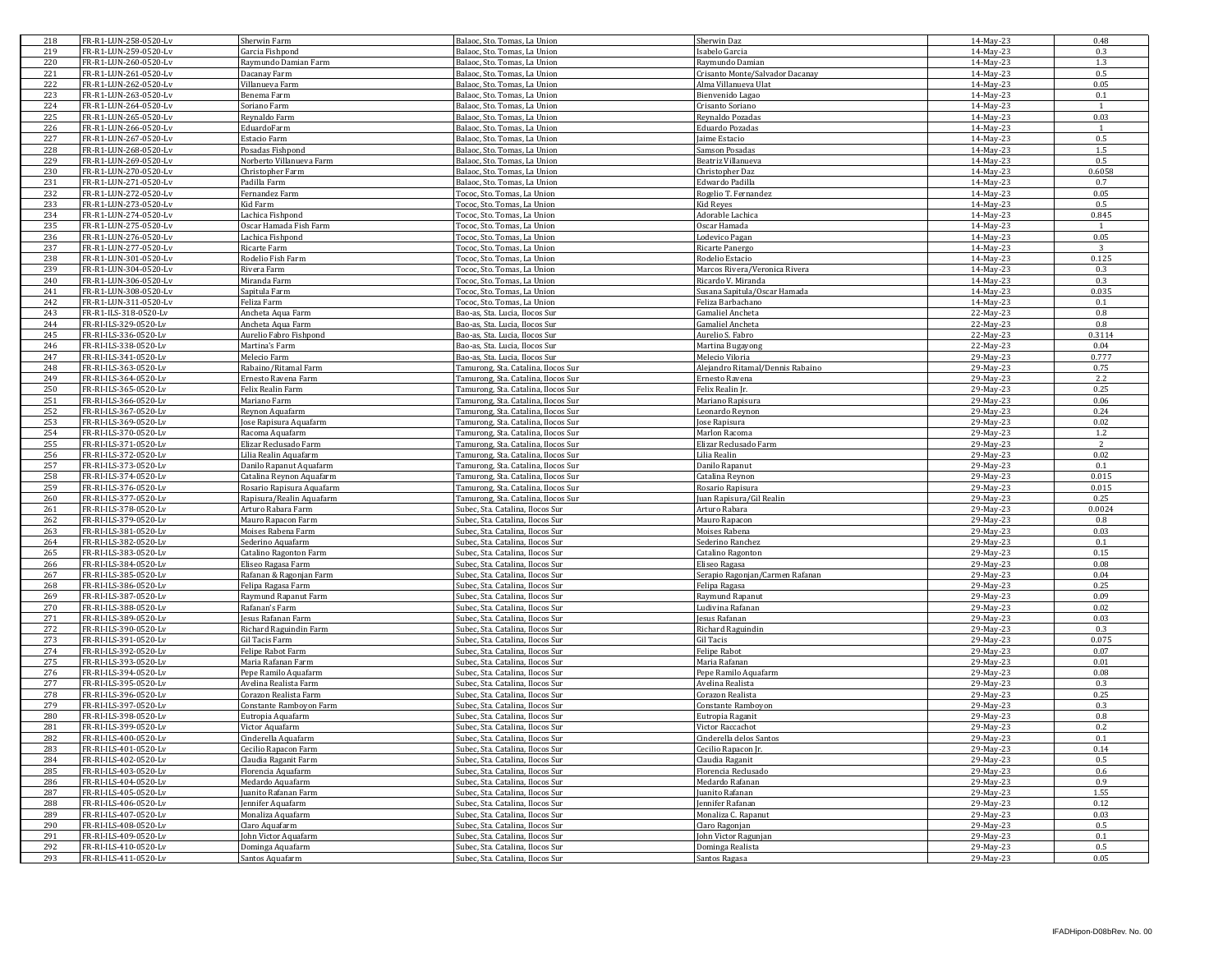| 218 | FR-R1-LUN-258-0520-Lv | Sherwin Farm              | Balaoc, Sto. Tomas, La Union        | Sherwin Daz                      | 14-May-23 | 0.48           |
|-----|-----------------------|---------------------------|-------------------------------------|----------------------------------|-----------|----------------|
| 219 | FR-R1-LUN-259-0520-Lv | Garcia Fishpond           | Balaoc, Sto. Tomas, La Union        | Isabelo Garcia                   | 14-May-23 | 0.3            |
| 220 | FR-R1-LUN-260-0520-Lv | Raymundo Damian Farm      | Balaoc, Sto. Tomas, La Union        | Raymundo Damian                  | 14-May-23 | 1.3            |
| 221 | FR-R1-LUN-261-0520-Lv | Dacanay Farm              | Balaoc, Sto. Tomas, La Union        | Crisanto Monte/Salvador Dacanay  | 14-May-23 | 0.5            |
|     |                       | Villanueva Farm           |                                     |                                  | 14-May-23 | 0.05           |
| 222 | FR-R1-LUN-262-0520-Lv |                           | Balaoc, Sto. Tomas, La Union        | Alma Villanueva Ulat             |           |                |
| 223 | FR-R1-LUN-263-0520-Lv | Benema Farm               | Balaoc, Sto. Tomas, La Union        | Bienvenido Lagao                 | 14-May-23 | 0.1            |
| 224 | FR-R1-LUN-264-0520-Lv | Soriano Farm              | Balaoc, Sto. Tomas, La Union        | Crisanto Soriano                 | 14-May-23 | $\overline{1}$ |
| 225 | FR-R1-LUN-265-0520-Lv | Reynaldo Farm             | Balaoc, Sto. Tomas, La Union        | Reynaldo Pozadas                 | 14-May-23 | 0.03           |
| 226 | FR-R1-LUN-266-0520-Lv | EduardoFarm               | Balaoc, Sto. Tomas, La Union        | Eduardo Pozadas                  | 14-May-23 | $\mathbf{1}$   |
| 227 | FR-R1-LUN-267-0520-Lv | Estacio Farm              | Balaoc, Sto. Tomas, La Union        | Jaime Estacio                    | 14-May-23 | 0.5            |
| 228 | FR-R1-LUN-268-0520-Lv | Posadas Fishpond          | Balaoc, Sto. Tomas, La Union        | Samson Posadas                   | 14-May-23 | 1.5            |
| 229 | FR-R1-LUN-269-0520-Lv | Norberto Villanueva Farm  | Balaoc, Sto. Tomas, La Union        | Beatriz Villanueva               | 14-May-23 | 0.5            |
| 230 | FR-R1-LUN-270-0520-Lv | Christopher Farm          | Balaoc, Sto. Tomas, La Union        | Christopher Daz                  | 14-May-23 | 0.6058         |
| 231 | FR-R1-LUN-271-0520-Lv | Padilla Farm              | Balaoc, Sto. Tomas, La Union        | Edwardo Padilla                  | 14-May-23 | 0.7            |
|     |                       |                           |                                     | Rogelio T. Fernandez             |           |                |
| 232 | FR-R1-LUN-272-0520-Lv | Fernandez Farm            | Tococ, Sto. Tomas, La Union         |                                  | 14-May-23 | 0.05           |
| 233 | FR-R1-LUN-273-0520-Lv | Kid Farm                  | Tococ, Sto. Tomas, La Union         | Kid Reyes                        | 14-May-23 | 0.5            |
| 234 | FR-R1-LUN-274-0520-Lv | Lachica Fishpond          | Tococ, Sto. Tomas, La Union         | Adorable Lachica                 | 14-May-23 | 0.845          |
| 235 | FR-R1-LUN-275-0520-Lv | Oscar Hamada Fish Farm    | Tococ, Sto. Tomas, La Union         | Oscar Hamada                     | 14-May-23 | 1              |
| 236 | FR-R1-LUN-276-0520-Lv | Lachica Fishpond          | Tococ. Sto. Tomas. La Union         | Lodevico Pagan                   | 14-May-23 | 0.05           |
| 237 | FR-R1-LUN-277-0520-Lv | Ricarte Farm              | Tococ, Sto. Tomas, La Union         | Ricarte Panergo                  | 14-May-23 | 3              |
| 238 | FR-R1-LUN-301-0520-Lv | Rodelio Fish Farm         | Tococ, Sto. Tomas, La Union         | Rodelio Estacio                  | 14-May-23 | 0.125          |
| 239 | FR-R1-LUN-304-0520-Lv | Rivera Farm               | Tococ, Sto. Tomas, La Union         | Marcos Rivera/Veronica Rivera    | 14-May-23 | 0.3            |
| 240 | FR-R1-LUN-306-0520-Lv | Miranda Farm              | Fococ, Sto. Tomas, La Union         | Ricardo V. Miranda               | 14-May-23 | 0.3            |
| 241 | FR-R1-LUN-308-0520-Lv | Sapitula Farm             |                                     | Susana Sapitula/Oscar Hamada     | 14-May-23 | 0.035          |
|     |                       |                           | Tococ, Sto. Tomas, La Union         |                                  |           |                |
| 242 | FR-R1-LUN-311-0520-Lv | Feliza Farm               | Tococ, Sto. Tomas, La Union         | Feliza Barbachano                | 14-May-23 | 0.1            |
| 243 | FR-R1-ILS-318-0520-Lv | Ancheta Aqua Farm         | Bao-as, Sta. Lucia, Ilocos Sur      | Gamaliel Ancheta                 | 22-May-23 | 0.8            |
| 244 | FR-RI-ILS-329-0520-Lv | Ancheta Aqua Farm         | Bao-as, Sta. Lucia, Ilocos Sur      | Gamaliel Ancheta                 | 22-May-23 | 0.8            |
| 245 | FR-RI-ILS-336-0520-Lv | Aurelio Fabro Fishpond    | Bao-as, Sta. Lucia, Ilocos Sur      | Aurelio S. Fabro                 | 22-May-23 | 0.3114         |
| 246 | FR-RI-ILS-338-0520-Lv | Martina's Farm            | Bao-as, Sta. Lucia, Ilocos Sur      | Martina Bugayong                 | 22-May-23 | 0.04           |
| 247 | FR-RI-ILS-341-0520-Lv | Melecio Farm              | Bao-as, Sta. Lucia, Ilocos Sur      | Melecio Viloria                  | 29-May-23 | 0.777          |
| 248 | FR-RI-ILS-363-0520-Lv | Rabaino/Ritamal Farm      | Tamurong, Sta. Catalina, Ilocos Sur | Alejandro Ritamal/Dennis Rabaino | 29-May-23 | 0.75           |
| 249 | FR-RI-ILS-364-0520-Lv | Ernesto Ravena Farm       | Tamurong, Sta. Catalina, Ilocos Sur | Ernesto Ravena                   | 29-May-23 | 2.2            |
| 250 |                       | Felix Realin Farm         |                                     | Felix Realin Jr.                 |           | 0.25           |
|     | FR-RI-ILS-365-0520-Lv |                           | Tamurong, Sta. Catalina, Ilocos Sur |                                  | 29-May-23 |                |
| 251 | FR-RI-ILS-366-0520-Lv | Mariano Farm              | Tamurong, Sta. Catalina, Ilocos Sur | Mariano Rapisura                 | 29-May-23 | 0.06           |
| 252 | FR-RI-ILS-367-0520-Lv | Reynon Aquafarm           | Famurong, Sta. Catalina, Ilocos Sur | Leonardo Revnon                  | 29-May-23 | 0.24           |
| 253 | FR-RI-ILS-369-0520-Lv | Jose Rapisura Aquafarm    | Tamurong, Sta. Catalina, Ilocos Sur | Jose Rapisura                    | 29-May-23 | 0.02           |
| 254 | FR-RI-ILS-370-0520-Lv | Racoma Aquafarm           | Tamurong, Sta. Catalina, Ilocos Sur | Marlon Racoma                    | 29-May-23 | 1.2            |
| 255 | FR-RI-ILS-371-0520-Lv | Elizar Reclusado Farm     | Famurong, Sta, Catalina, Ilocos Sur | Elizar Reclusado Farm            | 29-May-23 | 2              |
| 256 | FR-RI-ILS-372-0520-Lv | Lilia Realin Aquafarm     | Tamurong, Sta. Catalina, Ilocos Sur | Lilia Realin                     | 29-May-23 | 0.02           |
| 257 | FR-RI-ILS-373-0520-Lv | Danilo Rapanut Aquafarm   | Tamurong, Sta. Catalina, Ilocos Sur | Danilo Rapanut                   | 29-May-23 | 0.1            |
| 258 | FR-RI-ILS-374-0520-Lv | Catalina Reynon Aquafarm  | Famurong, Sta. Catalina, Ilocos Sur | Catalina Reynon                  | 29-May-23 | 0.015          |
| 259 |                       |                           |                                     | Rosario Rapisura                 |           |                |
|     |                       |                           |                                     |                                  |           |                |
|     | FR-RI-ILS-376-0520-Lv | Rosario Rapisura Aquafarm | Tamurong, Sta. Catalina, Ilocos Sur |                                  | 29-May-23 | 0.015          |
| 260 | FR-RI-ILS-377-0520-Lv | Rapisura/Realin Aquafarm  | Tamurong, Sta. Catalina, Ilocos Sur | Juan Rapisura/Gil Realin         | 29-May-23 | 0.25           |
| 261 | FR-RI-ILS-378-0520-Lv | Arturo Rabara Farm        | Subec, Sta. Catalina, Ilocos Sur    | Arturo Rabara                    | 29-May-23 | 0.0024         |
| 262 | FR-RI-ILS-379-0520-Lv | Mauro Rapacon Farm        | Subec, Sta. Catalina, Ilocos Sur    | Mauro Rapacon                    | 29-May-23 | 0.8            |
| 263 | FR-RI-ILS-381-0520-Lv | Moises Rabena Farm        | Subec, Sta. Catalina, Ilocos Sur    | Moises Rabena                    | 29-May-23 | 0.03           |
| 264 | FR-RI-ILS-382-0520-Lv | Sederino Aquafarm         | Subec, Sta. Catalina, Ilocos Sur    | Sederino Ranchez                 | 29-May-23 | 0.1            |
| 265 | FR-RI-ILS-383-0520-Lv |                           |                                     |                                  |           | 0.15           |
|     |                       | Catalino Ragonton Farm    | Subec, Sta. Catalina, Ilocos Sur    | Catalino Ragonton                | 29-May-23 |                |
| 266 | FR-RI-ILS-384-0520-Lv | Eliseo Ragasa Farm        | Subec, Sta. Catalina, Ilocos Sur    | Eliseo Ragasa                    | 29-May-23 | 0.08           |
| 267 | FR-RI-ILS-385-0520-Lv | Rafanan & Ragonjan Farm   | Subec, Sta. Catalina, Ilocos Sur    | Serapio Ragonjan/Carmen Rafanan  | 29-May-23 | 0.04           |
| 268 | FR-RI-ILS-386-0520-Lv | Felipa Ragasa Farm        | Subec, Sta. Catalina, Ilocos Sur    | Felipa Ragasa                    | 29-May-23 | 0.25           |
| 269 | FR-RI-ILS-387-0520-Lv | Raymund Rapanut Farm      | Subec, Sta. Catalina, Ilocos Sur    | Raymund Rapanut                  | 29-May-23 | 0.09           |
| 270 | FR-RI-ILS-388-0520-Lv | Rafanan's Farm            | Subec, Sta. Catalina, Ilocos Sur    | Ludivina Rafanan                 | 29-May-23 | 0.02           |
| 271 | FR-RI-ILS-389-0520-Lv | Jesus Rafanan Farm        | Subec, Sta. Catalina, Ilocos Sur    | Jesus Rafanan                    | 29-May-23 | 0.03           |
| 272 | FR-RI-ILS-390-0520-Lv | Richard Raguindin Farm    | Subec, Sta. Catalina, Ilocos Sur    | Richard Raguindin                | 29-May-23 | 0.3            |
| 273 | FR-RI-ILS-391-0520-Lv | Gil Tacis Farm            | Subec, Sta. Catalina, Ilocos Sur    | Gil Tacis                        | 29-May-23 | 0.075          |
| 274 | FR-RI-ILS-392-0520-Lv | Felipe Rabot Farm         | Subec, Sta. Catalina, Ilocos Sur    | Felipe Rabot                     | 29-May-23 | 0.07           |
| 275 | FR-RI-ILS-393-0520-Lv | Maria Rafanan Farm        |                                     | Maria Rafanan                    | 29-May-23 | 0.01           |
|     |                       |                           | Subec, Sta. Catalina, Ilocos Sur    |                                  |           |                |
| 276 | FR-RI-ILS-394-0520-Lv | Pepe Ramilo Aquafarm      | Subec, Sta. Catalina, Ilocos Sur    | Pepe Ramilo Aquafarm             | 29-May-23 | 0.08           |
| 277 | FR-RI-ILS-395-0520-Lv | Avelina Realista Farm     | Subec, Sta. Catalina, Ilocos Sur    | Avelina Realista                 | 29-May-23 | 0.3            |
| 278 | FR-RI-ILS-396-0520-Lv | Corazon Realista Farm     | Subec, Sta. Catalina, Ilocos Sur    | Corazon Realista                 | 29-May-23 | 0.25           |
| 279 | FR-RI-ILS-397-0520-Lv | Constante Ramboyon Farm   | Subec, Sta. Catalina, Ilocos Sur    | Constante Ramboyon               | 29-May-23 | 0.3            |
| 280 | FR-RI-ILS-398-0520-Lv | Eutropia Aquafarm         | Subec, Sta. Catalina, Ilocos Sur    | Eutropia Raganit                 | 29-May-23 | 0.8            |
| 281 | FR-RI-ILS-399-0520-Lv | Victor Aquafarm           | Subec, Sta. Catalina, Ilocos Sur    | Victor Raccachot                 | 29-May-23 | 0.2            |
| 282 | FR-RI-ILS-400-0520-Lv | Cinderella Aquafarm       | Subec, Sta. Catalina, Ilocos Sur    | Cinderella delos Santos          | 29-May-23 | 0.1            |
| 283 | FR-RI-ILS-401-0520-Lv |                           | Subec, Sta. Catalina, Ilocos Sur    | Cecilio Rapacon Jr.              | 29-May-23 | 0.14           |
|     |                       | Cecilio Rapacon Farm      |                                     | Claudia Raganit                  |           |                |
| 284 | FR-RI-ILS-402-0520-Lv | Claudia Raganit Farm      | Subec, Sta. Catalina, Ilocos Sur    |                                  | 29-May-23 | 0.5            |
| 285 | FR-RI-ILS-403-0520-Lv | Florencia Aquafarm        | Subec, Sta. Catalina, Ilocos Sur    | Florencia Reclusado              | 29-May-23 | 0.6            |
| 286 | FR-RI-ILS-404-0520-Lv | Medardo Aquafarm          | Subec, Sta. Catalina, Ilocos Sur    | Medardo Rafanan                  | 29-May-23 | 0.9            |
| 287 | FR-RI-ILS-405-0520-Lv | Juanito Rafanan Farm      | Subec, Sta, Catalina, Ilocos Sur    | Juanito Rafanan                  | 29-May-23 | 1.55           |
| 288 | FR-RI-ILS-406-0520-Lv | ennifer Aquafarm          | Subec, Sta. Catalina, Ilocos Sur    | Jennifer Rafanan                 | 29-May-23 | 0.12           |
| 289 | FR-RI-ILS-407-0520-Lv | Monaliza Aquafarm         | Subec, Sta. Catalina, Ilocos Sur    | Monaliza C. Rapanut              | 29-May-23 | 0.03           |
| 290 | FR-RI-ILS-408-0520-Lv | Claro Aquafarm            | Subec, Sta. Catalina, Ilocos Sur    | Claro Ragonjan                   | 29-May-23 | 0.5            |
| 291 | FR-RI-ILS-409-0520-Lv | John Victor Aquafarm      | Subec, Sta. Catalina, Ilocos Sur    | John Victor Ragunjan             | 29-May-23 | 0.1            |
| 292 | FR-RI-ILS-410-0520-Lv | Dominga Aquafarm          | Subec, Sta. Catalina, Ilocos Sur    | Dominga Realista                 | 29-May-23 | 0.5            |
| 293 | FR-RI-ILS-411-0520-Lv | Santos Aquafarm           | Subec, Sta. Catalina, Ilocos Sur    | Santos Ragasa                    | 29-May-23 | 0.05           |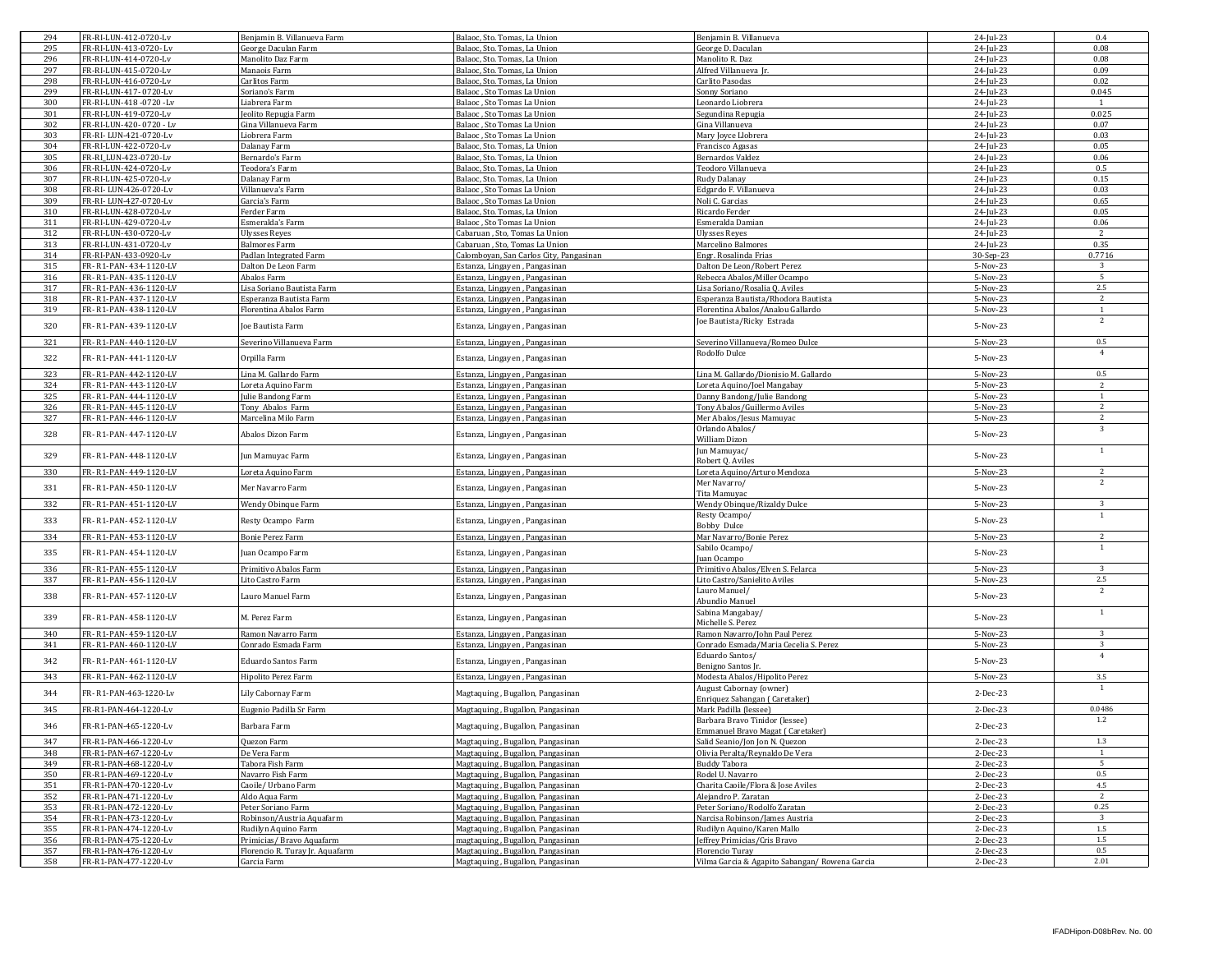| 294 | FR-RI-LUN-412-0720-Lv   | Benjamin B. Villanueva Farm     | Balaoc, Sto. Tomas, La Union            | Benjamin B. Villanueva                          | 24-Jul-23  | 0.4            |
|-----|-------------------------|---------------------------------|-----------------------------------------|-------------------------------------------------|------------|----------------|
| 295 | FR-RI-LUN-413-0720-Lv   | George Daculan Farm             | Balaoc, Sto. Tomas, La Union            | George D. Daculan                               | 24-Jul-23  | 0.08           |
| 296 | FR-RI-LUN-414-0720-Lv   | Manolito Daz Farm               | Balaoc, Sto. Tomas, La Union            | Manolito R. Daz                                 | 24-Jul-23  | 0.08           |
| 297 | FR-RI-LUN-415-0720-Lv   | Manaois Farm                    | Balaoc, Sto. Tomas, La Union            | Alfred Villanueva Jr.                           | 24-Jul-23  | 0.09           |
| 298 | FR-RI-LUN-416-0720-Lv   | Carlitos Farm                   | Balaoc, Sto. Tomas, La Union            | Carlito Pasodas                                 | 24-Jul-23  | 0.02           |
| 299 | FR-RI-LUN-417-0720-Lv   |                                 |                                         |                                                 | 24-Jul-23  | 0.045          |
|     |                         | Soriano's Farm                  | Balaoc, Sto Tomas La Union              | Sonny Soriano                                   |            |                |
| 300 | FR-RI-LUN-418 -0720 -Lv | Liabrera Farm                   | Balaoc, Sto Tomas La Union              | Leonardo Liobrera                               | 24-Jul-23  | 1              |
| 301 | FR-RI-LUN-419-0720-Lv   | Jeolito Repugia Farm            | Balaoc, Sto Tomas La Union              | Segundina Repugia                               | 24-Jul-23  | 0.025          |
| 302 | FR-RI-LUN-420-0720 - Lv | ina Villanueva Farm             | Balaoc . Sto Tomas La Union             | ina Villanueva                                  | 24-Jul-23  | 0.07           |
| 303 | FR-RI-LUN-421-0720-Lv   | Liobrera Farm                   | Balaoc, Sto Tomas La Union              | Mary Joyce Llobrera                             | 24-Jul-23  | 0.03           |
| 304 | FR-RI-LUN-422-0720-Lv   | Dalanay Farm                    | Balaoc, Sto. Tomas, La Union            | Francisco Agasas                                | 24-Jul-23  | 0.05           |
| 305 | FR-RI LUN-423-0720-Lv   | Bernardo's Farm                 | Balaoc, Sto. Tomas, La Union            | Bernardos Valdez                                | 24-Jul-23  | 0.06           |
|     |                         |                                 |                                         |                                                 |            |                |
| 306 | FR-RI-LUN-424-0720-Lv   | Teodora's Farm                  | Balaoc, Sto. Tomas, La Union            | Teodoro Villanueva                              | 24-Jul-23  | 0.5            |
| 307 | FR-RI-LUN-425-0720-Lv   | Dalanay Farm                    | Balaoc, Sto. Tomas, La Union            | Rudy Dalanay                                    | 24-Jul-23  | 0.15           |
| 308 | FR-RI-LUN-426-0720-Lv   | Villanueva's Farm               | Balaoc, Sto Tomas La Union              | Edgardo F. Villanueva                           | 24-Jul-23  | 0.03           |
| 309 | FR-RI-LUN-427-0720-Lv   | Garcia's Farm                   | Balaoc, Sto Tomas La Union              | Noli C. Garcias                                 | 24-Jul-23  | 0.65           |
| 310 | FR-RI-LUN-428-0720-Lv   | Ferder Farm                     | Balaoc, Sto. Tomas, La Union            | Ricardo Ferder                                  | 24-Jul-23  | 0.05           |
| 311 | FR-RI-LUN-429-0720-Lv   | Esmeralda's Farm                | Balaoc . Sto Tomas La Union             | Esmeralda Damian                                | 24-Jul-23  | 0.06           |
| 312 |                         |                                 | Cabaruan, Sto, Tomas La Union           | <b>Jlysses Reves</b>                            | 24-Jul-23  | $\overline{2}$ |
|     | FR-RI-LUN-430-0720-Lv   | Ulysses Reyes                   |                                         |                                                 |            |                |
| 313 | FR-RI-LUN-431-0720-Lv   | Balmores Farm                   | Cabaruan . Sto. Tomas La Union          | Marcelino Balmores                              | 24-Jul-23  | 0.35           |
| 314 | FR-RI-PAN-433-0920-Lv   | Padlan Integrated Farm          | Calomboyan, San Carlos City, Pangasinan | Engr. Rosalinda Frias                           | 30-Sep-23  | 0.7716         |
| 315 | FR-R1-PAN-434-1120-LV   | Dalton De Leon Farm             | Estanza, Lingayen, Pangasinan           | Dalton De Leon/Robert Perez                     | 5-Nov-23   | -3             |
| 316 | FR-R1-PAN-435-1120-LV   | Abalos Farm                     | Estanza, Lingayen, Pangasinan           | Rebecca Abalos/Miller Ocampo                    | 5-Nov-23   | 5              |
| 317 | FR-R1-PAN-436-1120-LV   | isa Soriano Bautista Farm       | Estanza, Lingayen, Pangasinan           | isa Soriano/Rosalia Q. Aviles                   | 5-Nov-23   | $2.5\,$        |
| 318 | FR-R1-PAN-437-1120-LV   | Esperanza Bautista Farm         | Estanza, Lingayen, Pangasinan           | Esperanza Bautista/Rhodora Bautista             | 5-Nov-23   | 2              |
|     |                         |                                 |                                         |                                                 |            |                |
| 319 | FR-R1-PAN-438-1120-LV   | Florentina Abalos Farm          | Estanza, Lingayen, Pangasinan           | Florentina Abalos/Analou Gallardo               | 5-Nov-23   | <sup>1</sup>   |
| 320 | FR- R1-PAN- 439-1120-LV | Joe Bautista Farm               | Estanza, Lingayen, Pangasinan           | Joe Bautista/Ricky Estrada                      | 5-Nov-23   | 2              |
|     |                         |                                 |                                         |                                                 |            |                |
| 321 | FR-R1-PAN-440-1120-LV   | Severino Villanueva Farm        | Estanza, Lingayen, Pangasinan           | Severino Villanueva/Romeo Dulce                 | 5-Nov-23   | 0.5            |
|     |                         |                                 |                                         | Rodolfo Dulce                                   |            | $\overline{4}$ |
| 322 | FR-R1-PAN-441-1120-LV   | Orpilla Farm                    | Estanza, Lingayen, Pangasinan           |                                                 | 5-Nov-23   |                |
|     | FR-R1-PAN-442-1120-LV   |                                 |                                         | Lina M. Gallardo/Dionisio M. Gallardo           |            |                |
| 323 |                         | Lina M. Gallardo Farm           | Estanza, Lingayen, Pangasinan           |                                                 | 5-Nov-23   | 0.5            |
| 324 | FR-R1-PAN-443-1120-LV   | oreta Aquino Farm.              | Estanza, Lingayen, Pangasinan           | oreta Aquino/Joel Mangabay                      | 5-Nov-23   | $\overline{2}$ |
| 325 | FR-R1-PAN-444-1120-LV   | Julie Bandong Farm              | Estanza, Lingayen, Pangasinan           | Danny Bandong/Julie Bandong                     | 5-Nov-23   | 1              |
| 326 | FR-R1-PAN-445-1120-LV   | Tony Abalos Farm                | Estanza, Lingayen, Pangasinan           | Tony Abalos/Guillermo Aviles                    | 5-Nov-23   | 2              |
| 327 | FR-R1-PAN-446-1120-LV   | Marcelina Milo Farm             | Estanza, Lingayen, Pangasinan           | Mer Abalos/Jesus Mamuyac                        | 5-Nov-23   | $\overline{2}$ |
|     |                         |                                 |                                         | Orlando Abalos/                                 |            | 3              |
| 328 | FR-R1-PAN-447-1120-LV   | Abalos Dizon Farm               | Estanza, Lingayen, Pangasinan           |                                                 | 5-Nov-23   |                |
|     |                         |                                 |                                         | William Dizon                                   |            | $\mathbf{1}$   |
| 329 | FR- R1-PAN- 448-1120-LV | Jun Mamuyac Farm                | Estanza, Lingayen, Pangasinan           | Jun Mamuyac/                                    | 5-Nov-23   |                |
|     |                         |                                 |                                         | Robert Q. Aviles                                |            |                |
| 330 | FR-R1-PAN-449-1120-LV   | Loreta Aquino Farm              | Estanza, Lingayen, Pangasinan           | oreta Aquino/Arturo Mendoza                     | 5-Nov-23   | 2              |
|     |                         |                                 |                                         | Mer Navarro/                                    |            | 2              |
| 331 | FR-R1-PAN-450-1120-LV   | Mer Navarro Farm                | Estanza, Lingayen, Pangasinan           | Tita Mamuyac                                    | 5-Nov-23   |                |
| 332 | FR-R1-PAN-451-1120-LV   | Wendy Obinque Farm              | Estanza, Lingayen, Pangasinan           | Wendy Obinque/Rizaldy Dulce                     | 5-Nov-23   | 3              |
|     |                         |                                 |                                         |                                                 |            | 1              |
| 333 | FR- R1-PAN- 452-1120-LV | Resty Ocampo Farm               | Estanza, Lingayen, Pangasinan           | Resty Ocampo/                                   | 5-Nov-23   |                |
|     |                         |                                 |                                         | Bobby Dulce                                     |            |                |
| 334 | FR-R1-PAN-453-1120-LV   | Bonie Perez Farm                | Estanza, Lingayen, Pangasinan           | Mar Navarro/Bonie Perez                         | 5-Nov-23   | 2              |
|     |                         |                                 |                                         | Sabilo Ocampo/                                  |            | 1              |
| 335 | FR- R1-PAN- 454-1120-LV | uan Ocampo Farm                 | Estanza, Lingayen, Pangasinan           | uan Ocampo                                      | 5-Nov-23   |                |
| 336 | FR-R1-PAN-455-1120-LV   | Primitivo Abalos Farm           | Estanza, Lingayen, Pangasinan           | Primitivo Abalos/Elven S. Felarca               | 5-Nov-23   | 3              |
| 337 | FR-R1-PAN-456-1120-LV   | Lito Castro Farm                | Estanza, Lingayen, Pangasinan           | Lito Castro/Sanielito Aviles                    | 5-Nov-23   | $2.5\,$        |
|     |                         |                                 |                                         |                                                 |            | 2              |
| 338 | FR-R1-PAN-457-1120-LV   | Lauro Manuel Farm               | Estanza, Lingayen, Pangasinan           | Lauro Manuel/                                   | 5-Nov-23   |                |
|     |                         |                                 |                                         | Abundio Manuel                                  |            |                |
| 339 | FR-R1-PAN-458-1120-LV   | M. Perez Farm                   | Estanza, Lingayen, Pangasinan           | Sabina Mangabay/                                | 5-Nov-23   | 1              |
|     |                         |                                 |                                         | Michelle S. Perez                               |            |                |
| 340 | FR-R1-PAN-459-1120-LV   | Ramon Navarro Farm              | Estanza, Lingayen, Pangasinan           | Ramon Navarro/John Paul Perez                   | 5-Nov-23   | 3              |
| 341 | FR-R1-PAN-460-1120-LV   | Conrado Esmada Farm             | Estanza, Lingayen, Pangasinan           | Conrado Esmada/Maria Cecelia S. Perez           | 5-Nov-23   | 3              |
|     |                         |                                 |                                         | Eduardo Santos/                                 |            | $\overline{4}$ |
| 342 | FR- R1-PAN- 461-1120-LV | Eduardo Santos Farm             | Estanza, Lingayen, Pangasinan           | Benigno Santos Jr                               | 5-Nov-23   |                |
|     |                         |                                 |                                         |                                                 |            |                |
| 343 | FR-R1-PAN-462-1120-LV   | Hipolito Perez Farm             | Estanza, Lingayen, Pangasinan           | Modesta Abalos/Hipolito Perez                   | 5-Nov-23   | 3.5            |
| 344 | FR-R1-PAN-463-1220-Lv   | Lily Cabornay Farm              | Magtaquing, Bugallon, Pangasinan        | August Cabornay (owner)                         | 2-Dec-23   | 1              |
|     |                         |                                 |                                         | Enriquez Sabangan (Caretaker)                   |            |                |
| 345 | FR-R1-PAN-464-1220-Lv   | Eugenio Padilla Sr Farm         | Magtaquing, Bugallon, Pangasinan        | Mark Padilla (lessee)                           | 2-Dec-23   | 0.0486         |
|     |                         |                                 |                                         | Barbara Bravo Tinidor (lessee)                  |            | $1.2\,$        |
| 346 | FR-R1-PAN-465-1220-Lv   | Barbara Farm                    | Magtaquing, Bugallon, Pangasinan        | Immanuel Bravo Magat ( Car                      | 2-Dec-23   |                |
| 347 | FR-R1-PAN-466-1220-Lv   | Quezon Farm                     |                                         |                                                 |            | 1.3            |
|     |                         |                                 | Magtaquing, Bugallon, Pangasinan        | Salid Seanio/Jon Jon N. Quezon                  | 2-Dec-23   |                |
| 348 | FR-R1-PAN-467-1220-Lv   | De Vera Farm                    | Magtaquing, Bugallon, Pangasinan        | Olivia Peralta/Reynaldo De Vera                 | 2-Dec-23   | <sup>1</sup>   |
| 349 | FR-R1-PAN-468-1220-Lv   | Tabora Fish Farm                | Magtaquing, Bugallon, Pangasinan        | Buddy Tabora                                    | $2-Dec-23$ | 5              |
| 350 | FR-R1-PAN-469-1220-Lv   | Navarro Fish Farm               | Magtaquing, Bugallon, Pangasinan        | Rodel U. Navarro                                | 2-Dec-23   | 0.5            |
| 351 | FR-R1-PAN-470-1220-Lv   | Caoile/ Urbano Farm             | Magtaquing, Bugallon, Pangasinan        | Charita Caoile/Flora & Jose Aviles              | 2-Dec-23   | 4.5            |
| 352 | FR-R1-PAN-471-1220-Lv   | Aldo Aqua Farm                  | Magtaquing, Bugallon, Pangasinan        | Aleiandro P. Zaratan                            | $2-Dec-23$ | 2              |
| 353 | FR-R1-PAN-472-1220-Lv   | Peter Soriano Farm              | Magtaquing, Bugallon, Pangasinan        | Peter Soriano/Rodolfo Zaratan                   | 2-Dec-23   | 0.25           |
|     |                         |                                 |                                         |                                                 |            |                |
| 354 | FR-R1-PAN-473-1220-Lv   | Robinson/Austria Aquafarm       | Magtaquing, Bugallon, Pangasinan        | Narcisa Robinson/James Austria                  | 2-Dec-23   | 3              |
| 355 | FR-R1-PAN-474-1220-Lv   | Rudilyn Aquino Farm             | Magtaquing, Bugallon, Pangasinan        | Rudilyn Aquino/Karen Mallo                      | 2-Dec-23   | 1.5            |
| 356 | FR-R1-PAN-475-1220-Lv   | Primicias/Bravo Aquafarm        | magtaquing, Bugallon, Pangasinan        | effrey Primicias/Cris Bravo                     | 2-Dec-23   | 1.5            |
| 357 | FR-R1-PAN-476-1220-Lv   | Florencio R. Turay Jr. Aquafarm | Magtaquing, Bugallon, Pangasinan        | Florencio Turav                                 | 2-Dec-23   | 0.5            |
| 358 | FR-R1-PAN-477-1220-Lv   | Garcia Farm                     | Magtaquing, Bugallon, Pangasinan        | Vilma Garcia & Agapito Sabangan / Rowena Garcia | 2-Dec-23   | 2.01           |
|     |                         |                                 |                                         |                                                 |            |                |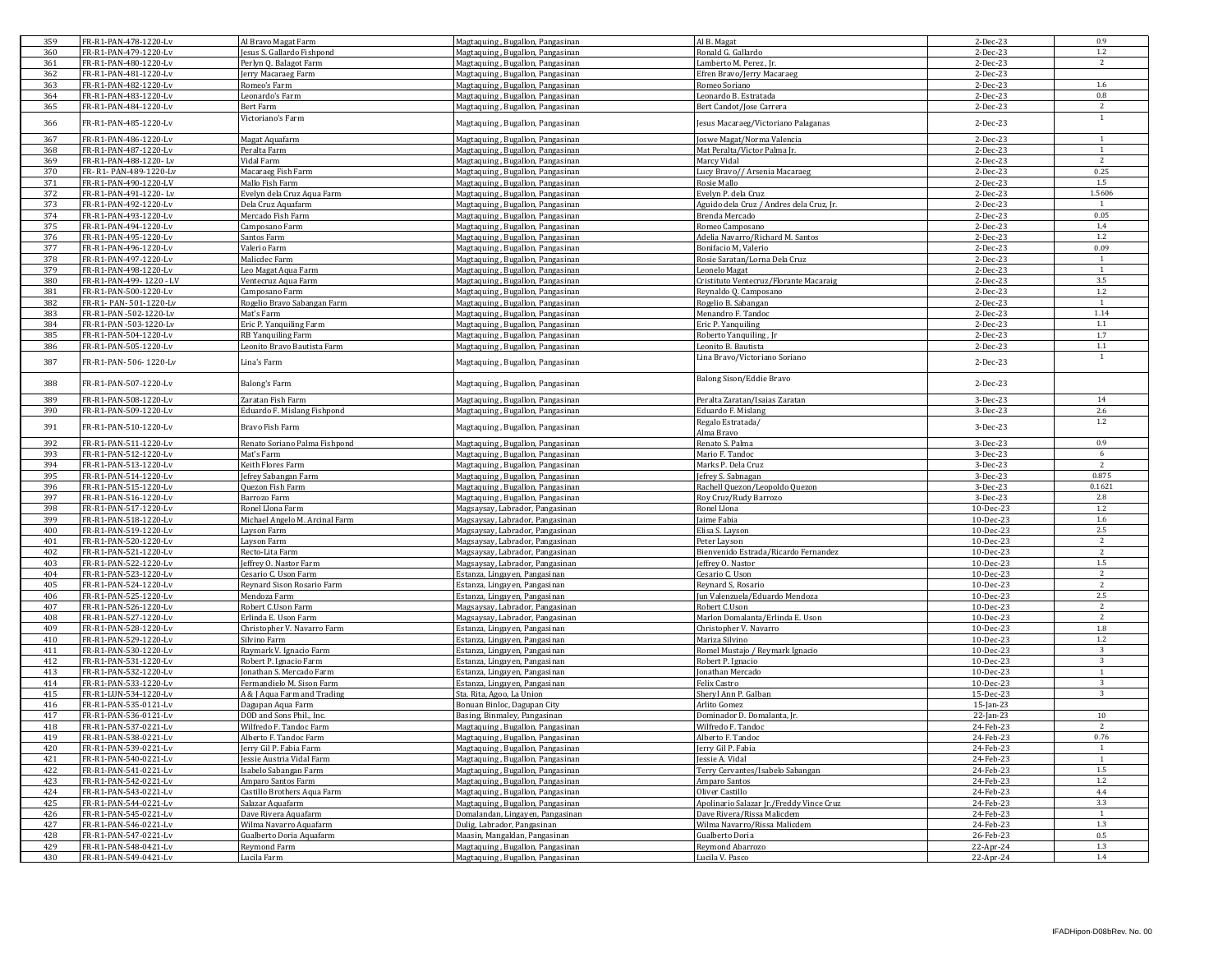| 359 | FR-R1-PAN-478-1220-Lv   | Al Bravo Magat Farm            | Magtaquing, Bugallon, Pangasinan | Al B. Magat                                  | 2-Dec-23     | 0.9            |
|-----|-------------------------|--------------------------------|----------------------------------|----------------------------------------------|--------------|----------------|
| 360 | FR-R1-PAN-479-1220-Lv   | lesus S. Gallardo Fishpond     | Magtaquing, Bugallon, Pangasinan | Ronald G. Gallardo                           | 2-Dec-23     | $1.2\,$        |
| 361 | FR-R1-PAN-480-1220-Lv   | Perlyn Q. Balagot Farm         | Magtaquing, Bugallon, Pangasinan | amberto M. Perez . Ir.                       | 2-Dec-23     | 2              |
| 362 | FR-R1-PAN-481-1220-Lv   | Jerry Macaraeg Farm            | Magtaquing, Bugallon, Pangasinan | Efren Bravo/Jerry Macaraeg                   | 2-Dec-23     |                |
| 363 | FR-R1-PAN-482-1220-Lv   | Romeo's Farm                   | Magtaquing, Bugallon, Pangasinan | Romeo Soriano                                | 2-Dec-23     | 1.6            |
| 364 | FR-R1-PAN-483-1220-Lv   | Leonardo's Farm                | Magtaquing, Bugallon, Pangasinan | Leonardo B. Estratada                        | 2-Dec-23     | $0.8\,$        |
| 365 | FR-R1-PAN-484-1220-Lv   | Bert Farm                      | Magtaquing, Bugallon, Pangasinan | Bert Candot/Jose Carrera                     | 2-Dec-23     | 2              |
| 366 | FR-R1-PAN-485-1220-Lv   | Victoriano's Farm              | Magtaquing, Bugallon, Pangasinan | esus Macaraeg/Victoriano Palaganas           | 2-Dec-23     | 1              |
| 367 | FR-R1-PAN-486-1220-Lv   | Magat Aquafarm                 | Magtaquing, Bugallon, Pangasinan | oswe Magat/Norma Valencia                    | 2-Dec-23     | -1             |
| 368 | FR-R1-PAN-487-1220-Lv   | Peralta Farm                   | Magtaquing, Bugallon, Pangasinan | Mat Peralta/Victor Palma Jr.                 | 2-Dec-23     | $\mathbf{1}$   |
| 369 | FR-R1-PAN-488-1220-Lv   | Vidal Farm                     |                                  | Marcy Vidal                                  | 2-Dec-23     | 2              |
| 370 | FR-R1-PAN-489-1220-Lv   | Macaraeg Fish Farm             | Magtaquing, Bugallon, Pangasinan |                                              | 2-Dec-23     | 0.25           |
|     |                         |                                | Magtaquing, Bugallon, Pangasinan | Lucy Bravo// Arsenia Macaraeg<br>Rosie Mallo |              | 1.5            |
| 371 | FR-R1-PAN-490-1220-LV   | Mallo Fish Farm                | Magtaquing, Bugallon, Pangasinan |                                              | 2-Dec-23     |                |
| 372 | FR-R1-PAN-491-1220-Lv   | Evelyn dela Cruz Aqua Farm     | Magtaquing, Bugallon, Pangasinan | Evelyn P. dela Cruz                          | 2-Dec-23     | 1.5606         |
| 373 | FR-R1-PAN-492-1220-Lv   | Dela Cruz Aquafarm             | Magtaquing, Bugallon, Pangasinan | Aguido dela Cruz / Andres dela Cruz, Jr.     | 2-Dec-23     | -1             |
| 374 | FR-R1-PAN-493-1220-Lv   | Mercado Fish Farm              | Magtaquing, Bugallon, Pangasinan | Brenda Mercado                               | 2-Dec-23     | 0.05           |
| 375 | FR-R1-PAN-494-1220-Lv   | Camposano Farm                 | Magtaquing, Bugallon, Pangasinan | Romeo Camposano                              | 2-Dec-23     | 1,4            |
| 376 | FR-R1-PAN-495-1220-Lv   | Santos Farm                    | Magtaquing, Bugallon, Pangasinan | Adelia Navarro/Richard M. Santos             | 2-Dec-23     | $1.2\,$        |
| 377 | FR-R1-PAN-496-1220-Lv   | Valerio Farm                   | Magtaquing, Bugallon, Pangasinan | Bonifacio M, Valerio                         | 2-Dec-23     | 0.09           |
| 378 | FR-R1-PAN-497-1220-Lv   | Malicdec Farm                  | Magtaquing, Bugallon, Pangasinan | Rosie Saratan/Lorna Dela Cruz                | 2-Dec-23     | 1              |
| 379 | FR-R1-PAN-498-1220-Lv   | eo Magat Aqua Farm             | Magtaquing, Bugallon, Pangasinan | eonelo Magat                                 | 2-Dec-23     | -1             |
| 380 | FR-R1-PAN-499-1220 - LV | Ventecruz Aqua Farm            | Magtaquing, Bugallon, Pangasinan | Cristituto Ventecruz/Florante Macaraig       | 2-Dec-23     | 3.5            |
| 381 | FR-R1-PAN-500-1220-Lv   | Camposano Farm                 | Magtaquing, Bugallon, Pangasinan | Reynaldo Q. Camposano                        | 2-Dec-23     | $1.2\,$        |
| 382 | FR-R1- PAN- 501-1220-Lv | Rogelio Bravo Sabangan Farm    | Magtaquing, Bugallon, Pangasinan | Rogelio B. Sabangan                          | 2-Dec-23     | -1             |
| 383 | FR-R1-PAN -502-1220-Lv  | Mat's Farm                     | Magtaquing, Bugallon, Pangasinan | Menandro F. Tandoc                           | 2-Dec-23     | 1.14           |
| 384 | FR-R1-PAN-503-1220-Lv   | Eric P. Yanquiling Farm        | Magtaquing, Bugallon, Pangasinan | Eric P. Yanquiling                           | 2-Dec-23     | $1.1\,$        |
| 385 | FR-R1-PAN-504-1220-Lv   | RB Yanquiling Farm             | Magtaquing, Bugallon, Pangasinan | Roberto Yanquiling, Jr                       | 2-Dec-23     | 1.7            |
| 386 | FR-R1-PAN-505-1220-Lv   | Leonito Bravo Bautista Farm    | Magtaquing, Bugallon, Pangasinan | eonito B. Bautista                           | 2-Dec-23     | $1.1\,$        |
|     |                         |                                |                                  | Lina Bravo/Victoriano Soriano                |              | 1              |
| 387 | FR-R1-PAN-506-1220-Lv   | Lina's Farm                    | Magtaquing, Bugallon, Pangasinan |                                              | 2-Dec-23     |                |
| 388 | FR-R1-PAN-507-1220-Lv   | Balong's Farm                  | Magtaquing, Bugallon, Pangasinan | Balong Sison/Eddie Bravo                     | 2-Dec-23     |                |
| 389 | FR-R1-PAN-508-1220-Lv   | Zaratan Fish Farm              | Magtaquing, Bugallon, Pangasinan | Peralta Zaratan/Isaias Zaratan               | 3-Dec-23     | 14             |
| 390 | FR-R1-PAN-509-1220-Lv   | Eduardo F. Mislang Fishpond    | Magtaquing, Bugallon, Pangasinan | <b>Eduardo F. Mislang</b>                    | 3-Dec-23     | 2.6            |
| 391 | FR-R1-PAN-510-1220-Lv   | Bravo Fish Farm                | Magtaquing, Bugallon, Pangasinan | Regalo Estratada/<br>Alma Bravo              | 3-Dec-23     | $1.2\,$        |
| 392 | FR-R1-PAN-511-1220-Lv   | Renato Soriano Palma Fishpond  | Magtaquing, Bugallon, Pangasinan | Renato S. Palma                              | 3-Dec-23     | 0.9            |
| 393 | FR-R1-PAN-512-1220-Lv   | Mat's Farm                     | Magtaquing, Bugallon, Pangasinan | Mario F. Tandoc                              | 3-Dec-23     | 6              |
| 394 | FR-R1-PAN-513-1220-Lv   | Keith Flores Farm              | Magtaquing, Bugallon, Pangasinan | Marks P. Dela Cruz                           | 3-Dec-23     | 2              |
| 395 | FR-R1-PAN-514-1220-Lv   | Jefrey Sabangan Farm           | Magtaquing, Bugallon, Pangasinan | Jefrey S. Sabnagan                           | 3-Dec-23     | 0.875          |
| 396 | FR-R1-PAN-515-1220-Lv   | <b>Ouezon Fish Farm</b>        | Magtaquing, Bugallon, Pangasinan | Rachell Quezon/Leopoldo Quezon               | 3-Dec-23     | 0.1621         |
| 397 | FR-R1-PAN-516-1220-Lv   | Barrozo Farm                   | Magtaquing, Bugallon, Pangasinan | Roy Cruz/Rudy Barrozo                        | 3-Dec-23     | 2.8            |
| 398 | FR-R1-PAN-517-1220-Lv   | Ronel Llona Farm               | Magsaysay, Labrador, Pangasinan  | Ronel Llona                                  | 10-Dec-23    | 1.2            |
| 399 | FR-R1-PAN-518-1220-Lv   |                                |                                  | aime Fabia                                   | 10-Dec-23    | $1.6\,$        |
| 400 | FR-R1-PAN-519-1220-Lv   | Michael Angelo M. Arcinal Farm | Magsaysay, Labrador, Pangasinan  |                                              | 10-Dec-23    | 2.5            |
|     |                         | Layson Farm                    | Magsaysay, Labrador, Pangasinan  | Elisa S. Layson                              |              |                |
| 401 | FR-R1-PAN-520-1220-Lv   | Layson Farm                    | Magsaysay, Labrador, Pangasinan  | Peter Layson                                 | 10-Dec-23    | 2<br>2         |
| 402 | FR-R1-PAN-521-1220-Lv   | Recto-Lita Farm                | Magsaysay, Labrador, Pangasinan  | Bienvenido Estrada/Ricardo Fernandez         | 10-Dec-23    | 1.5            |
| 403 | FR-R1-PAN-522-1220-Lv   | effrey O. Nastor Farm          | Magsaysay, Labrador, Pangasinan  | effrey O. Nastor                             | 10-Dec-23    |                |
| 404 | FR-R1-PAN-523-1220-Lv   | Cesario C. Uson Farm           | Estanza, Lingayen, Pangasinan    | esario C. Uson                               | 10-Dec-23    | 2<br>2         |
| 405 | FR-R1-PAN-524-1220-Lv   | Reynard Sison Rosario Farm     | Estanza, Lingayen, Pangasinan    | leynard S, Rosario                           | 10-Dec-23    |                |
| 406 | FR-R1-PAN-525-1220-Lv   | Mendoza Farm                   | Estanza, Lingayen, Pangasinan    | un Valenzuela/Eduardo Mendoza                | 10-Dec-23    | 2.5            |
| 407 | FR-R1-PAN-526-1220-Lv   | Robert C.Uson Farm             | Magsaysay, Labrador, Pangasinan  | Robert C.Uson                                | 10-Dec-23    | 2              |
| 408 | FR-R1-PAN-527-1220-Lv   | Erlinda E. Uson Farm           | Magsaysay, Labrador, Pangasinan  | Marlon Domalanta/Erlinda E. Uson             | 10-Dec-23    | 2              |
| 409 | FR-R1-PAN-528-1220-Lv   | Christopher V. Navarro Farm    | Estanza, Lingayen, Pangasinan    | Christopher V. Navarro                       | 10-Dec-23    | 1.8            |
| 410 | FR-R1-PAN-529-1220-Lv   | Silvino Farm                   | Estanza, Lingayen, Pangasinan    | Mariza Silvino                               | 10-Dec-23    | 1.2            |
| 411 | FR-R1-PAN-530-1220-Lv   | Raymark V. Ignacio Farm        | Estanza, Lingayen, Pangasinan    | Romel Mustajo / Reymark Ignacio              | 10-Dec-23    | 3              |
| 412 | FR-R1-PAN-531-1220-Lv   | Robert P. Ignacio Farm         | Estanza, Lingayen, Pangasinan    | Robert P. Ignacio                            | 10-Dec-23    | 3              |
| 413 | FR-R1-PAN-532-1220-Lv   | Jonathan S. Mercado Farm       | Estanza, Lingayen, Pangasinan    | onathan Mercado                              | 10-Dec-23    | <sup>1</sup>   |
| 414 | FR-R1-PAN-533-1220-Lv   | Fermandielo M. Sison Farm      | Estanza, Lingayen, Pangasinan    | Felix Castro                                 | 10-Dec-23    | $\overline{3}$ |
| 415 | FR-R1-LUN-534-1220-Lv   | A & J Aqua Farm and Trading    | Sta. Rita, Agoo, La Union        | Sheryl Ann P. Galban                         | 15-Dec-23    | 3              |
| 416 | FR-R1-PAN-535-0121-Lv   | Dagupan Aqua Farm              | Bonuan Binloc, Dagupan City      | Arlito Gomez                                 | $15$ -Jan-23 |                |
| 417 | FR-R1-PAN-536-0121-Lv   | DOD and Sons Phil., Inc.       | Basing, Binmaley, Pangasinan     | Dominador D. Domalanta, Jr.                  | 22-Jan-23    | $10\,$         |
| 418 | FR-R1-PAN-537-0221-Lv   | Wilfredo F. Tandoc Farm        | Magtaquing, Bugallon, Pangasinan | Wilfredo F. Tandoc                           | 24-Feb-23    | 2              |
| 419 | FR-R1-PAN-538-0221-Lv   | Alberto F. Tandoc Farm         | Magtaquing, Bugallon, Pangasinan | Alberto F. Tandoc                            | 24-Feb-23    | 0.76           |
| 420 | FR-R1-PAN-539-0221-Lv   | erry Gil P. Fabia Farm         | Magtaquing, Bugallon, Pangasinan | erry Gil P. Fabia                            | 24-Feb-23    | <sup>1</sup>   |
| 421 | FR-R1-PAN-540-0221-Lv   | essie Austria Vidal Farm       | Magtaquing, Bugallon, Pangasinan | essie A. Vidal                               | 24-Feb-23    | $\mathbf{1}$   |
| 422 | FR-R1-PAN-541-0221-Lv   | Isabelo Sabangan Farm          | Magtaquing, Bugallon, Pangasinan | Terry Cervantes/Isabelo Sabangan             | 24-Feb-23    | $1.5\,$        |
| 423 | FR-R1-PAN-542-0221-Lv   | Amparo Santos Farm             | Magtaquing, Bugallon, Pangasinan | Amparo Santos                                | 24-Feb-23    | $1.2\,$        |
| 424 | FR-R1-PAN-543-0221-Lv   | Castillo Brothers Aqua Farm    | Magtaquing, Bugallon, Pangasinan | Oliver Castillo                              | 24-Feb-23    | 4.4            |
| 425 | FR-R1-PAN-544-0221-Lv   | Salazar Aquafarm               | Magtaquing, Bugallon, Pangasinan | Apolinario Salazar Jr./Freddy Vince Cruz     | 24-Feb-23    | 3.3            |
| 426 | FR-R1-PAN-545-0221-Lv   | Dave Rivera Aquafarm           | Domalandan, Lingayen, Pangasinan | Dave Rivera/Rissa Malicdem                   | 24-Feb-23    | 1              |
| 427 | FR-R1-PAN-546-0221-Lv   | Wilma Navarro Aquafarm         | Dulig, Labrador, Pangasinan      | Wilma Navarro/Rissa Malicdem                 | 24-Feb-23    | 1.3            |
| 428 | FR-R1-PAN-547-0221-Lv   | Gualberto Doria Aquafarm       | Maasin, Mangaldan, Pangasinan    | Gualberto Doria                              | 26-Feb-23    | 0.5            |
| 429 | FR-R1-PAN-548-0421-Lv   | Reymond Farm                   | Magtaquing, Bugallon, Pangasinan | Reymond Abarrozo                             | 22-Apr-24    | 1.3            |
| 430 | FR-R1-PAN-549-0421-Lv   | Lucila Farm                    | Magtaquing, Bugallon, Pangasinan | Lucila V. Pasco                              | 22-Apr-24    | 1.4            |
|     |                         |                                |                                  |                                              |              |                |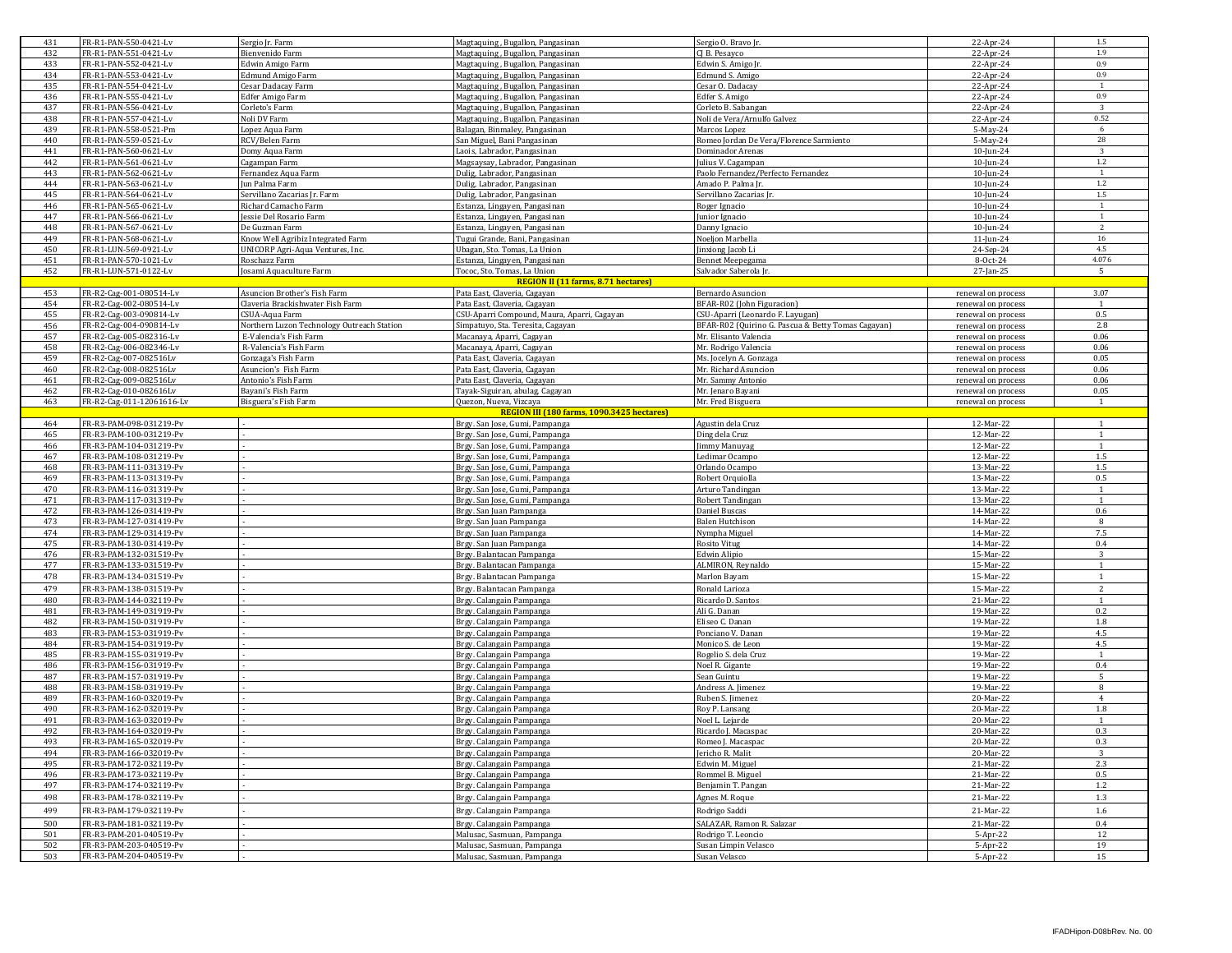| 431        | FR-R1-PAN-550-0421-Lv                              | Sergio Jr. Farm                                   | Magtaquing, Bugallon, Pangasinan                                     | Sergio O. Bravo Jr.                                | 22-Apr-24              | 1.5                     |
|------------|----------------------------------------------------|---------------------------------------------------|----------------------------------------------------------------------|----------------------------------------------------|------------------------|-------------------------|
| 432        | FR-R1-PAN-551-0421-Lv                              | <b>Bienvenido Farm</b>                            | Magtaquing, Bugallon, Pangasinan                                     | CI B. Pesavco                                      | 22-Apr-24              | 1.9                     |
| 433        | FR-R1-PAN-552-0421-Lv                              | Edwin Amigo Farm                                  | Magtaquing, Bugallon, Pangasinan                                     | Edwin S. Amigo Jr                                  | 22-Apr-24              | 0.9                     |
| 434        | FR-R1-PAN-553-0421-Lv                              | <b>Edmund Amigo Farm</b>                          | Magtaquing, Bugallon, Pangasinan                                     | Edmund S. Amigo                                    | 22-Apr-24              | 0.9                     |
| 435        | FR-R1-PAN-554-0421-Lv                              | Cesar Dadacay Farm                                | Magtaquing, Bugallon, Pangasinan                                     | Cesar O. Dadacav                                   | 22-Apr-24              | 1                       |
| 436        | FR-R1-PAN-555-0421-Lv                              | Edfer Amigo Farm                                  | Magtaquing, Bugallon, Pangasinan                                     | Edfer S. Amigo                                     | 22-Apr-24              | 0.9                     |
| 437<br>438 | FR-R1-PAN-556-0421-Lv<br>FR-R1-PAN-557-0421-Lv     | Corleto's Farm<br>Noli DV Farm                    | Magtaquing, Bugallon, Pangasinan<br>Magtaquing, Bugallon, Pangasinan | Corleto B. Sabangan<br>Noli de Vera/Arnulfo Galvez | 22-Apr-24<br>22-Apr-24 | 3<br>0.52               |
| 439        | FR-R1-PAN-558-0521-Pm                              | Lopez Aqua Farm                                   | Balagan, Binmaley, Pangasinan                                        | Marcos Lopez                                       | 5-May-24               | 6                       |
| 440        | FR-R1-PAN-559-0521-Lv                              | RCV/Belen Farm                                    | San Miguel, Bani Pangasinan                                          | Romeo Jordan De Vera/Florence Sarmiento            | 5-May-24               | 28                      |
| 441        | FR-R1-PAN-560-0621-Lv                              | Domy Aqua Farm                                    | Laois, Labrador, Pangasinan                                          | Dominador Arenas                                   | 10-Jun-24              | $\overline{\mathbf{3}}$ |
| 442        | FR-R1-PAN-561-0621-Lv                              | Cagampan Farm                                     | Magsaysay, Labrador, Pangasinan                                      | Julius V. Cagampan                                 | $10$ -Jun-24           | $1.2\,$                 |
| 443        | FR-R1-PAN-562-0621-Lv                              | Fernandez Aqua Farm                               | Dulig, Labrador, Pangasinan                                          | Paolo Fernandez/Perfecto Fernandez                 | 10-Jun-24              | 1                       |
| 444        | FR-R1-PAN-563-0621-Lv                              | Jun Palma Farm                                    | Dulig, Labrador, Pangasinan                                          | Amado P. Palma Jr.                                 | 10-Jun-24              | $1.2\,$                 |
| 445        | FR-R1-PAN-564-0621-Lv                              | Servillano Zacarias Jr. Farm                      | Dulig, Labrador, Pangasinan                                          | Servillano Zacarias Jr                             | 10-Jun-24              | $1.5\,$                 |
| 446        | FR-R1-PAN-565-0621-Lv                              | Richard Camacho Farm                              | Estanza, Lingayen, Pangasinan                                        | Roger Ignacio                                      | $10$ -Jun-24           | 1                       |
| 447        | FR-R1-PAN-566-0621-Lv                              | Jessie Del Rosario Farm                           | Estanza, Lingayen, Pangasinan                                        | Junior Ignacio                                     | 10-Jun-24              | <sup>1</sup>            |
| 448        | FR-R1-PAN-567-0621-Lv                              | De Guzman Farm                                    | Estanza, Lingayen, Pangasinan                                        | Danny Ignacio                                      | $10$ -Jun-24           | $\overline{2}$          |
| 449        | FR-R1-PAN-568-0621-Lv                              | Know Well Agribiz Integrated Farm                 | Tugui Grande, Bani, Pangasinan                                       | Noelion Marbella                                   | $11$ -Jun-24           | 16                      |
| 450        | FR-R1-LUN-569-0921-Lv                              | UNICORP Agri-Aqua Ventures, Inc.<br>Roschazz Farm | Ubagan, Sto. Tomas, La Union                                         | Jinxiong Jacob Li                                  | 24-Sep-24              | 4.5<br>4.076            |
| 451<br>452 | FR-R1-PAN-570-1021-Lv<br>FR-R1-LUN-571-0122-Lv     |                                                   | Estanza, Lingayen, Pangasinan<br>Tococ, Sto. Tomas, La Union         | Bennet Meepegama                                   | 8-Oct-24<br>27-Jan-25  | - 5                     |
|            |                                                    | Josami Aquaculture Farm                           | <b>REGION II (11 farms, 8.71 hectares)</b>                           | Salvador Saberola Jr.                              |                        |                         |
| 453        | FR-R2-Cag-001-080514-Lv                            | Asuncion Brother's Fish Farm                      | Pata East, Claveria, Cagayan                                         | Bernardo Asuncion                                  | renewal on process     | 3.07                    |
| 454        | FR-R2-Cag-002-080514-Lv                            | Claveria Brackishwater Fish Farm                  | Pata East, Claveria, Cagayan                                         | BFAR-R02 (John Figuracion)                         | renewal on process     | $\overline{1}$          |
| 455        | FR-R2-Cag-003-090814-Lv                            | CSUA-Aqua Farm                                    | CSU-Aparri Compound, Maura, Aparri, Cagayan                          | CSU-Aparri (Leonardo F. Layugan)                   | renewal on process     | 0.5                     |
| 456        | FR-R2-Cag-004-090814-Lv                            | Northern Luzon Technology Outreach Station        | Simpatuyo, Sta. Teresita, Cagayan                                    | BFAR-R02 (Quirino G. Pascua & Betty Tomas Cagayan) | renewal on process     | 2.8                     |
| 457        | FR-R2-Cag-005-082316-Lv                            | E-Valencia's Fish Farm                            | Macanaya, Aparri, Cagayan                                            | Mr. Elisanto Valencia                              | renewal on process     | 0.06                    |
| 458        | FR-R2-Cag-006-082346-Lv                            | R-Valencia's Fish Farm                            | Macanaya, Aparri, Cagayan                                            | Mr. Rodrigo Valencia                               | renewal on process     | 0.06                    |
| 459        | FR-R2-Cag-007-082516Lv                             | Gonzaga's Fish Farm                               | Pata East, Claveria, Cagayan                                         | Ms. Jocelyn A. Gonzaga                             | renewal on process     | 0.05                    |
| 460        | FR-R2-Cag-008-082516Lv                             | Asuncion's Fish Farm                              | Pata East, Claveria, Cagayan                                         | Mr. Richard Asuncion                               | renewal on process     | 0.06                    |
| 461        | FR-R2-Cag-009-082516Lv                             | Antonio's Fish Farm                               | Pata East, Claveria, Cagayan                                         | Mr. Sammy Antonio                                  | renewal on process     | 0.06                    |
| 462        | FR-R2-Cag-010-082616Lv                             | Bayani's Fish Farm                                | Tayak-Siguiran, abulag, Cagayan                                      | Mr. Jenaro Bayani                                  | renewal on process     | 0.05                    |
| 463        | FR-R2-Cag-011-12061616-Lv                          | Bisguera's Fish Farm                              | Quezon, Nueva, Vizcaya<br>REGION III (180 farms, 1090.3425 hectares) | Mr. Fred Bisguera                                  | renewal on process     | $\mathbf{1}$            |
| 464        | FR-R3-PAM-098-031219-Pv                            |                                                   | Brgy. San Jose, Gumi, Pampanga                                       | Agustin dela Cruz                                  | 12-Mar-22              | $\overline{1}$          |
| 465        | FR-R3-PAM-100-031219-Pv                            |                                                   | Brgy. San Jose, Gumi, Pampanga                                       | Ding dela Cruz                                     | 12-Mar-22              | $\mathbf{1}$            |
| 466        | FR-R3-PAM-104-031219-Pv                            |                                                   | Brgy. San Jose, Gumi, Pampanga                                       | Jimmy Manuyag                                      | 12-Mar-22              | $\overline{1}$          |
| 467        | FR-R3-PAM-108-031219-Pv                            |                                                   | Brgy. San Jose, Gumi, Pampanga                                       | edimar Ocampo                                      | 12-Mar-22              | 1.5                     |
| 468        | FR-R3-PAM-111-031319-Pv                            |                                                   | Brgy. San Jose, Gumi, Pampanga                                       | Orlando Ocampo                                     | 13-Mar-22              | 1.5                     |
| 469        | FR-R3-PAM-113-031319-Pv                            |                                                   | Brgy. San Jose, Gumi, Pampanga                                       | Robert Orquiolla                                   | 13-Mar-22              | 0.5                     |
| 470        | FR-R3-PAM-116-031319-Pv                            |                                                   | Brgy. San Jose, Gumi, Pampanga                                       | Arturo Tandingan                                   | 13-Mar-22              | $\overline{1}$          |
| 471        | FR-R3-PAM-117-031319-Pv                            |                                                   | Brgy. San Jose, Gumi, Pampanga                                       | Robert Tandingan                                   | 13-Mar-22              | $\mathbf{1}$            |
| 472        | FR-R3-PAM-126-031419-Pv                            |                                                   | Brgy. San Juan Pampanga                                              | Daniel Buscas                                      | 14-Mar-22              | 0.6                     |
| 473        | FR-R3-PAM-127-031419-Pv                            |                                                   | Brgy. San Juan Pampanga                                              | <b>Balen Hutchison</b>                             | 14-Mar-22              | 8                       |
| 474        | FR-R3-PAM-129-031419-Pv                            |                                                   | Brgy. San Juan Pampanga                                              | Nympha Miguel                                      | 14-Mar-22              | 7.5                     |
| 475        | FR-R3-PAM-130-031419-Pv                            |                                                   | Brgy. San Juan Pampanga                                              | <b>Rosito Vitug</b>                                | 14-Mar-22              | 0.4                     |
| 476        | FR-R3-PAM-132-031519-Pv                            |                                                   | Brgy. Balantacan Pampanga                                            | Edwin Alipio                                       | 15-Mar-22              | $\mathbf{R}$            |
| 477        | FR-R3-PAM-133-031519-Pv                            |                                                   | Brgy. Balantacan Pampanga                                            | ALMIRON, Reynaldo                                  | 15-Mar-22              | $\overline{1}$          |
| 478        | FR-R3-PAM-134-031519-Pv                            |                                                   | Brgy. Balantacan Pampanga                                            | Marlon Bayam                                       | 15-Mar-22              | $\mathbf{1}$            |
| 479<br>480 | FR-R3-PAM-138-031519-Pv<br>FR-R3-PAM-144-032119-Pv |                                                   | Brgy. Balantacan Pampanga                                            | Ronald Larioza<br>Ricardo D. Santos                | 15-Mar-22              | 2<br>$\overline{1}$     |
| 481        | FR-R3-PAM-149-031919-Pv                            |                                                   | Brgy. Calangain Pampanga<br>Brgy. Calangain Pampanga                 | Ali G. Danan                                       | 21-Mar-22<br>19-Mar-22 | 0.2                     |
| 482        | FR-R3-PAM-150-031919-Pv                            |                                                   | Brgy. Calangain Pampanga                                             | Eliseo C. Danan                                    | 19-Mar-22              | 1.8                     |
| 483        | FR-R3-PAM-153-031919-Pv                            |                                                   | Brgy. Calangain Pampanga                                             | Ponciano V. Danan                                  | 19-Mar-22              | 4.5                     |
| 484        | FR-R3-PAM-154-031919-Pv                            |                                                   | Brgy. Calangain Pampanga                                             | Monico S. de Leon                                  | 19-Mar-22              | 4.5                     |
| 485        | FR-R3-PAM-155-031919-Pv                            |                                                   | Brgy. Calangain Pampanga                                             | Rogelio S. dela Cruz                               | 19-Mar-22              | 1                       |
| 486        | FR-R3-PAM-156-031919-Pv                            |                                                   | Brgy. Calangain Pampanga                                             | Noel R. Gigante                                    | 19-Mar-22              | 0.4                     |
| 487        | FR-R3-PAM-157-031919-Pv                            |                                                   | Brgy. Calangain Pampanga                                             | Sean Guintu                                        | 19-Mar-22              | 5                       |
| 488        | FR-R3-PAM-158-031919-Pv                            |                                                   | Brgy. Calangain Pampanga                                             | Andress A. Jimenez                                 | 19-Mar-22              | 8                       |
| 489        | FR-R3-PAM-160-032019-Pv                            |                                                   | Brgy. Calangain Pampanga                                             | Ruben S. Jimenez                                   | 20-Mar-22              | $\overline{4}$          |
| 490        | FR-R3-PAM-162-032019-Pv                            |                                                   | Brgy. Calangain Pampanga                                             | Roy P. Lansang                                     | 20-Mar-22              | 1.8                     |
| 491        | FR-R3-PAM-163-032019-Pv                            |                                                   | Brgy. Calangain Pampanga                                             | Noel L. Lejarde                                    | 20-Mar-22              | $\mathbf{1}$            |
| 492<br>493 | FR-R3-PAM-164-032019-Pv<br>FR-R3-PAM-165-032019-Pv |                                                   | Brgy. Calangain Pampanga<br>Brgy. Calangain Pampanga                 | Ricardo J. Macaspac<br>Romeo J. Macaspac           | 20-Mar-22<br>20-Mar-22 | 0.3<br>0.3              |
| 494        | FR-R3-PAM-166-032019-Pv                            |                                                   | Brgy. Calangain Pampanga                                             | Jericho R. Malit                                   | 20-Mar-22              | 3                       |
| 495        | FR-R3-PAM-172-032119-Pv                            |                                                   | Brgy. Calangain Pampanga                                             | Edwin M. Miguel                                    | 21-Mar-22              | 2.3                     |
| 496        | FR-R3-PAM-173-032119-Pv                            |                                                   | Brgy. Calangain Pampanga                                             | Rommel B. Miguel                                   | 21-Mar-22              | 0.5                     |
| 497        | FR-R3-PAM-174-032119-Pv                            |                                                   | Brgy. Calangain Pampanga                                             | Benjamin T. Pangan                                 | 21-Mar-22              | 1.2                     |
| 498        | FR-R3-PAM-178-032119-Pv                            |                                                   | Brgy. Calangain Pampanga                                             | Agnes M. Roque                                     | 21-Mar-22              | 1.3                     |
| 499        | FR-R3-PAM-179-032119-Pv                            |                                                   | Brgy. Calangain Pampanga                                             | Rodrigo Saddi                                      | 21-Mar-22              | 1.6                     |
| 500        | FR-R3-PAM-181-032119-Pv                            |                                                   | Brgy. Calangain Pampanga                                             | SALAZAR, Ramon R. Salazar                          | 21-Mar-22              | 0.4                     |
| 501        | FR-R3-PAM-201-040519-Pv                            |                                                   | Malusac, Sasmuan, Pampanga                                           | Rodrigo T. Leoncio                                 | $5-Apr-22$             | 12                      |
| 502        | FR-R3-PAM-203-040519-Pv                            |                                                   | Malusac, Sasmuan, Pampanga                                           | Susan Limpin Velasco                               | 5-Apr-22               | 19                      |
| 503        | FR-R3-PAM-204-040519-Pv                            |                                                   | Malusac, Sasmuan, Pampanga                                           | Susan Velasco                                      | $5-Apr-22$             | 15                      |
|            |                                                    |                                                   |                                                                      |                                                    |                        |                         |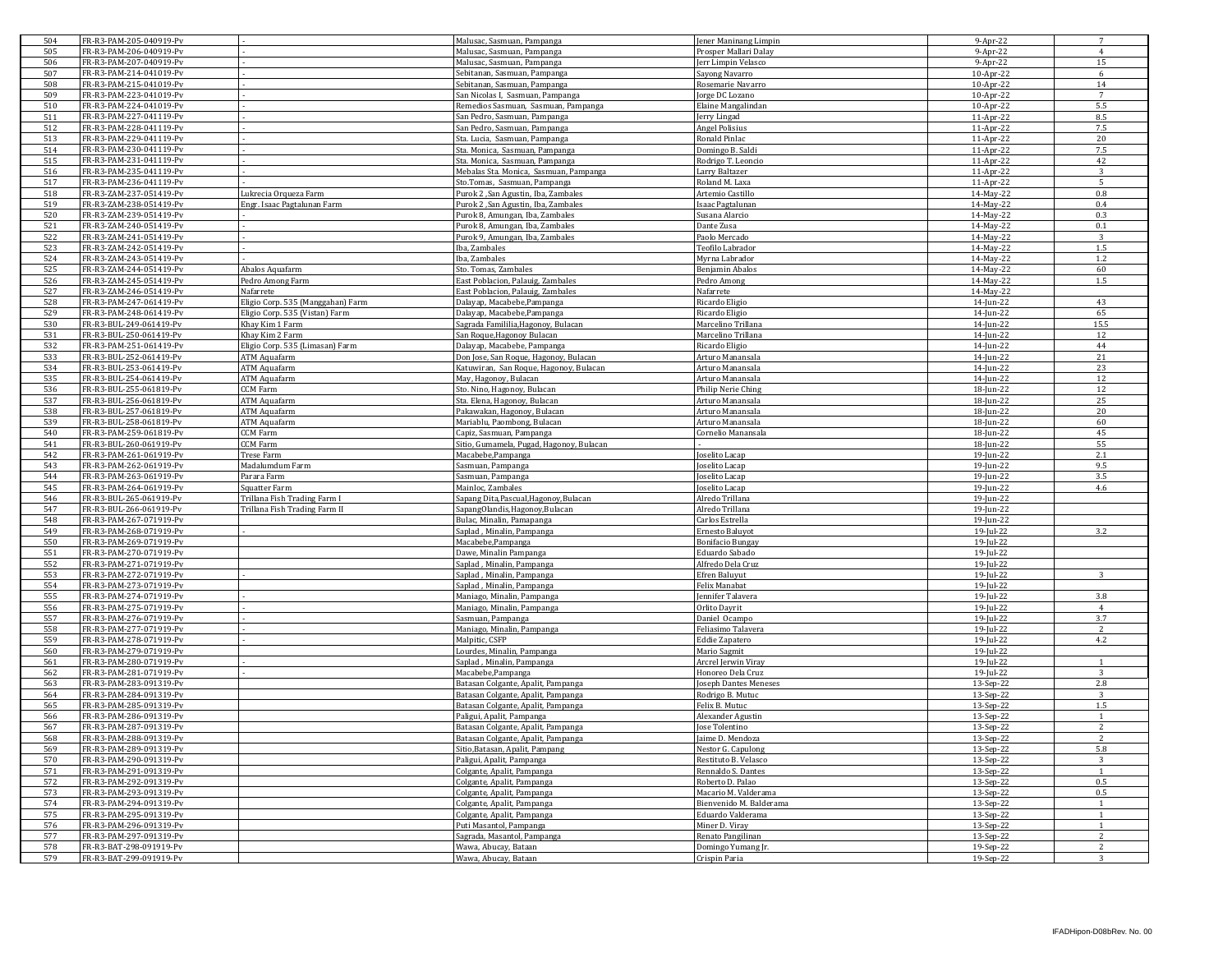| 504        | FR-R3-PAM-205-040919-Pv                            |                                   | Malusac, Sasmuan, Pampanga                      | Jener Maninang Limpin                 | 9-Apr-22               | 7                     |
|------------|----------------------------------------------------|-----------------------------------|-------------------------------------------------|---------------------------------------|------------------------|-----------------------|
| 505        | FR-R3-PAM-206-040919-Pv                            |                                   | Malusac, Sasmuan, Pampanga                      | Prosper Mallari Dalay                 | 9-Apr-22               | $\overline{4}$        |
| 506        | FR-R3-PAM-207-040919-Pv                            |                                   | Malusac, Sasmuan, Pampanga                      | Jerr Limpin Velasco                   | 9-Apr-22               | 15                    |
| 507        | FR-R3-PAM-214-041019-Pv                            |                                   | Sebitanan, Sasmuan, Pampanga                    | Sayong Navarro                        | 10-Apr-22              | 6                     |
| 508        | FR-R3-PAM-215-041019-Pv                            |                                   | Sebitanan, Sasmuan, Pampanga                    | Rosemarie Navarro                     | 10-Apr-22              | 14                    |
| 509        | FR-R3-PAM-223-041019-Pv                            |                                   | San Nicolas I, Sasmuan, Pampanga                | Jorge DC Lozano                       | 10-Apr-22              | $\overline{7}$        |
| 510        | FR-R3-PAM-224-041019-Pv                            |                                   | Remedios Sasmuan, Sasmuan, Pampanga             | Elaine Mangalindan                    | 10-Apr-22              | 5.5                   |
| 511        | FR-R3-PAM-227-041119-Pv                            |                                   | San Pedro, Sasmuan, Pampanga                    | Jerry Lingad                          | 11-Apr-22              | 8.5                   |
| 512        | FR-R3-PAM-228-041119-Pv                            |                                   | San Pedro, Sasmuan, Pampanga                    | <b>Angel Polisius</b>                 | 11-Apr-22              | 7.5                   |
| 513        | FR-R3-PAM-229-041119-Pv                            |                                   | Sta. Lucia, Sasmuan, Pampanga                   | Ronald Pinlac                         | 11-Apr-22              | 20                    |
| 514        | FR-R3-PAM-230-041119-Pv                            |                                   | Sta. Monica, Sasmuan, Pampanga                  | Domingo B. Saldi                      | 11-Apr-22              | 7.5                   |
| 515        | FR-R3-PAM-231-041119-Pv                            |                                   | Sta. Monica, Sasmuan, Pampanga                  | Rodrigo T. Leoncio                    | 11-Apr-22              | 42                    |
| 516        | FR-R3-PAM-235-041119-Pv                            |                                   | Mebalas Sta. Monica, Sasmuan, Pampanga          | Larry Baltazer                        | 11-Apr-22              | 3                     |
| 517        | FR-R3-PAM-236-041119-Pv                            |                                   | Sto.Tomas, Sasmuan, Pampanga                    | Roland M. Laxa                        | 11-Apr-22              | 5                     |
| 518        | FR-R3-ZAM-237-051419-Pv                            | Lukrecia Orqueza Farm             | Purok 2, San Agustin, Iba, Zambales             | Artemio Castillo                      | 14-May-22              | 0.8                   |
| 519        | FR-R3-ZAM-238-051419-Pv                            | Engr. Isaac Pagtalunan Farm       | Purok 2 .San Agustin, Iba, Zambales             | Isaac Pagtalunan                      | 14-May-22              | 0.4                   |
| 520        | FR-R3-ZAM-239-051419-Pv                            |                                   | Purok 8, Amungan, Iba, Zambales                 | Susana Alarcio                        | 14-May-22              | 0.3                   |
| 521        | FR-R3-ZAM-240-051419-Pv                            |                                   | Purok 8, Amungan, Iba, Zambales                 | Dante Zusa                            | 14-May-22              | 0.1                   |
| 522        | FR-R3-ZAM-241-051419-Pv                            |                                   | Purok 9, Amungan, Iba, Zambales                 | Paolo Mercado                         | 14-May-22              | 3                     |
| 523        | FR-R3-ZAM-242-051419-Pv                            |                                   | Iba, Zambales                                   | Teofilo Labrador                      | 14-May-22              | 1.5                   |
| 524        | FR-R3-ZAM-243-051419-Pv                            |                                   | Iba, Zambales                                   | Myrna Labrador                        | 14-May-22              | 1.2                   |
| 525        | FR-R3-ZAM-244-051419-Pv                            | Abalos Aquafarm                   | Sto. Tomas, Zambales                            | Benjamin Abalos                       | 14-May-22              | 60                    |
| 526        | FR-R3-ZAM-245-051419-Pv                            | Pedro Among Farm                  | East Poblacion, Palauig, Zambales               | Pedro Among                           | 14-May-22              | 1.5                   |
| 527        | FR-R3-ZAM-246-051419-Pv                            | Nafarrete                         | East Poblacion, Palauig, Zambales               | Nafarrete                             | 14-May-22              |                       |
| 528        | FR-R3-PAM-247-061419-Pv                            | Eligio Corp. 535 (Manggahan) Farm | Dalayap, Macabebe, Pampanga                     | Ricardo Eligio                        | 14-Jun-22              | 43                    |
| 529        | FR-R3-PAM-248-061419-Pv                            | Eligio Corp. 535 (Vistan) Farm    | Dalayap, Macabebe, Pampanga                     | Ricardo Eligio                        | 14-Jun-22              | 65                    |
| 530        | FR-R3-BUL-249-061419-Pv                            | Khay Kim 1 Farm                   | Sagrada Famililia, Hagonoy, Bulacan             | Marcelino Trillana                    | 14-Jun-22              | 15.5                  |
| 531        | FR-R3-BUL-250-061419-Pv                            | Khay Kim 2 Farm                   | San Roque, Hagonoy Bulacan                      | Marcelino Trillana                    | 14-Jun-22              | 12                    |
| 532        | FR-R3-PAM-251-061419-Pv                            | Eligio Corp. 535 (Limasan) Farm   | Dalayap, Macabebe, Pampanga                     | Ricardo Eligio                        | 14-Jun-22              | 44                    |
| 533        | FR-R3-BUL-252-061419-Pv                            | ATM Aquafarm                      | Don Jose, San Roque, Hagonoy, Bulacan           | Arturo Manansala                      | 14-Jun-22              | 21                    |
| 534        | FR-R3-BUL-253-061419-Pv                            | ATM Aquafarm                      | Katuwiran, San Roque, Hagonoy, Bulacan          | Arturo Manansala                      | 14-Jun-22              | 23                    |
| 535        | FR-R3-BUL-254-061419-Pv                            | <b>ATM Aquafarm</b>               | May, Hagonoy, Bulacan                           | Arturo Manansala                      | 14-Jun-22              | 12                    |
| 536        | FR-R3-BUL-255-061819-Pv                            | CCM Farm                          | Sto. Nino, Hagonoy, Bulacan                     | Philip Nerie Ching                    | 18-Jun-22              | 12                    |
| 537        | FR-R3-BUL-256-061819-Pv                            | <b>ATM Aquafarm</b>               | Sta. Elena, Hagonoy, Bulacan                    | Arturo Manansala                      | 18-Jun-22              | 25                    |
| 538        | FR-R3-BUL-257-061819-Pv                            | <b>ATM Aquafarm</b>               | Pakawakan, Hagonoy, Bulacan                     | Arturo Manansala                      | 18-Jun-22              | 20                    |
| 539        | FR-R3-BUL-258-061819-Pv                            | ATM Aquafarm                      | Mariablu, Paombong, Bulacan                     | Arturo Manansala                      | 18-Jun-22              | 60                    |
| 540        | FR-R3-PAM-259-061819-Pv                            | <b>CCM Farm</b>                   | Capiz, Sasmuan, Pampanga                        | Cornelio Manansala                    | 18-Jun-22              | 45                    |
| 541        | FR-R3-BUL-260-061919-Pv                            | <b>CCM Farm</b>                   | Sitio, Gumamela, Pugad, Hagonoy, Bulacan        |                                       | 18-Jun-22              | 55                    |
| 542        | FR-R3-PAM-261-061919-Pv                            | Trese Farm                        | Macabebe, Pampanga                              | oselito Lacap                         | 19-Jun-22              | 2.1                   |
| 543        | FR-R3-PAM-262-061919-Pv                            | Madalumdum Farm                   | Sasmuan, Pampanga                               | oselito Lacap                         | 19-Jun-22              | 9.5                   |
| 544        | FR-R3-PAM-263-061919-Pv                            | Parara Farm                       | asmuan, Pampanga                                | oselito Lacap                         | 19-Jun-22              | 3.5                   |
| 545        | FR-R3-PAM-264-061919-Pv                            | Squatter Farm                     | Mainloc, Zambales                               | Joselito Lacap                        | 19-Jun-22              | 4.6                   |
| 546        | FR-R3-BUL-265-061919-Pv                            | Trillana Fish Trading Farm I      | Sapang Dita, Pascual, Hagonoy, Bulacan          | Alredo Trillana                       | 19-Jun-22              |                       |
| 547        | FR-R3-BUL-266-061919-Pv                            | Trillana Fish Trading Farm II     | apangOlandis, Hagonoy, Bulacan                  | Alredo Trillana                       | 19-Jun-22              |                       |
| 548        | FR-R3-PAM-267-071919-Pv                            |                                   | Bulac, Minalin, Pamapanga                       | Carlos Estrella                       | 19-Jun-22              |                       |
| 549        | FR-R3-PAM-268-071919-Pv                            |                                   | Saplad, Minalin, Pampanga                       | Ernesto Baluyot                       | 19-Jul-22              | 3.2                   |
| 550        | FR-R3-PAM-269-071919-Pv                            |                                   | Macabebe, Pampanga                              | <b>Bonifacio Bungay</b>               | 19-Jul-22              |                       |
| 551        | FR-R3-PAM-270-071919-Pv                            |                                   | Dawe, Minalin Pampanga                          | Eduardo Sabado                        | 19-Jul-22              |                       |
| 552<br>553 | FR-R3-PAM-271-071919-Pv                            |                                   | Saplad, Minalin, Pampanga                       | Alfredo Dela Cruz                     | 19-Jul-22              | 3                     |
| 554        | FR-R3-PAM-272-071919-Pv                            |                                   | Saplad, Minalin, Pampanga                       | <b>Efren Baluyut</b><br>Felix Manabat | 19-Jul-22              |                       |
|            | FR-R3-PAM-273-071919-Pv                            |                                   | Saplad, Minalin, Pampanga                       |                                       | 19-Jul-22              |                       |
| 555<br>556 | FR-R3-PAM-274-071919-Pv<br>FR-R3-PAM-275-071919-Pv |                                   | Maniago, Minalin, Pampanga                      | ennifer Talavera<br>Orlito Dayrit     | 19-Jul-22<br>19-Jul-22 | 3.8<br>$\overline{4}$ |
| 557        | FR-R3-PAM-276-071919-Pv                            |                                   | Maniago, Minalin, Pampanga                      | Daniel Ocampo                         | 19-Jul-22              | 3.7                   |
| 558        | FR-R3-PAM-277-071919-Pv                            |                                   | Sasmuan, Pampanga<br>Maniago, Minalin, Pampanga | Feliasimo Talavera                    | 19-Jul-22              | 2                     |
| 559        | FR-R3-PAM-278-071919-Pv                            |                                   | Malpitic, CSFP                                  | <b>Eddie Zapatero</b>                 | 19-Jul-22              | 4.2                   |
| 560        | FR-R3-PAM-279-071919-Pv                            |                                   | Lourdes, Minalin, Pampanga                      | Mario Sagmit                          | 19-Jul-22              |                       |
| 561        | FR-R3-PAM-280-071919-Pv                            |                                   | Saplad, Minalin, Pampanga                       | Arcrel Jerwin Viray                   | 19-Jul-22              | $\overline{1}$        |
| 562        | FR-R3-PAM-281-071919-Pv                            |                                   | Macabebe, Pampanga                              | Honoreo Dela Cruz                     | 19-Jul-22              | $\overline{3}$        |
| 563        | FR-R3-PAM-283-091319-Pv                            |                                   | Batasan Colgante, Apalit, Pampanga              | Joseph Dantes Meneses                 | 13-Sep-22              | 2.8                   |
| 564        | FR-R3-PAM-284-091319-Pv                            |                                   | Batasan Colgante, Apalit, Pampanga              | Rodrigo B. Mutuc                      | 13-Sep-22              | 3                     |
| 565        | FR-R3-PAM-285-091319-Pv                            |                                   | Batasan Colgante, Apalit, Pampanga              | Felix B. Mutuc                        | 13-Sep-22              | 1.5                   |
| 566        | FR-R3-PAM-286-091319-Pv                            |                                   | Paligui, Apalit, Pampanga                       | Alexander Agustin                     | 13-Sep-22              | $\overline{1}$        |
| 567        | FR-R3-PAM-287-091319-Pv                            |                                   | Batasan Colgante, Apalit, Pampanga              | Jose Tolentino                        | 13-Sep-22              | 2                     |
| 568        | FR-R3-PAM-288-091319-Pv                            |                                   | Batasan Colgante, Apalit, Pampanga              | Jaime D. Mendoza                      | 13-Sep-22              |                       |
| 569        | FR-R3-PAM-289-091319-Pv                            |                                   | Sitio, Batasan, Apalit, Pampang                 | Nestor G. Capulong                    | 13-Sep-22              | 5.8                   |
| 570        | FR-R3-PAM-290-091319-Pv                            |                                   | Paligui, Apalit, Pampanga                       | Restituto B. Velasco                  | 13-Sep-22              | 3                     |
| 571        | FR-R3-PAM-291-091319-Pv                            |                                   | Colgante, Apalit, Pampanga                      | Rennaldo S. Dantes                    | 13-Sep-22              | 1                     |
| 572        | FR-R3-PAM-292-091319-Pv                            |                                   | Colgante, Apalit, Pampanga                      | Roberto D. Palao                      | 13-Sep-22              | $0.5\,$               |
| 573        | FR-R3-PAM-293-091319-Pv                            |                                   | Colgante, Apalit, Pampanga                      | Macario M. Valderama                  | 13-Sep-22              | 0.5                   |
| 574        | FR-R3-PAM-294-091319-Pv                            |                                   | Colgante, Apalit, Pampanga                      | Bienvenido M. Balderama               | 13-Sep-22              | 1                     |
| 575        | FR-R3-PAM-295-091319-Pv                            |                                   | Colgante, Apalit, Pampanga                      | Eduardo Valderama                     | 13-Sep-22              | $\mathbf{1}$          |
| 576        | FR-R3-PAM-296-091319-Pv                            |                                   | Puti Masantol, Pampanga                         | Miner D. Viray                        | 13-Sep-22              | 1                     |
| 577        | FR-R3-PAM-297-091319-Pv                            |                                   | Sagrada, Masantol, Pampanga                     | Renato Pangilinan                     | 13-Sep-22              | 2                     |
| 578        | FR-R3-BAT-298-091919-Pv                            |                                   | Wawa, Abucay, Bataan                            | Domingo Yumang Jr.                    | 19-Sep-22              | $\overline{2}$        |
|            | FR-R3-BAT-299-091919-Pv                            |                                   | Wawa, Abucay, Bataan                            | Crispin Paria                         | 19-Sep-22              | 3                     |
| 579        |                                                    |                                   |                                                 |                                       |                        |                       |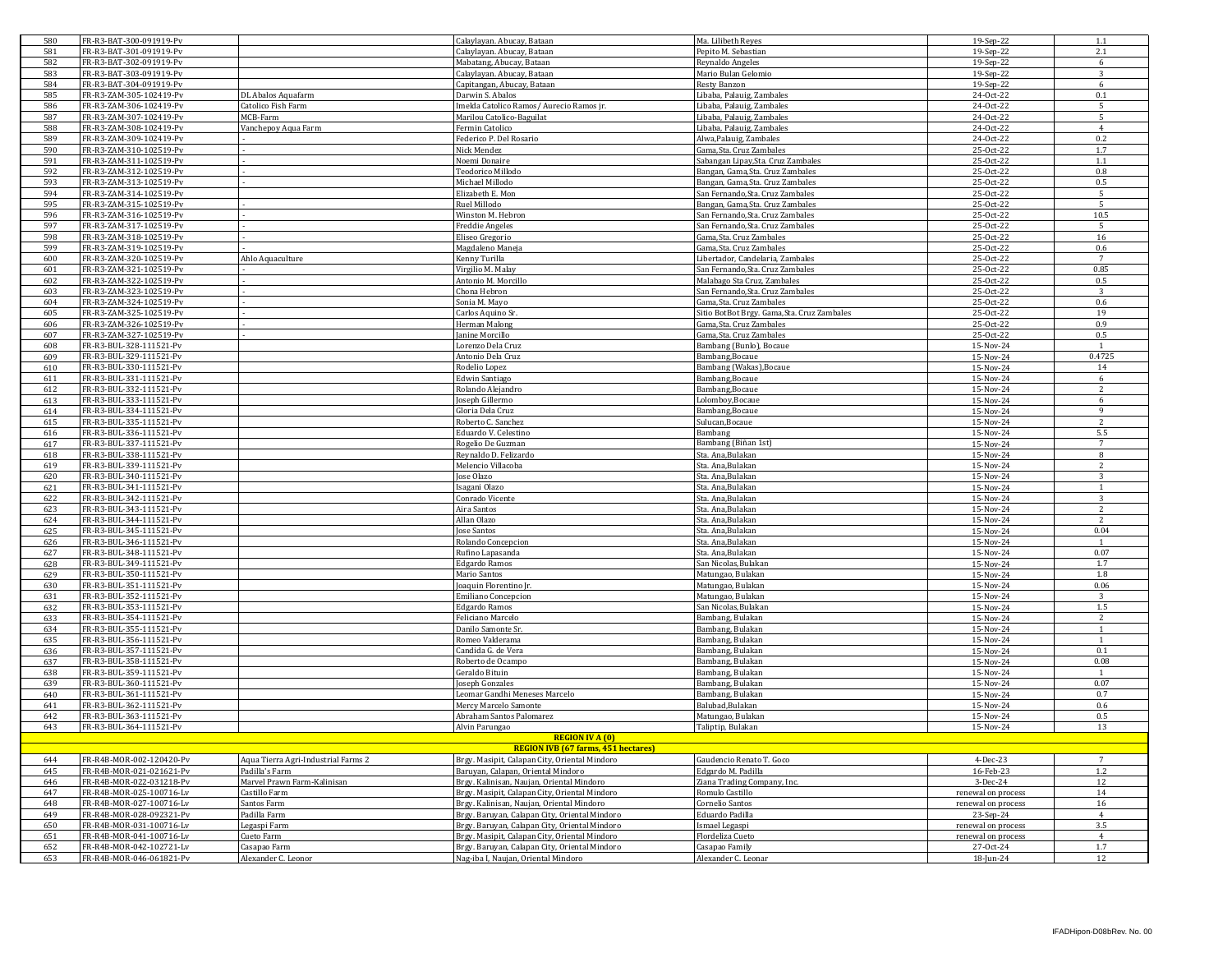| 580        | FR-R3-BAT-300-091919-Pv                            |                                     | Calaylayan. Abucay, Bataan                    | Ma. Lilibeth Reyes                                                     | 19-Sep-22              | 1.1             |
|------------|----------------------------------------------------|-------------------------------------|-----------------------------------------------|------------------------------------------------------------------------|------------------------|-----------------|
| 581        | FR-R3-BAT-301-091919-Pv                            |                                     | Calaylayan. Abucay, Bataan                    | Pepito M. Sebastian                                                    | 19-Sep-22              | 2.1             |
| 582        | FR-R3-BAT-302-091919-Pv                            |                                     | Mabatang, Abucay, Bataan                      | Reynaldo Angeles                                                       | 19-Sep-22              | 6               |
| 583        | FR-R3-BAT-303-091919-Pv                            |                                     | Calaylayan. Abucay, Bataan                    | Mario Bulan Gelomio                                                    | 19-Sep-22              | 3               |
| 584        | FR-R3-BAT-304-091919-Pv                            |                                     | Capitangan, Abucay, Bataan                    | Resty Banzon                                                           | 19-Sep-22              | 6               |
| 585        | FR-R3-ZAM-305-102419-Pv                            | DL Abalos Aquafarm                  | Darwin S. Abalos                              | Libaba, Palauig, Zambales                                              | 24-Oct-22              | 0.1             |
| 586        | FR-R3-ZAM-306-102419-Pv                            | Catolico Fish Farm                  | Imelda Catolico Ramos / Aurecio Ramos jr.     | Libaba, Palauig, Zambales                                              | 24-Oct-22              | -5              |
| 587        | FR-R3-ZAM-307-102419-Pv                            | MCB-Farm                            | Marilou Catolico-Baguilat                     | Libaba, Palauig, Zambales                                              | 24-Oct-22              | 5               |
| 588        | FR-R3-ZAM-308-102419-Pv                            | Vanchepoy Aqua Farm                 | Fermin Catolico                               | Libaba, Palauig, Zambales                                              | 24-Oct-22              | $\overline{4}$  |
| 589        | FR-R3-ZAM-309-102419-Pv                            |                                     | Federico P. Del Rosario                       | Alwa, Palauig, Zambales                                                | 24-Oct-22              | 0.2             |
| 590        | FR-R3-ZAM-310-102519-Pv                            |                                     | Nick Mendez<br>Noemi Donaire                  | Gama, Sta. Cruz Zambales                                               | 25-Oct-22<br>25-Oct-22 | 1.7<br>1.1      |
| 591<br>592 | FR-R3-ZAM-311-102519-Pv<br>FR-R3-ZAM-312-102519-Pv |                                     | Teodorico Millodo                             | Sabangan Lipay, Sta. Cruz Zambales<br>Bangan, Gama, Sta. Cruz Zambales | 25-Oct-22              | 0.8             |
| 593        | FR-R3-ZAM-313-102519-Pv                            |                                     | Michael Millodo                               | Bangan, Gama, Sta. Cruz Zambales                                       | 25-Oct-22              | 0.5             |
| 594        | FR-R3-ZAM-314-102519-Pv                            |                                     | Elizabeth E. Mon                              | San Fernando, Sta. Cruz Zambales                                       | 25-Oct-22              | 5               |
| 595        | FR-R3-ZAM-315-102519-Pv                            |                                     | Ruel Millodo                                  | Bangan, Gama, Sta. Cruz Zambales                                       | 25-Oct-22              | -5              |
| 596        | FR-R3-ZAM-316-102519-Pv                            |                                     | Winston M. Hebron                             | San Fernando, Sta. Cruz Zambales                                       | 25-Oct-22              | 10.5            |
| 597        | FR-R3-ZAM-317-102519-Pv                            |                                     | <b>Freddie Angeles</b>                        | San Fernando, Sta. Cruz Zambales                                       | 25-Oct-22              | 5               |
| 598        | FR-R3-ZAM-318-102519-Pv                            |                                     | Eliseo Gregorio                               | Gama.Sta. Cruz Zambales                                                | 25-Oct-22              | 16              |
| 599        | FR-R3-ZAM-319-102519-Pv                            |                                     | Magdaleno Maneja                              | Gama, Sta. Cruz Zambales                                               | 25-Oct-22              | 0.6             |
| 600        | FR-R3-ZAM-320-102519-Pv                            | Ahlo Aquaculture                    | Kenny Turilla                                 | Libertador, Candelaria, Zambales                                       | 25-Oct-22              | $7\overline{ }$ |
| 601        | FR-R3-ZAM-321-102519-Pv                            |                                     | Virgilio M. Malay                             | San Fernando, Sta. Cruz Zambales                                       | 25-Oct-22              | 0.85            |
| 602        | FR-R3-ZAM-322-102519-Pv                            |                                     | Antonio M. Morcillo                           | Malabago Sta Cruz, Zambales                                            | 25-Oct-22              | 0.5             |
| 603        | FR-R3-ZAM-323-102519-Pv                            |                                     | Chona Hebron                                  | San Fernando, Sta. Cruz Zambales                                       | 25-Oct-22              | 3               |
| 604        | FR-R3-ZAM-324-102519-Pv                            |                                     | Sonia M. Mayo                                 | Gama, Sta. Cruz Zambales                                               | 25-Oct-22              | 0.6             |
| 605        | FR-R3-ZAM-325-102519-Pv                            |                                     | Carlos Aquino Sr                              | Sitio BotBot Brgy. Gama, Sta. Cruz Zambales                            | 25-Oct-22              | 19              |
| 606        | FR-R3-ZAM-326-102519-Pv                            |                                     | Herman Malong                                 | Gama, Sta. Cruz Zambales                                               | 25-Oct-22              | 0.9             |
| 607        | FR-R3-ZAM-327-102519-Pv                            |                                     | Janine Morcillo                               | Gama, Sta. Cruz Zambales                                               | 25-Oct-22              | 0.5             |
| 608        | FR-R3-BUL-328-111521-Pv                            |                                     | Lorenzo Dela Cruz                             | Bambang (Bunlo), Bocaue                                                | 15-Nov-24              |                 |
| 609        | FR-R3-BUL-329-111521-Pv                            |                                     | Antonio Dela Cruz                             | Bambang, Bocaue                                                        | 15-Nov-24              | 0.4725          |
| 610        | FR-R3-BUL-330-111521-Pv                            |                                     | Rodelio Lopez                                 | Bambang (Wakas), Bocaue                                                | 15-Nov-24              | 14<br>6         |
| 611<br>612 | FR-R3-BUL-331-111521-Pv<br>FR-R3-BUL-332-111521-Pv |                                     | <b>Edwin Santiago</b><br>Rolando Aleiandro    | Bambang, Bocaue<br>Bambang, Bocaue                                     | 15-Nov-24<br>15-Nov-24 | 2               |
| 613        | FR-R3-BUL-333-111521-Pv                            |                                     | Joseph Gillermo                               | Lolomboy, Bocaue                                                       | 15-Nov-24              | 6               |
| 614        | FR-R3-BUL-334-111521-Pv                            |                                     | Gloria Dela Cruz                              | Bambang, Bocaue                                                        | 15-Nov-24              | $\mathbf{q}$    |
| 615        | FR-R3-BUL-335-111521-Pv                            |                                     | Roberto C. Sanchez                            | Sulucan, Bocaue                                                        | 15-Nov-24              | $\overline{2}$  |
| 616        | FR-R3-BUL-336-111521-Pv                            |                                     | Eduardo V. Celestino                          | Bambang                                                                | 15-Nov-24              | 5.5             |
| 617        | FR-R3-BUL-337-111521-Pv                            |                                     | Rogelio De Guzman                             | Bambang (Biñan 1st)                                                    | 15-Nov-24              | $\overline{7}$  |
| 618        | FR-R3-BUL-338-111521-Pv                            |                                     | Reynaldo D. Felizardo                         | Sta. Ana.Bulakan                                                       | 15-Nov-24              | 8               |
| 619        | FR-R3-BUL-339-111521-Pv                            |                                     | Melencio Villacoba                            | Sta. Ana, Bulakan                                                      | 15-Nov-24              | 2               |
| 620        | FR-R3-BUL-340-111521-Pv                            |                                     | Jose Olazo                                    | Sta. Ana, Bulakan                                                      | 15-Nov-24              | $\mathbf{R}$    |
| 621        | FR-R3-BUL-341-111521-Pv                            |                                     | Isagani Olazo                                 | Sta. Ana, Bulakan                                                      | 15-Nov-24              | $\overline{1}$  |
| 622        | FR-R3-BUL-342-111521-Pv                            |                                     | Conrado Vicente                               | Sta. Ana, Bulakan                                                      | 15-Nov-24              | 3               |
| 623        | FR-R3-BUL-343-111521-Pv                            |                                     | Aira Santos                                   | Sta. Ana,Bulakan                                                       | 15-Nov-24              |                 |
| 624        | FR-R3-BUL-344-111521-Pv                            |                                     | Allan Olazo                                   | Sta. Ana, Bulakan                                                      | 15-Nov-24              | 2               |
| 625        | FR-R3-BUL-345-111521-Pv                            |                                     | Jose Santos                                   | Sta. Ana, Bulakan                                                      | 15-Nov-24              | 0.04            |
| 626        | FR-R3-BUL-346-111521-Pv                            |                                     | Rolando Concepcion                            | Sta. Ana, Bulakan                                                      | 15-Nov-24              |                 |
| 627        | FR-R3-BUL-348-111521-Pv                            |                                     | Rufino Lapasanda                              | Sta. Ana, Bulakan                                                      | 15-Nov-24              | 0.07            |
| 628        | FR-R3-BUL-349-111521-Pv                            |                                     | Edgardo Ramos                                 | San Nicolas, Bulakan                                                   | 15-Nov-24              | 1.7             |
| 629        | FR-R3-BUL-350-111521-Pv                            |                                     | Mario Santos                                  | Matungao, Bulakan                                                      | 15-Nov-24              | 1.8             |
| 630        | FR-R3-BUL-351-111521-Pv                            |                                     | Joaquin Florentino Jr.                        | Matungao, Bulakan                                                      | 15-Nov-24              | 0.06            |
| 631        | FR-R3-BUL-352-111521-Pv                            |                                     | Emiliano Concepcion                           | Matungao, Bulakan                                                      | 15-Nov-24              | 3               |
| 632        | FR-R3-BUL-353-111521-Pv<br>FR-R3-BUL-354-111521-Pv |                                     | <b>Edgardo Ramos</b><br>Feliciano Marcelo     | San Nicolas, Bulakan<br>Bambang, Bulakan                               | 15-Nov-24              | 1.5<br>2        |
| 633<br>634 | FR-R3-BUL-355-111521-Pv                            |                                     | Danilo Samonte Sr.                            | Bambang, Bulakan                                                       | 15-Nov-24<br>15-Nov-24 | 1               |
| 635        | FR-R3-BUL-356-111521-Pv                            |                                     | Romeo Valderama                               | Bambang, Bulakan                                                       | 15-Nov-24              |                 |
| 636        | FR-R3-BUL-357-111521-Pv                            |                                     | Candida G. de Vera                            | Bambang, Bulakan                                                       | 15-Nov-24              | 0.1             |
| 637        | FR-R3-BUL-358-111521-Pv                            |                                     | Roberto de Ocampo                             | Bambang, Bulakan                                                       | 15-Nov-24              | 0.08            |
| 638        | FR-R3-BUL-359-111521-Pv                            |                                     | Geraldo Bituin                                | Bambang, Bulakan                                                       | 15-Nov-24              |                 |
| 639        | FR-R3-BUL-360-111521-Pv                            |                                     | Joseph Gonzales                               | Bambang, Bulakan                                                       | 15-Nov-24              | 0.07            |
| 640        | FR-R3-BUL-361-111521-Pv                            |                                     | Leomar Gandhi Meneses Marcelo                 | Bambang, Bulakan                                                       | 15-Nov-24              | 0.7             |
| 641        | FR-R3-BUL-362-111521-Pv                            |                                     | Mercy Marcelo Samonte                         | Balubad, Bulakan                                                       | 15-Nov-24              | 0.6             |
| 642        | FR-R3-BUL-363-111521-Pv                            |                                     | Abraham Santos Palomarez                      | Matungao, Bulakan                                                      | 15-Nov-24              | 0.5             |
| 643        | FR-R3-BUL-364-111521-Pv                            |                                     | Alvin Parungao                                | Taliptip, Bulakan                                                      | 15-Nov-24              | 13              |
|            |                                                    |                                     | <b>REGION IV A (0)</b>                        |                                                                        |                        |                 |
|            |                                                    |                                     | <b>REGION IVB (67 farms, 451 hectares)</b>    |                                                                        |                        |                 |
| 644        | FR-R4B-MOR-002-120420-Pv                           | Aqua Tierra Agri-Industrial Farms 2 | Brgy. Masipit, Calapan City, Oriental Mindoro | Gaudencio Renato T. Goco                                               | $4-Dec-23$             | $7\overline{ }$ |
| 645        | FR-R4B-MOR-021-021621-Pv                           | Padilla's Farm                      | Baruvan, Calapan, Oriental Mindoro            | Edgardo M. Padilla                                                     | 16-Feb-23              | $1.2\,$         |
| 646        | FR-R4B-MOR-022-031218-Pv                           | Marvel Prawn Farm-Kalinisan         | Brgy. Kalinisan, Naujan, Oriental Mindoro     | Ziana Trading Company, Inc.                                            | 3-Dec-24               | 12              |
| 647        | FR-R4B-MOR-025-100716-Lv                           | Castillo Farm                       | Brgy, Masipit, Calapan City, Oriental Mindoro | Romulo Castillo                                                        | renewal on process     | 14              |
| 648        | FR-R4B-MOR-027-100716-Lv                           | Santos Farm                         | Brgy. Kalinisan, Naujan, Oriental Mindoro     | Cornelio Santos                                                        | renewal on process     | 16              |
| 649        | FR-R4B-MOR-028-092321-Pv                           | Padilla Farm                        | Brgy. Baruyan, Calapan City, Oriental Mindoro | Eduardo Padilla                                                        | 23-Sep-24              | $\overline{4}$  |
| 650        | FR-R4B-MOR-031-100716-Lv                           | Legaspi Farm                        | Brgy. Baruyan, Calapan City, Oriental Mindoro | Ismael Legaspi                                                         | renewal on process     | 3.5             |
| 651        | FR-R4B-MOR-041-100716-Lv                           | Cueto Farm                          | Brgy. Masipit, Calapan City, Oriental Mindoro | Flordeliza Cueto                                                       | renewal on process     | $\overline{4}$  |
| 652        | FR-R4B-MOR-042-102721-Lv                           | Casapao Farm                        | Brgy. Baruyan, Calapan City, Oriental Mindoro | Casapao Family                                                         | 27-Oct-24              | 1.7             |
| 653        | FR-R4B-MOR-046-061821-Pv                           | Alexander C. Leonor                 | Nag-iba I. Naujan. Oriental Mindoro           | Alexander C. Leonar                                                    | 18-Jun-24              | 12              |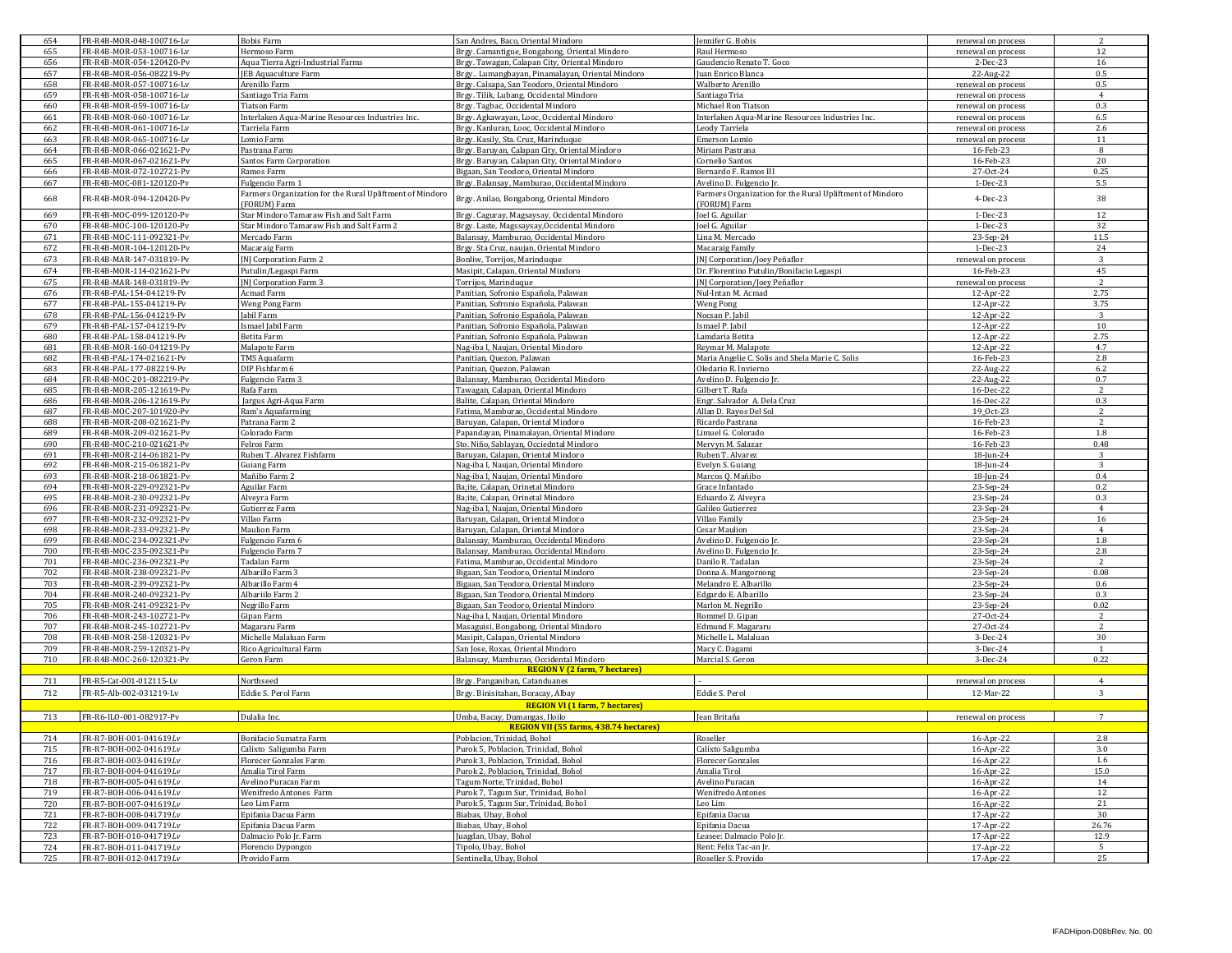| 654        | FR-R4B-MOR-048-100716-Lv                             | <b>Bobis Farm</b>                                         | San Andres, Baco, Oriental Mindoro                                             | Jennifer G. Bobis                                        | renewal on process     | 2               |
|------------|------------------------------------------------------|-----------------------------------------------------------|--------------------------------------------------------------------------------|----------------------------------------------------------|------------------------|-----------------|
| 655        | FR-R4B-MOR-053-100716-Lv                             | Hermoso Farm                                              | Brgy. Camantigue, Bongabong, Oriental Mindoro                                  | Raul Hermoso                                             | renewal on process     | 12              |
| 656        | FR-R4B-MOR-054-120420-Pv                             | Aqua Tierra Agri-Industrial Farms                         | Brgy. Tawagan, Calapan City, Oriental Mindoro                                  | Gaudencio Renato T. Goco                                 | 2-Dec-23               | 16              |
| 657        | FR-R4B-MOR-056-082219-Pv                             | JEB Aquaculture Farm                                      | Brgy., Lumangbayan, Pinamalayan, Oriental Mindoro                              | Juan Enrico Blanca                                       | 22-Aug-22              | 0.5             |
| 658        | FR-R4B-MOR-057-100716-Lv                             | Arenillo Farm                                             | Brgy. Calsapa, San Teodoro, Oriental Mindoro                                   | Walberto Arenillo                                        | renewal on process     | 0.5             |
| 659        | FR-R4B-MOR-058-100716-Lv                             | Santiago Tria Farm                                        | Brgy. Tilik, Lubang, Occidental Mindoro                                        | Santiago Tria                                            | renewal on process     | $\overline{4}$  |
| 660        | FR-R4B-MOR-059-100716-Lv                             | Tiatson Farm                                              | Brgy. Tagbac, Occidental Mindoro                                               | Michael Ron Tiatson                                      | renewal on process     | 0.3             |
| 661        | FR-R4B-MOR-060-100716-Lv                             | Interlaken Aqua-Marine Resources Industries Inc.          | Brgy. Agkawayan, Looc, Occidental Mindoro                                      | Interlaken Aqua-Marine Resources Industries Inc.         | renewal on process     | 6.5             |
| 662        | FR-R4B-MOR-061-100716-Lv                             | Tarriela Farm                                             | Brgy. Kanluran, Looc, Occidental Mindoro                                       | Leody Tarriela                                           | renewal on process     | 2.6             |
| 663        | FR-R4B-MOR-065-100716-Lv                             | Lomio Farm                                                | Brgy. Kasily, Sta. Cruz, Marinduque                                            | Emerson Lomio                                            | renewal on process     | 11              |
| 664        | FR-R4B-MOR-066-021621-Pv                             | Pastrana Farm                                             | Brgy. Baruyan, Calapan City, Oriental Mindoro                                  | Miriam Pastrana                                          | 16-Feb-23              | 8               |
| 665        | FR-R4B-MOR-067-021621-Pv                             | Santos Farm Corporation                                   | Brgy. Baruyan, Calapan City, Oriental Mindoro                                  | Cornelio Santos                                          | 16-Feb-23              | 20              |
| 666        | FR-R4B-MOR-072-102721-Pv                             | Ramos Farm                                                | Bigaan, San Teodoro, Oriental Mindoro                                          | Bernardo F. Ramos III                                    | 27-Oct-24              | 0.25            |
| 667        | FR-R4B-MOC-081-120120-Pv                             | Fulgencio Farm 1                                          | Brgy. Balansay, Mamburao, Occidental Mindoro                                   | Avelino D. Fulgencio Jr.                                 | 1-Dec-23               | 5.5             |
|            |                                                      | Farmers Organization for the Rural Upliftment of Mindoro  |                                                                                | Farmers Organization for the Rural Upliftment of Mindoro |                        |                 |
| 668        | FR-R4B-MOR-094-120420-Pv                             | (FORUM) Farm                                              | Brgy. Anilao, Bongabong, Oriental Mindoro                                      | (FORUM) Farm                                             | 4-Dec-23               | 38              |
| 669        | FR-R4B-MOC-099-120120-Pv                             | Star Mindoro Tamaraw Fish and Salt Farm                   |                                                                                | Joel G. Aguilar                                          | 1-Dec-23               | 12              |
|            |                                                      |                                                           | Brgy. Caguray, Magsaysay, Occidental Mindoro                                   |                                                          |                        | 32              |
| 670<br>671 | FR-R4B-MOC-100-120120-Pv<br>FR-R4B-MOC-111-092321-Pv | Star Mindoro Tamaraw Fish and Salt Farm 2<br>Mercado Farm | Brgy. Laste, Magssaysay, Occidental Mindoro                                    | Joel G. Aguilar<br>Lina M. Mercado                       | 1-Dec-23<br>23-Sep-24  | 11.5            |
|            |                                                      |                                                           | Balansay, Mamburao, Occidental Mindoro                                         |                                                          |                        |                 |
| 672        | FR-R4B-MOR-104-120120-Pv                             | Macaraig Farm                                             | Brgy. Sta Cruz, naujan, Oriental Mindoro                                       | Macaraig Family                                          | 1-Dec-23               | 24              |
| 673        | FR-R4B-MAR-147-031819-Pv                             | <b>INI Corporation Farm 2</b>                             | Bonliw, Torrijos, Marinduque                                                   | [N] Corporation/Joey Peñaflor                            | renewal on process     | $\mathcal{R}$   |
| 674        | FR-R4B-MOR-114-021621-Pv                             | Putulin/Legaspi Farm                                      | Masipit, Calapan, Oriental Mindoro                                             | Dr. Florentino Putulin/Bonifacio Legaspi                 | 16-Feb-23              | 45              |
| 675        | FR-R4B-MAR-148-031819-Pv                             | JNJ Corporation Farm 3                                    | Torrijos, Marinduque                                                           | NJ Corporation/Joey Peñaflor                             | renewal on process     | $\overline{2}$  |
| 676        | FR-R4B-PAL-154-041219-Pv                             | Acmad Farm                                                | Panitian, Sofronio Española, Palawan                                           | Nul-Intan M. Acmad                                       | 12-Apr-22              | 2.75            |
| 677        | FR-R4B-PAL-155-041219-Pv                             | Weng Pong Farm                                            | Panitian, Sofronio Española, Palawan                                           | <b>Weng Pong</b>                                         | 12-Apr-22              | 3.75            |
| 678        | FR-R4B-PAL-156-041219-Pv                             | Jabil Farm                                                | Panitian, Sofronio Española, Palawan                                           | Nocsan P. Jabil                                          | 12-Apr-22              | 3               |
| 679        | FR-R4B-PAL-157-041219-Pv                             | Ismael Jabil Farm                                         | Panitian, Sofronio Española, Palawan                                           | Ismael P. Jabil                                          | 12-Apr-22              | 10              |
| 680        | FR-R4B-PAL-158-041219-Pv                             | Betita Farm                                               | Panitian, Sofronio Española, Palawan                                           | amdaria Betita                                           | 12-Apr-22              | 2.75            |
| 681        | FR-R4B-MOR-160-041219-Pv                             | Malapote Farm                                             | Nag-iba I, Naujan, Oriental Mindoro                                            | Reymar M. Malapote                                       | 12-Apr-22              | 4.7             |
| 682        | FR-R4B-PAL-174-021621-Pv                             | TMS Aquafarm                                              | Panitian, Quezon, Palawan                                                      | Maria Angelie C. Solis and Shela Marie C. Solis          | 16-Feb-23              | 2.8             |
| 683        | FR-R4B-PAL-177-082219-Pv                             | DIP Fishfarm 6                                            | Panitian, Quezon, Palawan                                                      | Oledario R. Invierno                                     | 22-Aug-22              | 6.2             |
| 684        | FR-R4B-MOC-201-082219-Pv                             | Fulgencio Farm 3                                          | Balansay, Mamburao, Occidental Mindoro                                         | Avelino D. Fulgencio Jr.                                 | 22-Aug-22              | 0.7             |
| 685        | FR-R4B-MOR-205-121619-Pv                             | Rafa Farm                                                 | Tawagan, Calapan, Oriental Mindoro                                             | Gilbert T. Rafa                                          | 16-Dec-22              | 2               |
| 686        | FR-R4B-MOR-206-121619-Pv                             | Jargus Agri-Aqua Farm                                     | Balite, Calapan, Oriental Mindoro                                              | Engr. Salvador A. Dela Cruz                              | 16-Dec-22              | 0.3             |
| 687        | FR-R4B-MOC-207-101920-Pv                             | Ram's Aquafarming                                         | Fatima. Mamburao. Occidental Mindoro                                           | Allan D. Rayos Del Sol                                   | 19_0ct-23              | $\overline{2}$  |
| 688        | FR-R4B-MOR-208-021621-Pv                             | Patrana Farm 2                                            | Baruyan, Calapan, Oriental Mindoro                                             | Ricardo Pastrana                                         | 16-Feb-23              | 2               |
| 689        | FR-R4B-MOR-209-021621-Pv                             | Colorado Farm                                             | Papandayan, Pinamalayan, Oriental Mindoro                                      | Limuel G. Colorado                                       | 16-Feb-23              | 1.8             |
| 690        | FR-R4B-MOC-210-021621-Pv                             | Felros Farm                                               | Sto, Niño, Sablavan, Occiedntal Mindoro                                        | Mervyn M. Salazar                                        | 16-Feb-23              | 0.48            |
| 691        | FR-R4B-MOR-214-061821-Pv                             | Ruben T. Alvarez Fishfarm                                 | Baruyan, Calapan, Oriental Mindoro                                             | Ruben T. Alvarez                                         | 18-Jun-24              |                 |
|            |                                                      |                                                           |                                                                                |                                                          |                        |                 |
| 692        | FR-R4B-MOR-215-061821-Pv                             | Guiang Farm                                               | Nag-iba I, Naujan, Oriental Mindoro                                            | Evelyn S. Guiang                                         | 18-Jun-24              | 3               |
| 693        | FR-R4B-MOR-218-061821-Pv                             | Mañibo Farm 2                                             | Nag-iba I, Naujan, Oriental Mindoro                                            | Marcos Q. Mañibo                                         | 18-Jun-24              | 0.4             |
| 694        | FR-R4B-MOR-229-092321-Pv                             | Aguilar Farm                                              |                                                                                | Grace Infantado                                          |                        | 0.2             |
| 695        | FR-R4B-MOR-230-092321-Pv                             |                                                           | Ba;ite, Calapan, Orinetal Mindoro                                              |                                                          | 23-Sep-24              | 0.3             |
|            | FR-R4B-MOR-231-092321-Pv                             | Alveyra Farm                                              | Ba;ite, Calapan, Orinetal Mindoro                                              | Eduardo Z. Alveyra                                       | 23-Sep-24              | $\overline{4}$  |
| 696        |                                                      | Gutierrez Farm                                            | Nag-iba I, Naujan, Oriental Mindoro                                            | Galileo Gutierrez                                        | 23-Sep-24              |                 |
| 697        | FR-R4B-MOR-232-092321-Pv                             | Villao Farm                                               | Baruyan, Calapan, Oriental Mindoro                                             | Villao Family                                            | 23-Sep-24              | 16              |
| 698        | FR-R4B-MOR-233-092321-Pv                             | <b>Maulion Farm</b>                                       | Baruyan, Calapan, Oriental Mindoro                                             | <b>Cesar Maulion</b>                                     | 23-Sep-24              | $\overline{4}$  |
| 699        | FR-R4B-MOC-234-092321-Pv                             | Fulgencio Farm 6                                          | Balansay, Mamburao, Occidental Mindoro                                         | Avelino D. Fulgencio Jr                                  | 23-Sep-24              | $1.8\,$         |
| 700<br>701 | FR-R4B-MOC-235-092321-Pv<br>FR-R4B-MOC-236-092321-Pv | Fulgencio Farm 7<br>Tadalan Farm                          | Balansay, Mamburao, Occidental Mindoro<br>Fatima, Mamburao, Occidental Mindoro | Avelino D. Fulgencio Jr<br>Danilo R. Tadalan             | 23-Sep-24<br>23-Sep-24 | 2.8<br>2        |
| 702        | FR-R4B-MOR-238-092321-Pv                             | Albarillo Farm 3                                          | Bigaan, San Teodoro, Oriental Mindoro                                          | Donna A. Mangornong                                      | 23-Sep-24              | 0.08            |
|            |                                                      |                                                           |                                                                                |                                                          |                        |                 |
| 703<br>704 | FR-R4B-MOR-239-092321-Pv<br>FR-R4B-MOR-240-092321-Pv | Albarillo Farm 4                                          | Bigaan, San Teodoro, Oriental Mindoro                                          | Melandro E. Albarillo<br>Edgardo E. Albarillo            | 23-Sep-24<br>23-Sep-24 | 0.6<br>0.3      |
| 705        | FR-R4B-MOR-241-092321-Pv                             | Albariilo Farm 2<br>Negrillo Farm                         | Bigaan, San Teodoro, Oriental Mindoro                                          |                                                          |                        | 0.02            |
|            |                                                      |                                                           | Bigaan, San Teodoro, Oriental Mindoro                                          | Marlon M. Negrillo                                       | 23-Sep-24              | $\overline{2}$  |
| 706        | FR-R4B-MOR-243-102721-Pv                             | Gipan Farm                                                | Nag-iba I, Naujan, Oriental Mindoro                                            | Rommel D. Gipan                                          | 27-Oct-24              | 2               |
| 707        | FR-R4B-MOR-245-102721-Pv                             | Magararu Farm                                             | Masaguisi, Bongabong, Oriental Mindoro                                         | Edmund F. Magararu                                       | 27-Oct-24              |                 |
| 708        | FR-R4B-MOR-258-120321-Pv                             | Michelle Malaluan Farm                                    | Masipit, Calapan, Oriental Mindoro                                             | Michelle L. Malaluan                                     | 3-Dec-24               | 30              |
| 709        | FR-R4B-MOR-259-120321-Pv                             | Rico Agricultural Farm                                    | San Jose, Roxas, Oriental Mindoro                                              | Macy C. Dagami                                           | 3-Dec-24               | $\overline{1}$  |
| 710        | FR-R4B-MOC-260-120321-Pv                             | Geron Farm                                                | Balansay, Mamburao, Occidental Mindoro                                         | Marcial S. Geron                                         | 3-Dec-24               | 0.22            |
|            |                                                      |                                                           | <b>REGION V (2 farm, 7 hectares)</b>                                           |                                                          |                        |                 |
| 711        | FR-R5-Cat-001-012115-Lv                              | Northseed                                                 | Brgy. Panganiban, Catanduanes                                                  |                                                          | renewal on process     | $\overline{4}$  |
| 712        | FR-R5-Alb-002-031219-Lv                              | Eddie S. Perol Farm                                       | Brgy. Binisitahan, Boracay, Albay                                              | Eddie S. Perol                                           | 12-Mar-22              | 3               |
|            |                                                      |                                                           | <b>REGION VI (1 farm, 7 hectares)</b>                                          |                                                          |                        |                 |
| 713        | FR-R6-ILO-001-082917-Pv                              | Dulalia Inc.                                              | Umba, Bacay, Dumangas, Iloilo                                                  | Jean Britaňa                                             | renewal on process     | $7\phantom{.0}$ |
|            |                                                      |                                                           | REGION VII (55 farms, 438.74 hectares)                                         |                                                          |                        |                 |
| 714        | FR-R7-BOH-001-041619Lv                               | Bonifacio Sumatra Farm                                    | Poblacion, Trinidad, Bohol                                                     | Roseller                                                 | 16-Apr-22              | $2.8\,$         |
| 715        | FR-R7-BOH-002-041619Lv                               | Calixto Saligumba Farm                                    | Purok 5, Poblacion, Trinidad, Bohol                                            | Calixto Saligumba                                        | 16-Apr-22              | 3.0             |
| 716        | FR-R7-BOH-003-041619Lv                               | Florecer Gonzales Farm                                    | Purok 3, Poblacion, Trinidad, Bohol                                            | <b>Florecer Gonzales</b>                                 | 16-Apr-22              | 1.6             |
| 717        | FR-R7-BOH-004-041619Lv                               | Amalia Tirol Farm                                         | Purok 2, Poblacion, Trinidad, Bohol                                            | Amalia Tirol                                             | 16-Apr-22              | 15.0            |
| 718        | FR-R7-BOH-005-041619Lv                               | Avelino Puracan Farm                                      | Tagum Norte, Trinidad, Bohol                                                   | Avelino Puracan                                          | 16-Apr-22              | 14              |
| 719        | FR-R7-BOH-006-041619Lv                               | Wenifredo Antones Farm                                    | Purok 7, Tagum Sur, Trinidad, Bohol                                            | <b>Wenifredo Antones</b>                                 | 16-Apr-22              | 12              |
| 720        | FR-R7-BOH-007-041619Lv                               | Leo Lim Farm                                              | Purok 5, Tagum Sur, Trinidad, Bohol                                            | Leo Lim                                                  | 16-Apr-22              | 21              |
| 721        | FR-R7-BOH-008-041719Lv                               | Epifania Dacua Farm                                       | Biabas, Ubay, Bohol                                                            | Epifania Dacua                                           |                        | 30              |
|            |                                                      |                                                           |                                                                                | Enifania Dacua                                           | 17-Apr-22              |                 |
| 722        | FR-R7-BOH-009-041719Lv                               | Epifania Dacua Farm                                       | Biabas, Ubay, Bohol                                                            |                                                          | 17-Apr-22              | 26.76           |
| 723        | FR-R7-BOH-010-041719Lv                               | Dalmacio Polo Jr. Farm                                    | Juagdan, Ubay, Bohol                                                           | Leasee: Dalmacio Polo Jr.                                | 17-Apr-22              | 12.9            |
| 724<br>725 | FR-R7-BOH-011-041719Lv<br>FR-R7-BOH-012-041719Lv     | Florencio Dypongco<br>Provido Farm                        | Tipolo, Ubay, Bohol<br>Sentinella, Ubay, Bohol                                 | Rent: Felix Tac-an Jr.<br>Roseller S. Provido            | 17-Apr-22<br>17-Apr-22 | 5<br>25         |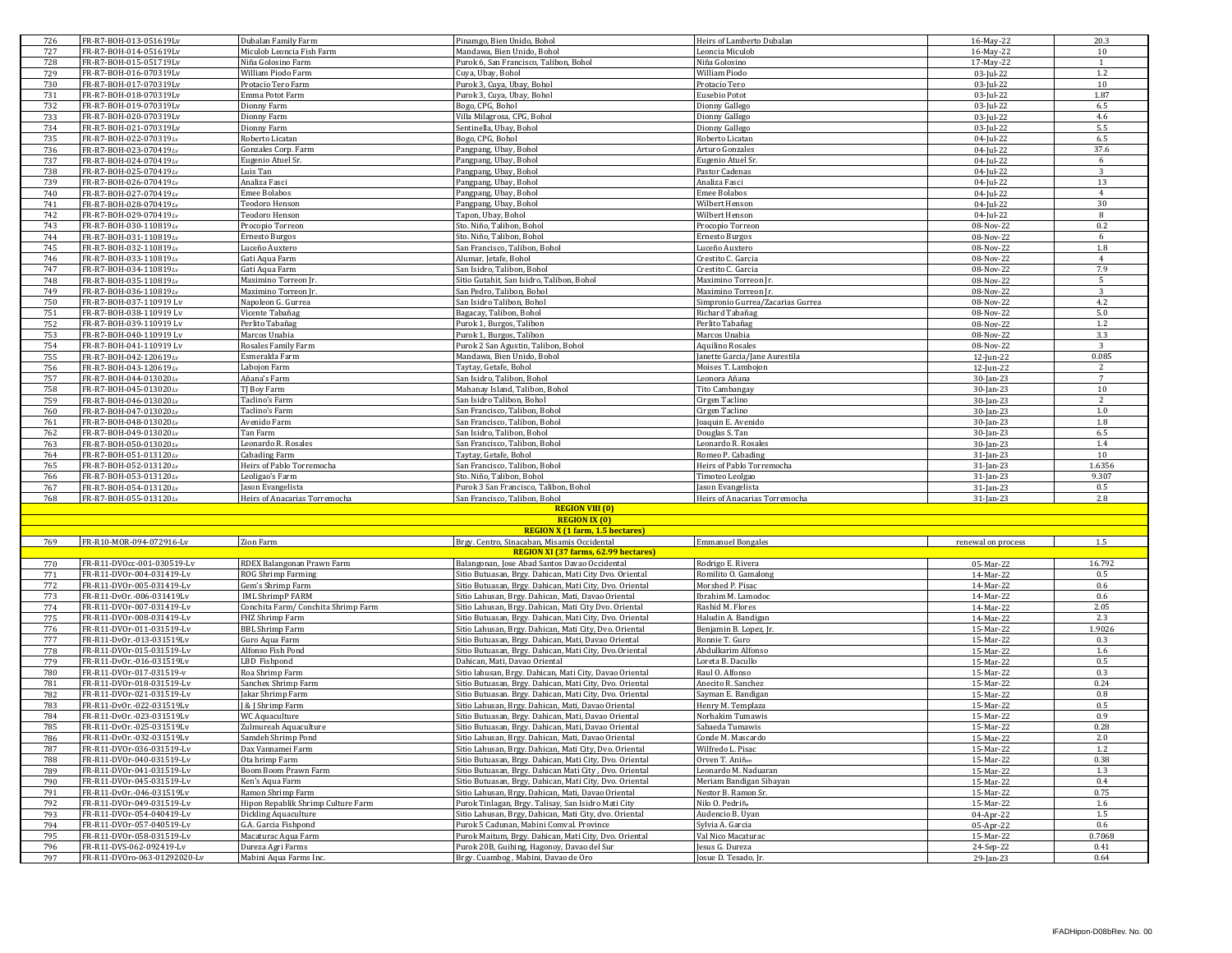| 726 | FR-R7-BOH-013-051619Lv       | Dubalan Family Farm                 | Pinamgo, Bien Unido, Bohol                              | Heirs of Lamberto Dubalan        | 16-May-22          | 20.3           |
|-----|------------------------------|-------------------------------------|---------------------------------------------------------|----------------------------------|--------------------|----------------|
|     | FR-R7-BOH-014-051619Lv       | Miculob Leoncia Fish Farm           | Mandawa, Bien Unido, Bohol                              | Leoncia Miculob                  |                    | 10             |
| 727 |                              |                                     |                                                         |                                  | 16-May-22          |                |
| 728 | FR-R7-BOH-015-051719Lv       | Niña Golosino Farm                  | Purok 6, San Francisco, Talibon, Bohol                  | Niña Golosino                    | 17-May-22          | <sup>1</sup>   |
| 729 | FR-R7-BOH-016-070319Lv       | William Piodo Farm                  | Cuya, Ubay, Bohol                                       | William Piodo                    | 03-Jul-22          | 1.2            |
| 730 | FR-R7-BOH-017-070319Lv       | Protacio Tero Farm                  | Purok 3, Cuya, Ubay, Bohol                              | Protacio Tero                    | 03-Jul-22          | 10             |
| 731 | FR-R7-BOH-018-070319Lv       | Emma Potot Farm                     | Purok 3, Cuya, Ubay, Bohol                              | Eusebio Potot                    | 03-Jul-22          | 1.87           |
|     |                              |                                     |                                                         |                                  |                    |                |
| 732 | FR-R7-BOH-019-070319Lv       | Dionny Farm                         | Bogo, CPG, Bohol                                        | Dionny Gallego                   | 03-Jul-22          | 6.5            |
| 733 | FR-R7-BOH-020-070319Lv       | Dionny Farm                         | Villa Milagrosa, CPG, Bohol                             | Dionny Gallego                   | 03-Jul-22          | 4.6            |
| 734 | FR-R7-BOH-021-070319Lv       | Dionny Farm                         | Sentinella, Ubay, Bohol                                 | Dionny Gallego                   | 03-Jul-22          | 5.5            |
| 735 | FR-R7-BOH-022-070319Lv       | Roberto Licatan                     | Bogo, CPG, Bohol                                        | Roberto Licatan                  | 04-Jul-22          | 6.5            |
|     |                              |                                     |                                                         |                                  |                    |                |
| 736 | FR-R7-BOH-023-070419Lv       | Gonzales Corp. Farm                 | Pangpang, Ubay, Bohol                                   | Arturo Gonzales                  | 04-Jul-22          | 37.6           |
| 737 | FR-R7-BOH-024-070419Lv       | Eugenio Atuel Sr.                   | Pangpang, Ubay, Bohol                                   | Eugenio Atuel Sr                 | 04-Jul-22          | 6              |
| 738 | FR-R7-BOH-025-070419Lv       | Luis Tan                            | Pangpang, Ubay, Bohol                                   | Pastor Cadenas                   | 04-Jul-22          | $\overline{3}$ |
| 739 |                              | Analiza Fasci                       |                                                         | Analiza Fasci                    |                    | 13             |
|     | FR-R7-BOH-026-070419Lv       |                                     | Pangpang, Ubay, Bohol                                   |                                  | 04-Jul-22          |                |
| 740 | FR-R7-BOH-027-070419Lv       | <b>Emee Bolabos</b>                 | Pangpang, Ubay, Bohol                                   | <b>Emee Bolabos</b>              | 04-Jul-22          | $\overline{4}$ |
| 741 | FR-R7-BOH-028-070419Lv       | Teodoro Henson                      | Pangpang, Ubay, Bohol                                   | Wilbert Henson                   | 04-Jul-22          | 30             |
| 742 | FR-R7-BOH-029-070419Lv       | Teodoro Henson                      | Tapon, Ubay, Bohol                                      | Wilbert Henson                   | 04-Jul-22          | 8              |
|     |                              |                                     |                                                         |                                  |                    |                |
| 743 | FR-R7-BOH-030-110819Lv       | Procopio Torreon                    | Sto, Niño, Talibon, Bohol                               | Procopio Torreon                 | 08-Nov-22          | 0.2            |
| 744 | FR-R7-BOH-031-110819Lv       | Ernesto Burgos                      | Sto, Niño, Talibon, Bohol                               | Ernesto Burgos                   | 08-Nov-22          | 6              |
| 745 | FR-R7-BOH-032-110819Lv       | Luceño Auxtero                      | San Francisco, Talibon, Bohol                           | Luceño Auxtero                   | 08-Nov-22          | 1.8            |
| 746 | FR-R7-BOH-033-110819Lv       | Gati Aqua Farm                      | Alumar, Jetafe, Bohol                                   | Crestito C. Garcia               | 08-Nov-22          | $\overline{4}$ |
|     |                              |                                     |                                                         |                                  |                    |                |
| 747 | FR-R7-BOH-034-110819Lv       | Gati Aqua Farm                      | San Isidro, Talibon, Bohol                              | Crestito C. Garcia               | 08-Nov-22          | 7.9            |
| 748 | FR-R7-BOH-035-110819Lv       | Maximino Torreon Jr.                | Sitio Gutahit, San Isidro, Talibon, Bohol               | Maximino Torreon Jr.             | 08-Nov-22          | 5              |
| 749 | FR-R7-BOH-036-110819Lv       | Maximino Torreon Jr.                | San Pedro, Talibon, Bohol                               | Maximino Torreon Jr.             | 08-Nov-22          | 3              |
|     |                              |                                     |                                                         |                                  |                    |                |
| 750 | FR-R7-BOH-037-110919 Lv      | Napoleon G. Gurrea                  | San Isidro Talibon, Bohol                               | Simpronio Gurrea/Zacarias Gurrea | 08-Nov-22          | 4.2            |
| 751 | FR-R7-BOH-038-110919 Lv      | Vicente Tabañag                     | Bagacay, Talibon, Bohol                                 | Richard Tabañag                  | 08-Nov-22          | 5.0            |
| 752 | FR-R7-BOH-039-110919 Lv      | Perlito Tabañag                     | Purok 1, Burgos, Talibon                                | Perlito Tabañag                  | 08-Nov-22          | 1.2            |
|     |                              |                                     |                                                         |                                  | $08-Nov-22$        |                |
| 753 | FR-R7-BOH-040-110919 Lv      | Marcos Unabia                       | Purok 1, Burgos, Talibon                                | Marcos Unabia                    |                    | 3.3            |
| 754 | FR-R7-BOH-041-110919 Lv      | Rosales Family Farm                 | Purok 2 San Agustin, Talibon, Bohol                     | Aquilino Rosales                 | 08-Nov-22          | 3              |
| 755 | FR-R7-BOH-042-120619Lv       | Esmeralda Farm                      | Mandawa, Bien Unido, Bohol                              | Janette Garcia/Jane Aurestila    | 12-Jun-22          | 0.085          |
| 756 | FR-R7-BOH-043-120619Lv       | Labojon Farm                        | Taytay, Getafe, Bohol                                   | Moises T. Lambojon               | 12-Jun-22          | <sup>2</sup>   |
|     |                              |                                     |                                                         |                                  |                    |                |
| 757 | FR-R7-BOH-044-013020Lv       | Añana's Farm                        | San Isidro, Talibon, Bohol                              | Leonora Añana                    | 30-Jan-23          | $\overline{7}$ |
| 758 | FR-R7-BOH-045-013020Lv       | TJ Boy Farm                         | Mahanay Island, Talibon, Bohol                          | Tito Cambangay                   | 30-Jan-23          | 10             |
| 759 | FR-R7-BOH-046-013020Lv       | Taclino's Farm                      | San Isidro Talibon, Bohol                               | Cirgen Taclino                   | 30-Jan-23          | $\overline{2}$ |
|     |                              |                                     |                                                         |                                  |                    |                |
| 760 | FR-R7-BOH-047-013020Lv       | Taclino's Farm                      | San Francisco, Talibon, Bohol                           | Cirgen Taclino                   | 30-Jan-23          | 1.0            |
| 761 | FR-R7-BOH-048-013020Lv       | Avenido Farm                        | San Francisco, Talibon, Bohol                           | Joaquin E. Avenido               | 30-Jan-23          | 1.8            |
| 762 | FR-R7-BOH-049-013020Lv       | Tan Farm                            | San Isidro, Talibon, Bohol                              | Douglas S. Tan                   | 30-Jan-23          | 6.5            |
| 763 | FR-R7-BOH-050-013020Lv       | Leonardo R. Rosales                 | San Francisco, Talibon, Bohol                           | Leonardo R. Rosales              | 30-Jan-23          | 1.4            |
|     |                              |                                     |                                                         |                                  |                    |                |
|     |                              |                                     |                                                         |                                  |                    |                |
| 764 | FR-R7-BOH-051-013120Lv       | <b>Cabading Farm</b>                | Taytay, Getafe, Bohol                                   | Romeo P. Cabading                | $31$ -Jan-23       | 10             |
| 765 | FR-R7-BOH-052-013120Lv       | Heirs of Pablo Torremocha           | San Francisco, Talibon, Bohol                           | Heirs of Pablo Torremocha        | 31-Jan-23          | 1.6356         |
|     |                              |                                     |                                                         |                                  |                    |                |
| 766 | FR-R7-BOH-053-013120Lv       | Leoligao's Farm                     | Sto. Niño, Talibon, Bohol                               | Timoteo Leolgao                  | 31-Jan-23          | 9.307          |
| 767 | FR-R7-BOH-054-013120Lv       | Jason Evangelista                   | Purok 3 San Francisco, Talibon, Bohol                   | Jason Evangelista                | 31-Jan-23          | 0.5            |
| 768 | FR-R7-BOH-055-013120Lv       | Heirs of Anacarias Torremocha       | San Francisco, Talibon, Bohol                           | Heirs of Anacarias Torremocha    | 31-Jan-23          | 2.8            |
|     |                              |                                     |                                                         |                                  |                    |                |
|     |                              |                                     | <b>REGION VIII (0)</b>                                  |                                  |                    |                |
|     |                              |                                     | <b>REGION IX (0)</b>                                    |                                  |                    |                |
|     |                              |                                     | <b>REGION X (1 farm, 1.5 hectares)</b>                  |                                  |                    |                |
| 769 | FR-R10-MOR-094-072916-Lv     | Zion Farm                           | Brgy. Centro, Sinacaban, Misamis Occidental             | <b>Emmanuel Bongales</b>         | renewal on process | 1.5            |
|     |                              |                                     | REGION XI (37 farms, 62.99 hectares)                    |                                  |                    |                |
|     |                              |                                     |                                                         |                                  |                    |                |
| 770 | FR-R11-DVOcc-001-030519-Lv   | RDEX Balangonan Prawn Farm          | Balangonan, Jose Abad Santos Davao Occidental           | Rodrigo E. Rivera                | 05-Mar-22          | 16.792         |
| 771 | FR-R11-DVOr-004-031419-Lv    | <b>ROG Shrimp Farming</b>           | Sitio Butuasan, Brgy. Dahican, Mati City Dvo. Oriental  | Romilito O. Gamalong             | 14-Mar-22          | 0.5            |
| 772 | FR-R11-DVOr-005-031419-Lv    | Gem's Shrimp Farm                   | Sitio Butuasan, Brgy. Dahican, Mati City, Dvo. Oriental | Morshed P. Pisac                 | 14-Mar-22          | 0.6            |
|     |                              |                                     |                                                         |                                  |                    |                |
| 773 | FR-R11-DvOr.-006-031419Lv    | <b>IML ShrimpP FARM</b>             | Sitio Lahusan, Brgy. Dahican, Mati, Davao Oriental      | brahim M. Lamodoc                | 14-Mar-22          | 0.6            |
| 774 | FR-R11-DVOr-007-031419-Lv    | Conchita Farm/ Conchita Shrimp Farm | Sitio Lahusan, Brgy. Dahican, Mati City Dvo. Oriental   | Rashid M. Flores                 | 14-Mar-22          | 2.05           |
| 775 | FR-R11-DVOr-008-031419-Lv    | FHZ Shrimp Farm                     | Sitio Butuasan, Brgy. Dahican, Mati City, Dvo. Oriental | Haludin A. Bandigan              | 14-Mar-22          | 2.3            |
| 776 | FR-R11-DVOr-011-031519-Lv    | <b>BBL</b> Shrimp Farm              | Sitio Lahusan, Brgy. Dahican, Mati City, Dvo. Oriental  | Benjamin B. Lopez, Jr.           | 15-Mar-22          | 1.9026         |
|     |                              |                                     |                                                         |                                  |                    |                |
| 777 | FR-R11-DvOr.-013-031519Lv    | Guro Aqua Farm                      | Sitio Butuasan, Brgy. Dahican, Mati, Davao Oriental     | Ronnie T. Guro                   | 15-Mar-22          | 0.3            |
| 778 | FR-R11-DVOr-015-031519-Lv    | Alfonso Fish Pond                   | Sitio Butuasan, Brgy. Dahican, Mati City, Dvo.Oriental  | Abdulkarim Alfonso               | 15-Mar-22          | 1.6            |
| 779 | FR-R11-DvOr.-016-031519Lv    | LBD Fishpond                        | Dahican, Mati, Davao Oriental                           | Loreta B. Dacullo                | 15-Mar-22          | 0.5            |
| 780 | FR-R11-DVOr-017-031519-v     | Roa Shrimp Farm                     | Sitio lahusan, Brgy. Dahican, Mati City, Davao Oriental | Raul O. Alfonso                  | $15$ -Mar-22       | 0.3            |
|     |                              |                                     |                                                         |                                  |                    |                |
| 781 | FR-R11-DVOr-018-031519-Lv    | Sanchex Shrimp Farm                 | Sitio Butuasan, Brgy. Dahican, Mati City, Dvo. Oriental | Anecito R. Sanchez               | 15-Mar-22          | 0.24           |
| 782 | FR-R11-DVOr-021-031519-Lv    | Jakar Shrimp Farm                   | Sitio Butuasan. Brgy. Dahican, Mati City, Dvo. Oriental | Sayman E. Bandigan               | 15-Mar-22          | 0.8            |
| 783 | FR-R11-DvOr.-022-031519Lv    | <b>J &amp; J Shrimp Farm</b>        | Sitio Lahusan, Brgy. Dahican, Mati, Davao Oriental      | Henry M. Templaza                | 15-Mar-22          | 0.5            |
| 784 | FR-R11-DvOr .- 023-031519Lv  | WC Aquaculture                      |                                                         | Norhakim Tumawis                 | 15-Mar-22          | 0.9            |
|     |                              |                                     | Sitio Butuasan, Brgy. Dahican, Mati, Davao Oriental     |                                  |                    |                |
| 785 | FR-R11-DvOr.-025-031519Lv    | Zulmureah Aquaculture               | Sitio Butuasan, Brgy. Dahican, Mati, Davao Oriental     | Sabaeda Tumawis                  | 15-Mar-22          | 0.28           |
| 786 | FR-R11-DvOr.-032-031519Lv    | Samdeh Shrimp Pond                  | Sitio Lahusan, Brgy. Dahican, Mati, Davao Oriental      | Conde M. Mascardo                | 15-Mar-22          | 2.0            |
| 787 | FR-R11-DVOr-036-031519-Lv    | Dax Vannamei Farm                   | Sitio Lahusan, Brgy, Dahican, Mati City, Dyo, Oriental  | Wilfredo L. Pisac                | 15-Mar-22          | 1.2            |
|     |                              |                                     |                                                         |                                  |                    |                |
| 788 | FR-R11-DVOr-040-031519-Lv    | Ota hrimp Farm                      | Sitio Butuasan, Brgy. Dahican, Mati City, Dvo. Oriental | Orven T. Aniñon                  | 15-Mar-22          | 0.38           |
| 789 | FR-R11-DVOr-041-031519-Lv    | Boom Boom Prawn Farm                | Sitio Butuasan, Brgy. Dahican Mati City, Dvo. Oriental  | Leonardo M. Naduaran             | 15-Mar-22          | 1.3            |
| 790 | FR-R11-DVOr-045-031519-Lv    | Ken's Aqua Farm                     | Sitio Butuasan, Brgy, Dahican, Mati City, Dvo. Oriental | Meriam Bandigan Sibayan          | 15-Mar-22          | 0.4            |
| 791 | FR-R11-DvOr.-046-031519Lv    | Ramon Shrimp Farm                   | Sitio Lahusan, Brgy. Dahican, Mati, Davao Oriental      | Nestor B. Ramon Sr.              | 15-Mar-22          | 0.75           |
|     |                              |                                     |                                                         |                                  |                    |                |
| 792 | FR-R11-DVOr-049-031519-Lv    | Hipon Repablik Shrimp Culture Farm  | Purok Tinlagan, Brgy. Talisay, San Isidro Mati City     | Nilo O. Pedriña                  | 15-Mar-22          | 1.6            |
| 793 | FR-R11-DVOr-054-040419-Lv    | Dickling Aquaculture                | Sitio Lahusan, Brgy, Dahican, Mati City, dvo. Oriental  | Audencio B. Uyan                 | 04-Apr-22          | 1.5            |
| 794 | FR-R11-DVOr-057-040519-Lv    | G.A. Garcia Fishpond                | Purok 5 Cadunan, Mabini Comval, Province                | Svlvia A. Garcia                 | 05-Apr-22          | 0.6            |
|     |                              |                                     |                                                         |                                  |                    |                |
| 795 | FR-R11-DVOr-058-031519-Lv    | Macaturac Aqua Farm                 | Purok Maitum, Brgy. Dahican, Mati City, Dvo. Oriental   | Val Nico Macaturac               | 15-Mar-22          | 0.7068         |
| 796 | FR-R11-DVS-062-092419-Lv     | Dureza Agri Farms                   | Purok 20B, Guihing, Hagonoy, Davao del Sur              | Jesus G. Dureza                  | 24-Sep-22          | 0.41           |
| 797 | FR-R11-DVOro-063-01292020-Lv | Mabini Aqua Farms Inc.              | Brgy. Cuambog, Mabini, Davao de Oro                     | Josue D. Tesado, Jr.             | 29-Jan-23          | 0.64           |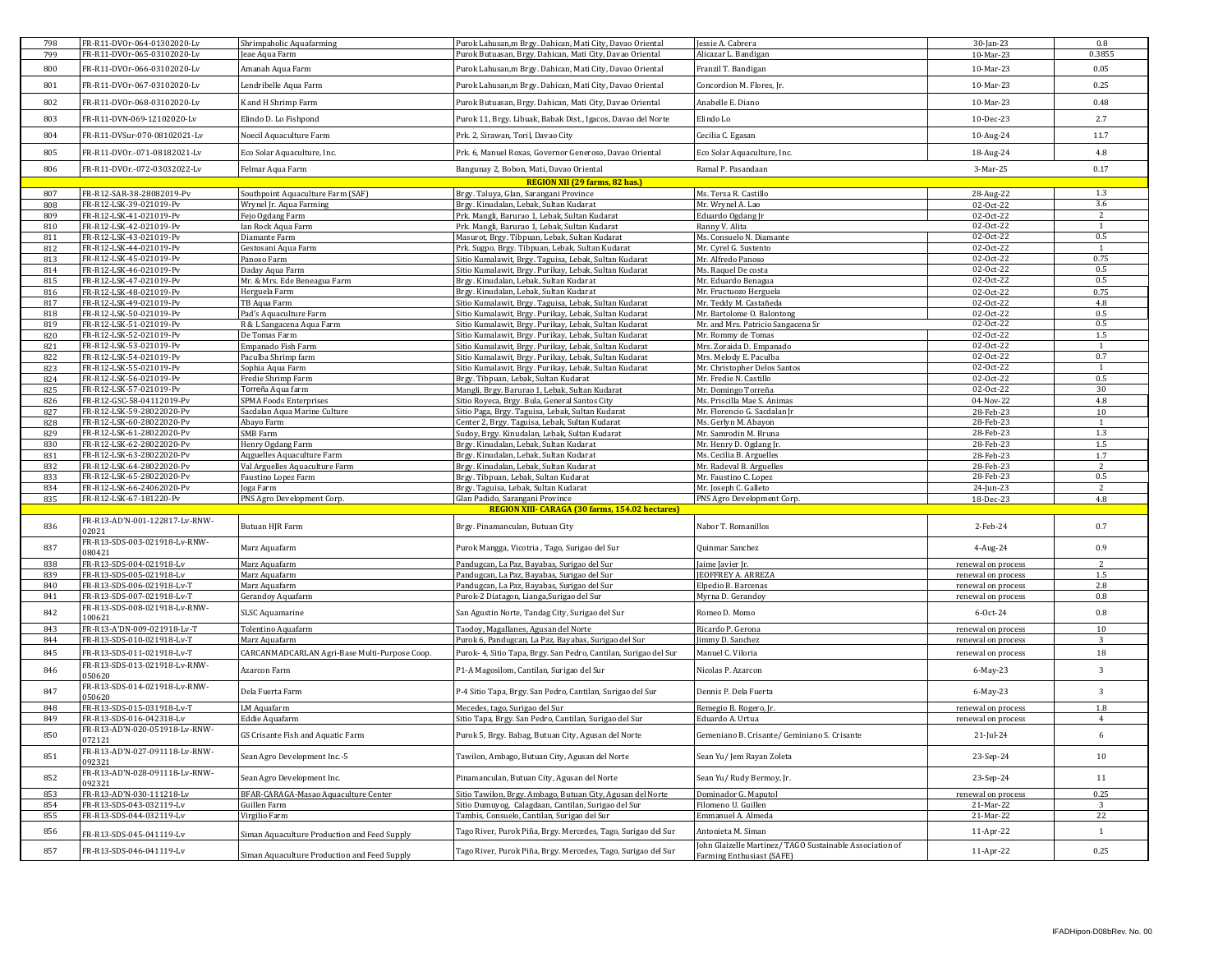| 798        | FR-R11-DVOr-064-01302020-Lv                                 | Shrimpaholic Aquafarming                                      | Purok Lahusan,m Brgy. Dahican, Mati City, Davao Oriental                                                      | essie A. Cabrera                                                                      | 30-Jan-23                      | 0.8            |
|------------|-------------------------------------------------------------|---------------------------------------------------------------|---------------------------------------------------------------------------------------------------------------|---------------------------------------------------------------------------------------|--------------------------------|----------------|
| 799        | FR-R11-DVOr-065-03102020-Lv                                 | eae Aqua Farm                                                 | Purok Butuasan, Brgy. Dahican, Mati City, Davao Oriental                                                      | Alicazar L. Bandigan                                                                  | 10-Mar-23                      | 0.3855         |
| 800        | FR-R11-DVOr-066-03102020-Lv                                 | Amanah Aqua Farm                                              | Purok Lahusan, m Brgy. Dahican, Mati City, Davao Oriental                                                     | Franzil T. Bandigan                                                                   | 10-Mar-23                      | 0.05           |
| 801        | FR-R11-DVOr-067-03102020-Lv                                 | Lendribelle Aqua Farm                                         | Purok Lahusan, m Brgy. Dahican, Mati City, Davao Oriental                                                     | Concordion M. Flores, Jr.                                                             | 10-Mar-23                      | 0.25           |
| 802        | FR-R11-DVOr-068-03102020-Lv                                 | K and H Shrimp Farm                                           | Purok Butuasan, Brgy. Dahican, Mati City, Davao Oriental                                                      | Anabelle E. Diano                                                                     | 10-Mar-23                      | 0.48           |
| 803        | FR-R11-DVN-069-12102020-Lv                                  | Elindo D. Lo Fishpond                                         | Purok 11, Brgy. Libuak, Babak Dist., Igacos, Davao del Norte                                                  | Elindo Lo                                                                             | 10-Dec-23                      | 2.7            |
| 804        | FR-R11-DVSur-070-08102021-Lv                                | Noecil Aquaculture Farm                                       | Prk. 2, Sirawan, Toril, Davao City                                                                            | Cecilia C. Egasan                                                                     | 10-Aug-24                      | 11.7           |
| 805        | FR-R11-DVOr.-071-08182021-Lv                                | Eco Solar Aquaculture, Inc.                                   | Prk. 6, Manuel Roxas, Governor Generoso, Davao Oriental                                                       | Eco Solar Aquaculture, Inc.                                                           | 18-Aug-24                      | 4.8            |
| 806        | FR-R11-DVOr.-072-03032022-Lv                                | Felmar Aqua Farm                                              | Bangunay 2, Bobon, Mati, Davao Oriental                                                                       | Ramal P. Pasandaan                                                                    | 3-Mar-25                       | 0.17           |
|            |                                                             |                                                               | REGION XII (29 farms, 82 has.)                                                                                |                                                                                       |                                |                |
| 807        | FR-R12-SAR-38-28082019-Pv                                   | Southpoint Aquaculture Farm (SAF)                             | Brgy. Taluya, Glan, Sarangani Province                                                                        | Ms. Tersa R. Castillo                                                                 |                                | 1.3            |
| 808        | FR-R12-LSK-39-021019-Pv                                     | Wrynel Jr. Aqua Farming                                       | Brgy. Kinudalan, Lebak, Sultan Kudarat                                                                        | Mr. Wrvnel A. Lao                                                                     | 28-Aug-22<br>02-Oct-22         | 3.6            |
|            |                                                             |                                                               |                                                                                                               |                                                                                       |                                | 2              |
| 809        | FR-R12-LSK-41-021019-Pv                                     | Fejo Ogdang Farm                                              | Prk. Mangli, Barurao 1, Lebak, Sultan Kudarat                                                                 | Eduardo Ogdang Jr                                                                     | 02-Oct-22                      |                |
| 810        | FR-R12-LSK-42-021019-Pv                                     | Ian Rock Aqua Farm                                            | Prk. Mangli, Barurao 1, Lebak, Sultan Kudarat                                                                 | Ranny V. Alita                                                                        | 02-Oct-22                      | 1              |
| 811        | FR-R12-LSK-43-021019-Pv                                     | Diamante Farm                                                 | Masurot, Brgy. Tibpuan, Lebak, Sultan Kudarat                                                                 | Ms. Consuelo N. Diamante                                                              | 02-Oct-22                      | 0.5            |
| 812        | FR-R12-LSK-44-021019-Pv                                     | Gestosani Aqua Farm                                           | Prk. Sugpo, Brgy. Tibpuan, Lebak, Sultan Kudarat                                                              | Mr. Cyrel G. Sustento                                                                 | 02-Oct-22                      | $\mathbf{1}$   |
| 813        | FR-R12-LSK-45-021019-Pv                                     | Panoso Farm                                                   | Sitio Kumalawit, Brgy. Taguisa, Lebak, Sultan Kudarat                                                         | Mr. Alfredo Panoso                                                                    | 02-Oct-22                      | 0.75           |
| 814        | FR-R12-LSK-46-021019-Pv                                     | <b>Jaday Aqua Farm</b>                                        | Sitio Kumalawit, Brgy. Purikay, Lebak, Sultan Kudarat                                                         | Ms. Raquel De costa                                                                   | 02-Oct-22                      | 0.5            |
| 815        | FR-R12-LSK-47-021019-Pv                                     | Mr. & Mrs. Ede Beneagua Farm                                  | Brgy. Kinudalan, Lebak, Sultan Kudarat                                                                        | Mr. Eduardo Benagua                                                                   | 02-Oct-22                      | 0.5            |
| 816        | FR-R12-LSK-48-021019-Pv                                     | Herguela Farm                                                 | Brgy. Kinudalan, Lebak, Sultan Kudarat                                                                        | Mr. Fructuozo Herguela                                                                | 02-Oct-22                      | 0.75           |
| 817        | FR-R12-LSK-49-021019-Pv                                     | TB Aqua Farm                                                  | Sitio Kumalawit, Brgy. Taguisa, Lebak, Sultan Kudarat                                                         | Mr. Teddy M. Castañeda                                                                | 02-Oct-22                      | 4.8            |
| 818        | FR-R12-LSK-50-021019-Pv                                     | Pad's Aquaculture Farm                                        | Sitio Kumalawit, Brgy. Purikay, Lebak, Sultan Kudarat                                                         | Mr. Bartolome O. Balontong                                                            | 02-Oct-22                      | 0.5            |
| 819        | FR-R12-LSK-51-021019-Pv                                     | R & L Sangacena Aqua Farm                                     | Sitio Kumalawit, Brgy. Purikay, Lebak, Sultan Kudarat                                                         | Mr. and Mrs. Patricio Sangacena Sr                                                    | 02-Oct-22                      | 0.5            |
| 820        | FR-R12-LSK-52-021019-Pv                                     | De Tomas Farm                                                 | Sitio Kumalawit, Brgy. Purikay, Lebak, Sultan Kudarat                                                         | Mr. Rommy de Tomas                                                                    | 02-Oct-22                      | 1.5            |
| 821        | FR-R12-LSK-53-021019-Pv                                     | Empanado Fish Farm                                            | Sitio Kumalawit, Brgy. Purikay, Lebak, Sultan Kudarat                                                         | Mrs. Zoraida D. Empanado                                                              | 02-Oct-22                      | $\mathbf{1}$   |
| 822        | FR-R12-LSK-54-021019-Pv                                     | Paculba Shrimp farm                                           | Sitio Kumalawit, Brgy. Purikay, Lebak, Sultan Kudarat                                                         | Mrs. Melody E. Paculba                                                                | 02-Oct-22                      | 0.7            |
|            |                                                             |                                                               |                                                                                                               |                                                                                       |                                | $\overline{1}$ |
| 823        | FR-R12-LSK-55-021019-Pv                                     | Sophia Aqua Farm                                              | Sitio Kumalawit, Brgy. Purikay, Lebak, Sultan Kudarat                                                         | Mr. Christopher Delos Santos                                                          | 02-Oct-22                      |                |
| 824        | FR-R12-LSK-56-021019-Pv                                     | Fredie Shrimp Farm                                            | Brgy. Tibpuan, Lebak, Sultan Kudarat                                                                          | Mr. Fredie N. Castillo                                                                | 02-Oct-22                      | 0.5            |
| 825        | FR-R12-LSK-57-021019-Pv                                     | Torreña Aqua farm                                             | Mangli, Brgy. Barurao 1, Lebak, Sultan Kudarat                                                                | Mr. Domingo Torreña                                                                   | 02-Oct-22                      | 30             |
| 826        | FR-R12-GSC-58-04112019-Pv                                   | <b>SPMA Foods Enterprises</b>                                 | Sitio Royeca, Brgy. Bula, General Santos City                                                                 | Ms. Priscilla Mae S. Animas                                                           | 04-Nov-22                      | 4.8            |
| 827        | FR-R12-LSK-59-28022020-Pv                                   | Sacdalan Aqua Marine Culture                                  | Sitio Paga, Brgy. Taguisa, Lebak, Sultan Kudarat                                                              | Mr. Florencio G. Sacdalan Jr                                                          | 28-Feb-23                      | 10             |
| 828        | FR-R12-LSK-60-28022020-Pv                                   | Abayo Farm                                                    | Center 2, Brgy. Taguisa, Lebak, Sultan Kudarat                                                                | Ms. Gerlyn M. Abayon                                                                  | 28-Feb-23                      | 1              |
| 829        | FR-R12-LSK-61-28022020-Pv                                   | SMB Farm                                                      | Sudoy, Brgy. Kinudalan, Lebak, Sultan Kudarat                                                                 | Mr. Samrodin M. Bruna                                                                 | 28-Feb-23                      | 1.3            |
| 830        | FR-R12-LSK-62-28022020-Pv                                   | Henry Ogdang Farm                                             | Brgy. Kinudalan, Lebak, Sultan Kudarat                                                                        | Mr. Henry D. Ogdang Jr.                                                               | 28-Feb-23                      | 1.5            |
| 831        | FR-R12-LSK-63-28022020-Pv                                   | Aqguelles Aquaculture Farm                                    | Brgy. Kinudalan, Lebak, Sultan Kudarat                                                                        | Ms. Cecilia B. Arguelles                                                              | 28-Feb-23                      | 1.7            |
|            |                                                             |                                                               |                                                                                                               |                                                                                       |                                | $\overline{2}$ |
| 832        | FR-R12-LSK-64-28022020-Pv                                   | Val Arguelles Aquaculture Farm                                | Brgy. Kinudalan, Lebak, Sultan Kudarat                                                                        | Mr. Radeval B. Arguelles                                                              | 28-Feb-23                      |                |
| 833        | FR-R12-LSK-65-28022020-Pv                                   | Faustino Lopez Farm                                           | Brgy. Tibpuan, Lebak, Sultan Kudarat                                                                          | Mr. Faustino C. Lopez                                                                 | 28-Feb-23                      | 0.5            |
| 834        | FR-R12-LSK-66-24062020-Pv                                   | Joga Farm                                                     | Brgy. Taguisa, Lebak, Sultan Kudarat                                                                          | Mr. Joseph C. Galleto                                                                 | 24-Jun-23                      | 2              |
| 835        | FR-R12-LSK-67-181220-Pv                                     | PNS Agro Development Corp.                                    | Glan Padido, Sarangani Province                                                                               | PNS Agro Development Corp.                                                            | 18-Dec-23                      | 4.8            |
|            |                                                             |                                                               | <b>REGION XIII- CARAGA (30 farms, 154.02 hectares)</b>                                                        |                                                                                       |                                |                |
| 836        | FR-R13-AD'N-001-122817-Lv-RNW-                              | Butuan HJR Farm                                               | Brgy. Pinamanculan, Butuan City                                                                               | Nabor T. Romanillos                                                                   | 2-Feb-24                       | 0.7            |
| 837        | 02021<br>FR-R13-SDS-003-021918-Lv-RNW-                      | Marz Aquafarm                                                 | Purok Mangga, Vicotria, Tago, Surigao del Sur                                                                 | Quinmar Sanchez                                                                       | 4-Aug-24                       | 0.9            |
| 838        | 080421<br>FR-R13-SDS-004-021918-Lv                          | Marz Aquafarm                                                 | Pandugcan, La Paz, Bayabas, Surigao del Sur                                                                   | aime Javier Jr                                                                        | renewal on process             | $\overline{2}$ |
| 839        | FR-R13-SDS-005-021918-Lv                                    | Marz Aquafarm                                                 | Pandugcan, La Paz, Bayabas, Surigao del Sur                                                                   | <b>EOFFREY A. ARREZA</b>                                                              | renewal on process             | 1.5            |
| 840        | FR-R13-SDS-006-021918-Lv-T                                  | Marz Aquafarm                                                 | Pandugcan, La Paz, Bayabas, Surigao del Sur                                                                   | Elpedio B. Barcenas                                                                   | renewal on process             | 2.8            |
|            |                                                             |                                                               |                                                                                                               |                                                                                       |                                |                |
| 841        | FR-R13-SDS-007-021918-Lv-T                                  | Gerandoy Aquafarm                                             | Purok-2 Diatagon, Lianga, Surigao del Sur                                                                     | Myrna D. Gerandoy                                                                     | renewal on process             | 0.8            |
| 842        | FR-R13-SDS-008-021918-Lv-RNW-<br>100621                     | SLSC Aquamarine                                               | San Agustin Norte, Tandag City, Surigao del Sur                                                               | Romeo D. Momo                                                                         | 6-Oct-24                       | 0.8            |
| 843        | FR-R13-A'DN-009-021918-Lv-T                                 | Tolentino Aquafarm                                            | Taodoy, Magallanes, Agusan del Norte                                                                          | Ricardo P. Gerona                                                                     | renewal on process             | 10             |
| 844        | FR-R13-SDS-010-021918-Lv-T                                  | Marz Aquafarm                                                 | Purok 6, Pandugcan, La Paz, Bayabas, Surigao del Sur                                                          | <b>Jimmy D. Sanchez</b>                                                               | renewal on process             | 3              |
|            |                                                             |                                                               |                                                                                                               |                                                                                       |                                |                |
| 845<br>846 | FR-R13-SDS-011-021918-Lv-T<br>FR-R13-SDS-013-021918-Lv-RNW- | CARCANMADCARLAN Agri-Base Multi-Purpose Coop.<br>Azarcon Farm | Purok- 4, Sitio Tapa, Brgy. San Pedro, Cantilan, Surigao del Sur<br>P1-A Magosilom, Cantilan, Surigao del Sur | Manuel C. Viloria<br>Nicolas P. Azarcon                                               | renewal on process<br>6-May-23 | 18<br>3        |
| 847        | 050620<br>FR-R13-SDS-014-021918-Lv-RNW-                     | Dela Fuerta Farm                                              | P-4 Sitio Tapa, Brgy. San Pedro, Cantilan, Surigao del Sur                                                    | Dennis P. Dela Fuerta                                                                 | 6-May-23                       | 3              |
|            | 050620                                                      |                                                               |                                                                                                               |                                                                                       |                                |                |
| 848        | FR-R13-SDS-015-031918-Lv-T                                  | LM Aquafarm                                                   | Mecedes, tago, Surigao del Sur                                                                                | Remegio B. Rogero, Jr.                                                                | renewal on process             | 1.8            |
| 849        | FR-R13-SDS-016-042318-Lv                                    | Eddie Aquafarm                                                | Sitio Tapa, Brgy. San Pedro, Cantilan, Surigao del Sur                                                        | Eduardo A. Urtua                                                                      | renewal on process             | $\overline{4}$ |
| 850        | FR-R13-AD'N-020-051918-Lv-RNW-<br>072121                    | GS Crisante Fish and Aquatic Farm                             | Purok 5, Brgy. Babag, Butuan City, Agusan del Norte                                                           | Gemeniano B. Crisante/ Geminiano S. Crisante                                          | 21-Jul-24                      | 6              |
| 851        | FR-R13-AD'N-027-091118-Lv-RNW-<br>092321                    | Sean Agro Development Inc.-5                                  | Tawilon, Ambago, Butuan City, Agusan del Norte                                                                | Sean Yu/Jem Rayan Zoleta                                                              | 23-Sep-24                      | 10             |
| 852        | FR-R13-AD'N-028-091118-Lv-RNW-<br>092321                    | Sean Agro Development Inc.                                    | Pinamanculan, Butuan City, Agusan del Norte                                                                   | Sean Yu/ Rudy Bermoy, Jr.                                                             | 23-Sep-24                      | 11             |
| 853        | FR-R13-AD'N-030-111218-Lv                                   | BFAR-CARAGA-Masao Aquaculture Center                          | Sitio Tawilon, Brgy. Ambago, Butuan City, Agusan del Norte                                                    | Dominador G. Maputol                                                                  | renewal on process             | 0.25           |
| 854        | FR-R13-SDS-043-032119-Lv                                    | Guillen Farm                                                  | Sitio Dumuyog, Calagdaan, Cantilan, Surigao del Sur                                                           | Filomeno U. Guillen                                                                   | 21-Mar-22                      | 3              |
| 855        | FR-R13-SDS-044-032119-Lv                                    | Virgilio Farm                                                 | Tambis, Consuelo, Cantilan, Surigao del Sur                                                                   | Emmanuel A. Almeda                                                                    | 21-Mar-22                      | 22             |
| 856        | FR-R13-SDS-045-041119-Lv                                    | Siman Aquaculture Production and Feed Supply                  | Tago River, Purok Piña, Brgy. Mercedes, Tago, Surigao del Sur                                                 | Antonieta M. Siman                                                                    | 11-Apr-22                      | $\mathbf{1}$   |
| 857        | FR-R13-SDS-046-041119-Lv                                    | Siman Aquaculture Production and Feed Supply                  | Tago River, Purok Piña, Brgy. Mercedes, Tago, Surigao del Sur                                                 | John Glaizelle Martinez/ TAGO Sustainable Association of<br>Farming Enthusiast (SAFE) | 11-Apr-22                      | 0.25           |